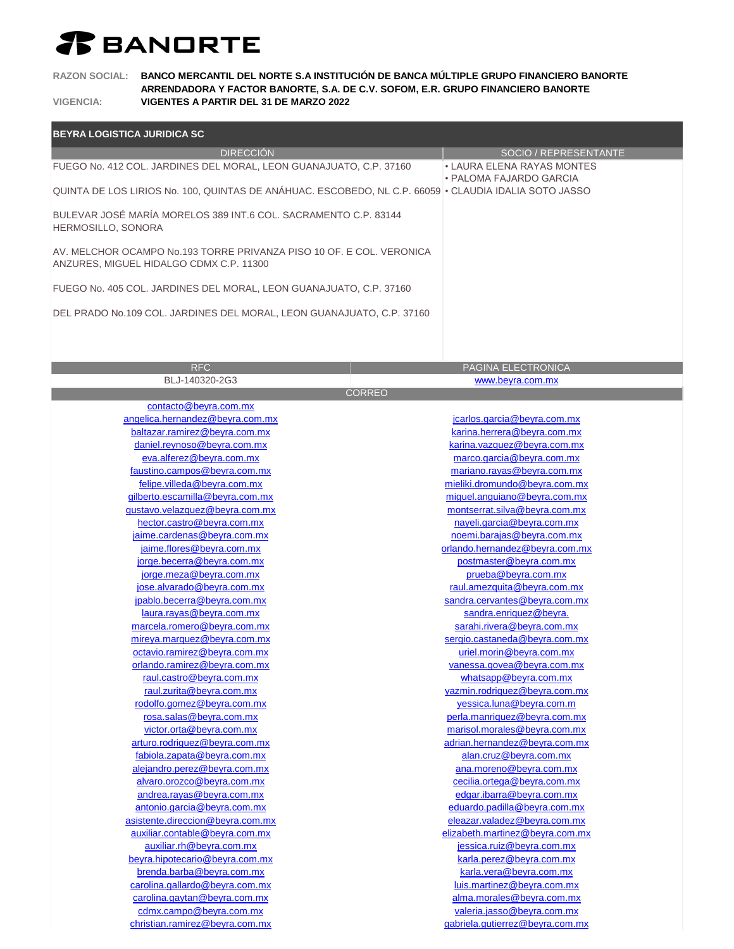## *T* BANDRTE

**RAZON SOCIAL: BANCO MERCANTIL DEL NORTE S.A INSTITUCIÓN DE BANCA MÚLTIPLE GRUPO FINANCIERO BANORTE ARRENDADORA Y FACTOR BANORTE, S.A. DE C.V. SOFOM, E.R. GRUPO FINANCIERO BANORTE VIGENCIA: VIGENTES A PARTIR DEL 31 DE MARZO 2022**

| <b>BEYRA LOGISTICA JURIDICA SC</b>                                                                              |                                                              |
|-----------------------------------------------------------------------------------------------------------------|--------------------------------------------------------------|
| <b>DIRECCION</b>                                                                                                | SOCIO / REPRESENTANTE                                        |
| FUEGO No. 412 COL. JARDINES DEL MORAL, LEON GUANAJUATO, C.P. 37160                                              | • LAURA ELENA RAYAS MONTES<br>• PALOMA FAJARDO GARCIA        |
| QUINTA DE LOS LIRIOS No. 100, QUINTAS DE ANÁHUAC. ESCOBEDO, NL C.P. 66059 · CLAUDIA IDALIA SOTO JASSO           |                                                              |
| BULEVAR JOSÉ MARÍA MORELOS 389 INT.6 COL. SACRAMENTO C.P. 83144<br>HERMOSILLO, SONORA                           |                                                              |
| AV. MELCHOR OCAMPO No.193 TORRE PRIVANZA PISO 10 OF. E COL. VERONICA<br>ANZURES, MIGUEL HIDALGO CDMX C.P. 11300 |                                                              |
| FUEGO No. 405 COL. JARDINES DEL MORAL, LEON GUANAJUATO, C.P. 37160                                              |                                                              |
| DEL PRADO No.109 COL. JARDINES DEL MORAL, LEON GUANAJUATO, C.P. 37160                                           |                                                              |
|                                                                                                                 |                                                              |
| <b>RFC</b>                                                                                                      | PAGINA ELECTRONICA                                           |
| BLJ-140320-2G3                                                                                                  | www.beyra.com.mx                                             |
| <b>CORREO</b>                                                                                                   |                                                              |
| contacto@beyra.com.mx<br>angelica.hernandez@beyra.com.mx                                                        | jcarlos.garcia@beyra.com.mx                                  |
| baltazar.ramirez@beyra.com.mx                                                                                   | karina.herrera@beyra.com.mx                                  |
| daniel.reynoso@beyra.com.mx                                                                                     | karina.vazquez@beyra.com.mx                                  |
| eva.alferez@beyra.com.mx                                                                                        | marco.garcia@beyra.com.mx                                    |
| faustino.campos@beyra.com.mx                                                                                    | mariano.rayas@beyra.com.mx                                   |
| felipe.villeda@beyra.com.mx                                                                                     | mieliki.dromundo@beyra.com.mx                                |
| gilberto.escamilla@beyra.com.mx                                                                                 | miguel.anguiano@beyra.com.mx                                 |
| gustavo.velazquez@beyra.com.mx                                                                                  | montserrat.silva@beyra.com.mx                                |
| hector.castro@beyra.com.mx                                                                                      | nayeli.garcia@beyra.com.mx                                   |
| jaime.cardenas@beyra.com.mx                                                                                     | noemi.barajas@beyra.com.mx                                   |
| jaime.flores@beyra.com.mx                                                                                       | orlando.hernandez@beyra.com.mx                               |
| jorge.becerra@beyra.com.mx                                                                                      | postmaster@beyra.com.mx                                      |
| jorge.meza@beyra.com.mx                                                                                         | prueba@beyra.com.mx                                          |
| jose.alvarado@beyra.com.mx                                                                                      | raul.amezquita@beyra.com.mx                                  |
| jpablo.becerra@beyra.com.mx                                                                                     | sandra.cervantes@beyra.com.mx                                |
| laura.rayas@beyra.com.mx                                                                                        | sandra.enriquez@beyra.                                       |
| marcela.romero@beyra.com.mx                                                                                     | sarahi.rivera@beyra.com.mx                                   |
| mireya.marquez@beyra.com.mx                                                                                     | sergio.castaneda@beyra.com.mx                                |
| octavio.ramirez@beyra.com.mx                                                                                    | uriel.morin@beyra.com.mx                                     |
| orlando.ramirez@beyra.com.mx                                                                                    | vanessa.govea@beyra.com.mx                                   |
| raul.castro@beyra.com.mx                                                                                        | whatsapp@beyra.com.mx                                        |
| raul.zurita@beyra.com.mx                                                                                        | yazmin.rodriguez@beyra.com.mx                                |
| rodolfo.gomez@beyra.com.mx<br>rosa.salas@beyra.com.mx                                                           | yessica.luna@beyra.com.m                                     |
| victor.orta@beyra.com.mx                                                                                        | perla.manriquez@beyra.com.mx<br>marisol.morales@beyra.com.mx |
| arturo.rodriguez@beyra.com.mx                                                                                   | adrian.hernandez@beyra.com.mx                                |
| fabiola.zapata@beyra.com.mx                                                                                     | alan.cruz@beyra.com.mx                                       |
| alejandro.perez@beyra.com.mx                                                                                    | ana.moreno@beyra.com.mx                                      |
| alvaro.orozco@beyra.com.mx                                                                                      | cecilia.ortega@beyra.com.mx                                  |
| andrea.rayas@beyra.com.mx                                                                                       | edgar.ibarra@beyra.com.mx                                    |
| antonio.garcia@beyra.com.mx                                                                                     | eduardo.padilla@beyra.com.mx                                 |
| asistente.direccion@beyra.com.mx                                                                                | eleazar.valadez@beyra.com.mx                                 |
| auxiliar.contable@beyra.com.mx                                                                                  | elizabeth.martinez@beyra.com.mx                              |
| auxiliar.rh@beyra.com.mx                                                                                        | jessica.ruiz@beyra.com.mx                                    |
| beyra.hipotecario@beyra.com.mx                                                                                  | karla.perez@beyra.com.mx                                     |
| brenda.barba@beyra.com.mx                                                                                       | karla.vera@beyra.com.mx                                      |
| carolina.gallardo@beyra.com.mx                                                                                  | luis.martinez@beyra.com.mx                                   |
| carolina.gaytan@beyra.com.mx                                                                                    | alma.morales@beyra.com.mx                                    |
| cdmx.campo@beyra.com.mx                                                                                         | valeria.jasso@beyra.com.mx                                   |
| christian.ramirez@beyra.com.mx                                                                                  | gabriela.gutierrez@beyra.com.mx                              |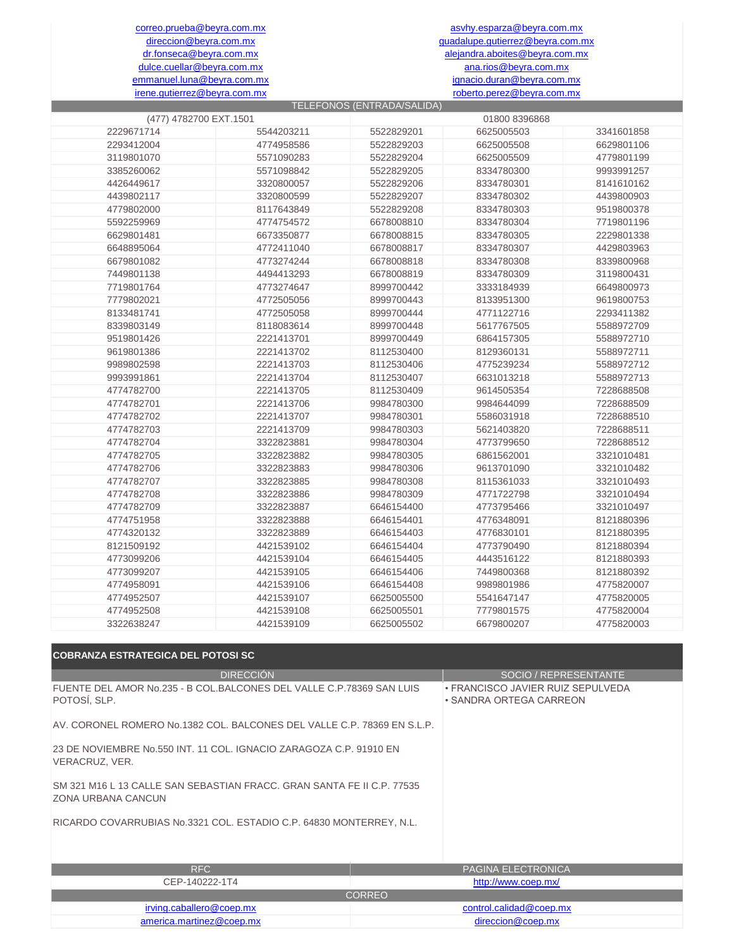dr.fonseca@beyra.com.mx alejandra.aboites@beyra.com.mx ana.rios@beyra.com.mx ignacio.duran@beyra.com.mx roberto.perez@beyra.com.mx asvhy.esparza@beyra.com.mx guadalupe.gutierrez@beyra.com.mx

correo.prueba@beyra.com.mx direccion@beyra.com.mx dulce.cuellar@beyra.com.mx emmanuel.luna@beyra.com.mx irene.gutierrez@beyra.com.mx

|                        |            | TELEFONOS (ENTRADA/SALIDA) |               |            |
|------------------------|------------|----------------------------|---------------|------------|
| (477) 4782700 EXT.1501 |            |                            | 01800 8396868 |            |
| 2229671714             | 5544203211 | 5522829201                 | 6625005503    | 3341601858 |
| 2293412004             | 4774958586 | 5522829203                 | 6625005508    | 6629801106 |
| 3119801070             | 5571090283 | 5522829204                 | 6625005509    | 4779801199 |
| 3385260062             | 5571098842 | 5522829205                 | 8334780300    | 9993991257 |
| 4426449617             | 3320800057 | 5522829206                 | 8334780301    | 8141610162 |
| 4439802117             | 3320800599 | 5522829207                 | 8334780302    | 4439800903 |
| 4779802000             | 8117643849 | 5522829208                 | 8334780303    | 9519800378 |
| 5592259969             | 4774754572 | 6678008810                 | 8334780304    | 7719801196 |
| 6629801481             | 6673350877 | 6678008815                 | 8334780305    | 2229801338 |
| 6648895064             | 4772411040 | 6678008817                 | 8334780307    | 4429803963 |
| 6679801082             | 4773274244 | 6678008818                 | 8334780308    | 8339800968 |
| 7449801138             | 4494413293 | 6678008819                 | 8334780309    | 3119800431 |
| 7719801764             | 4773274647 | 8999700442                 | 3333184939    | 6649800973 |
| 7779802021             | 4772505056 | 8999700443                 | 8133951300    | 9619800753 |
| 8133481741             | 4772505058 | 8999700444                 | 4771122716    | 2293411382 |
| 8339803149             | 8118083614 | 8999700448                 | 5617767505    | 5588972709 |
| 9519801426             | 2221413701 | 8999700449                 | 6864157305    | 5588972710 |
| 9619801386             | 2221413702 | 8112530400                 | 8129360131    | 5588972711 |
| 9989802598             | 2221413703 | 8112530406                 | 4775239234    | 5588972712 |
| 9993991861             | 2221413704 | 8112530407                 | 6631013218    | 5588972713 |
| 4774782700             | 2221413705 | 8112530409                 | 9614505354    | 7228688508 |
| 4774782701             | 2221413706 | 9984780300                 | 9984644099    | 7228688509 |
| 4774782702             | 2221413707 | 9984780301                 | 5586031918    | 7228688510 |
| 4774782703             | 2221413709 | 9984780303                 | 5621403820    | 7228688511 |
| 4774782704             | 3322823881 | 9984780304                 | 4773799650    | 7228688512 |
| 4774782705             | 3322823882 | 9984780305                 | 6861562001    | 3321010481 |
| 4774782706             | 3322823883 | 9984780306                 | 9613701090    | 3321010482 |
| 4774782707             | 3322823885 | 9984780308                 | 8115361033    | 3321010493 |
| 4774782708             | 3322823886 | 9984780309                 | 4771722798    | 3321010494 |
| 4774782709             | 3322823887 | 6646154400                 | 4773795466    | 3321010497 |
| 4774751958             | 3322823888 | 6646154401                 | 4776348091    | 8121880396 |
| 4774320132             | 3322823889 | 6646154403                 | 4776830101    | 8121880395 |
| 8121509192             | 4421539102 | 6646154404                 | 4773790490    | 8121880394 |
| 4773099206             | 4421539104 | 6646154405                 | 4443516122    | 8121880393 |
| 4773099207             | 4421539105 | 6646154406                 | 7449800368    | 8121880392 |
| 4774958091             | 4421539106 | 6646154408                 | 9989801986    | 4775820007 |
| 4774952507             | 4421539107 | 6625005500                 | 5541647147    | 4775820005 |
| 4774952508             | 4421539108 | 6625005501                 | 7779801575    | 4775820004 |
| 3322638247             | 4421539109 | 6625005502                 | 6679800207    | 4775820003 |

| <b>COBRANZA ESTRATEGICA DEL POTOSI SC</b>                                                    |               |                                                              |  |  |  |
|----------------------------------------------------------------------------------------------|---------------|--------------------------------------------------------------|--|--|--|
| <b>DIRECCIÓN</b>                                                                             |               | SOCIO / REPRESENTANTE                                        |  |  |  |
| FUENTE DEL AMOR No.235 - B COL.BALCONES DEL VALLE C.P.78369 SAN LUIS<br>POTOSÍ, SLP.         |               | • FRANCISCO JAVIER RUIZ SEPULVEDA<br>• SANDRA ORTEGA CARREON |  |  |  |
| AV. CORONEL ROMERO No.1382 COL. BALCONES DEL VALLE C.P. 78369 EN S.L.P.                      |               |                                                              |  |  |  |
| 23 DE NOVIEMBRE No.550 INT, 11 COL, IGNACIO ZARAGOZA C.P. 91910 EN<br>VERACRUZ, VER.         |               |                                                              |  |  |  |
| SM 321 M16 L 13 CALLE SAN SEBASTIAN FRACC, GRAN SANTA FE II C.P. 77535<br>ZONA URBANA CANCUN |               |                                                              |  |  |  |
| RICARDO COVARRUBIAS No.3321 COL. ESTADIO C.P. 64830 MONTERREY, N.L.                          |               |                                                              |  |  |  |
| <b>RFC</b>                                                                                   |               | PAGINA ELECTRONICA                                           |  |  |  |
| CEP-140222-1T4                                                                               |               | http://www.coep.mx/                                          |  |  |  |
|                                                                                              | <b>CORREO</b> |                                                              |  |  |  |
| irving.caballero@coep.mx                                                                     |               | control.calidad@coep.mx                                      |  |  |  |
| america.martinez@coep.mx                                                                     |               | direccion@coep.mx                                            |  |  |  |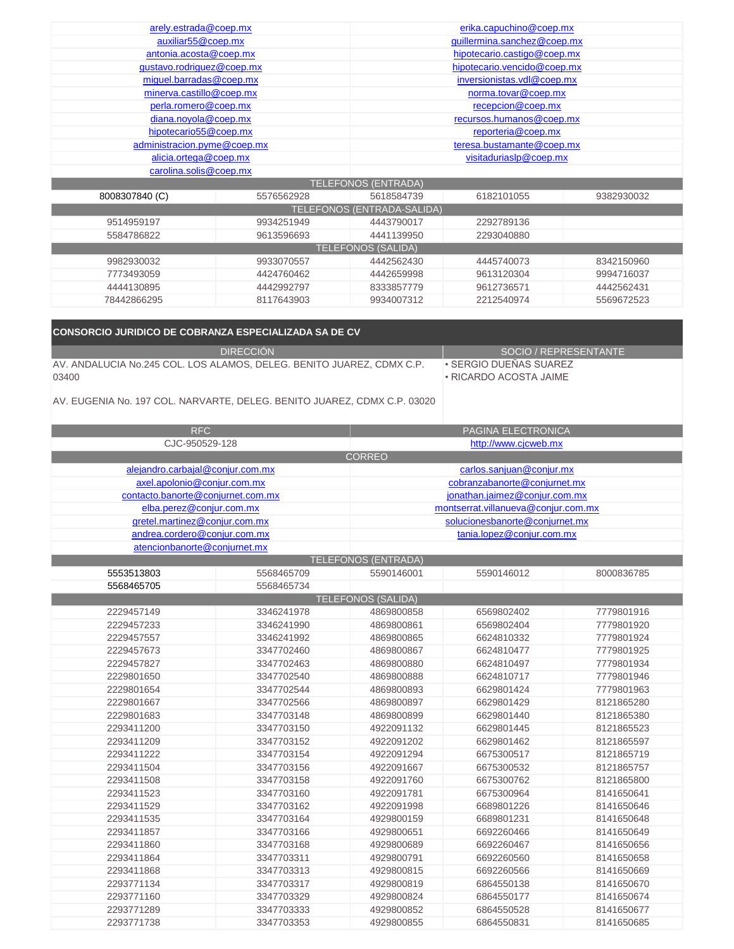| arely.estrada@coep.mx       | erika.capuchino@coep.mx     |                                   |                             |            |
|-----------------------------|-----------------------------|-----------------------------------|-----------------------------|------------|
| auxiliar55@coep.mx          | guillermina.sanchez@coep.mx |                                   |                             |            |
| antonia.acosta@coep.mx      |                             |                                   | hipotecario.castigo@coep.mx |            |
| gustavo.rodriguez@coep.mx   |                             |                                   | hipotecario.vencido@coep.mx |            |
| miguel.barradas@coep.mx     |                             |                                   | inversionistas.vdl@coep.mx  |            |
| minerva.castillo@coep.mx    |                             |                                   | norma.tovar@coep.mx         |            |
| perla.romero@coep.mx        |                             |                                   | recepcion@coep.mx           |            |
| diana.noyola@coep.mx        |                             |                                   | recursos.humanos@coep.mx    |            |
| hipotecario55@coep.mx       |                             |                                   | reporteria@coep.mx          |            |
| administracion.pyme@coep.mx |                             |                                   | teresa.bustamante@coep.mx   |            |
| alicia.ortega@coep.mx       |                             | visitaduriaslp@coep.mx            |                             |            |
| carolina.solis@coep.mx      |                             |                                   |                             |            |
|                             |                             | <b>TELEFONOS (ENTRADA)</b>        |                             |            |
| 8008307840 (C)              | 5576562928                  | 5618584739                        | 6182101055                  | 9382930032 |
|                             |                             | <b>TELEFONOS (ENTRADA-SALIDA)</b> |                             |            |
| 9514959197                  | 9934251949                  | 4443790017                        | 2292789136                  |            |
| 5584786822                  | 9613596693                  | 4441139950                        | 2293040880                  |            |
|                             |                             | <b>TELEFONOS (SALIDA)</b>         |                             |            |
| 9982930032                  | 9933070557                  | 4442562430                        | 4445740073                  | 8342150960 |
| 7773493059                  | 4424760462                  | 4442659998                        | 9613120304                  | 9994716037 |
| 4444130895                  | 4442992797                  | 8333857779                        | 9612736571                  | 4442562431 |
| 78442866295                 | 8117643903                  | 9934007312                        | 2212540974                  | 5569672523 |

| <b>CONSORCIO JURIDICO DE COBRANZA ESPECIALIZADA SA DE CV</b>            |                        |
|-------------------------------------------------------------------------|------------------------|
| <b>DIRECCION</b>                                                        | SOCIO / REPRESENTANTE  |
| AV. ANDALUCIA No.245 COL. LOS ALAMOS, DELEG. BENITO JUAREZ, CDMX C.P.   | ŀ SERGIO DUEÑAS SUAREZ |
| 03400                                                                   | • RICARDO ACOSTA JAIME |
| LAVE FUOTNILA NU LATIONI NIADVADTE DELEG DENITO ILIADET ODIAVO DI AGAGA |                        |

|  |  | AV. EUGENIA No. 197 COL. NARVARTE. DELEG. BENITO JUAREZ. CDMX C.P. 03020 |  |  |  |
|--|--|--------------------------------------------------------------------------|--|--|--|
|  |  |                                                                          |  |  |  |

| <b>RFC</b>                        | PAGINA ELECTRONICA                     |                            |                                     |            |
|-----------------------------------|----------------------------------------|----------------------------|-------------------------------------|------------|
|                                   | CJC-950529-128<br>http://www.cjcweb.mx |                            |                                     |            |
|                                   |                                        | <b>CORREO</b>              |                                     |            |
| alejandro.carbajal@conjur.com.mx  |                                        |                            | carlos.sanjuan@conjur.mx            |            |
| axel.apolonio@conjur.com.mx       |                                        |                            | cobranzabanorte@conjurnet.mx        |            |
| contacto.banorte@conjurnet.com.mx |                                        |                            | jonathan.jaimez@conjur.com.mx       |            |
| elba.perez@conjur.com.mx          |                                        |                            | montserrat.villanueva@conjur.com.mx |            |
| gretel.martinez@conjur.com.mx     |                                        |                            | solucionesbanorte@conjurnet.mx      |            |
| andrea.cordero@conjur.com.mx      |                                        |                            | tania.lopez@conjur.com.mx           |            |
| atencionbanorte@conjurnet.mx      |                                        |                            |                                     |            |
|                                   |                                        | <b>TELEFONOS (ENTRADA)</b> |                                     |            |
| 5553513803                        | 5568465709                             | 5590146001                 | 5590146012                          | 8000836785 |
| 5568465705                        | 5568465734                             |                            |                                     |            |
|                                   |                                        | <b>TELEFONOS (SALIDA)</b>  |                                     |            |
| 2229457149                        | 3346241978                             | 4869800858                 | 6569802402                          | 7779801916 |
| 2229457233                        | 3346241990                             | 4869800861                 | 6569802404                          | 7779801920 |
| 2229457557                        | 3346241992                             | 4869800865                 | 6624810332                          | 7779801924 |
| 2229457673                        | 3347702460                             | 4869800867                 | 6624810477                          | 7779801925 |
| 2229457827                        | 3347702463                             | 4869800880                 | 6624810497                          | 7779801934 |
| 2229801650                        | 3347702540                             | 4869800888                 | 6624810717                          | 7779801946 |
| 2229801654                        | 3347702544                             | 4869800893                 | 6629801424                          | 7779801963 |
| 2229801667                        | 3347702566                             | 4869800897                 | 6629801429                          | 8121865280 |
| 2229801683                        | 3347703148                             | 4869800899                 | 6629801440                          | 8121865380 |
| 2293411200                        | 3347703150                             | 4922091132                 | 6629801445                          | 8121865523 |
| 2293411209                        | 3347703152                             | 4922091202                 | 6629801462                          | 8121865597 |
| 2293411222                        | 3347703154                             | 4922091294                 | 6675300517                          | 8121865719 |
| 2293411504                        | 3347703156                             | 4922091667                 | 6675300532                          | 8121865757 |
| 2293411508                        | 3347703158                             | 4922091760                 | 6675300762                          | 8121865800 |
| 2293411523                        | 3347703160                             | 4922091781                 | 6675300964                          | 8141650641 |
| 2293411529                        | 3347703162                             | 4922091998                 | 6689801226                          | 8141650646 |
| 2293411535                        | 3347703164                             | 4929800159                 | 6689801231                          | 8141650648 |
| 2293411857                        | 3347703166                             | 4929800651                 | 6692260466                          | 8141650649 |
| 2293411860                        | 3347703168                             | 4929800689                 | 6692260467                          | 8141650656 |
| 2293411864                        | 3347703311                             | 4929800791                 | 6692260560                          | 8141650658 |
| 2293411868                        | 3347703313                             | 4929800815                 | 6692260566                          | 8141650669 |
| 2293771134                        | 3347703317                             | 4929800819                 | 6864550138                          | 8141650670 |
| 2293771160                        | 3347703329                             | 4929800824                 | 6864550177                          | 8141650674 |
| 2293771289                        | 3347703333                             | 4929800852                 | 6864550528                          | 8141650677 |
| 2293771738                        | 3347703353                             | 4929800855                 | 6864550831                          | 8141650685 |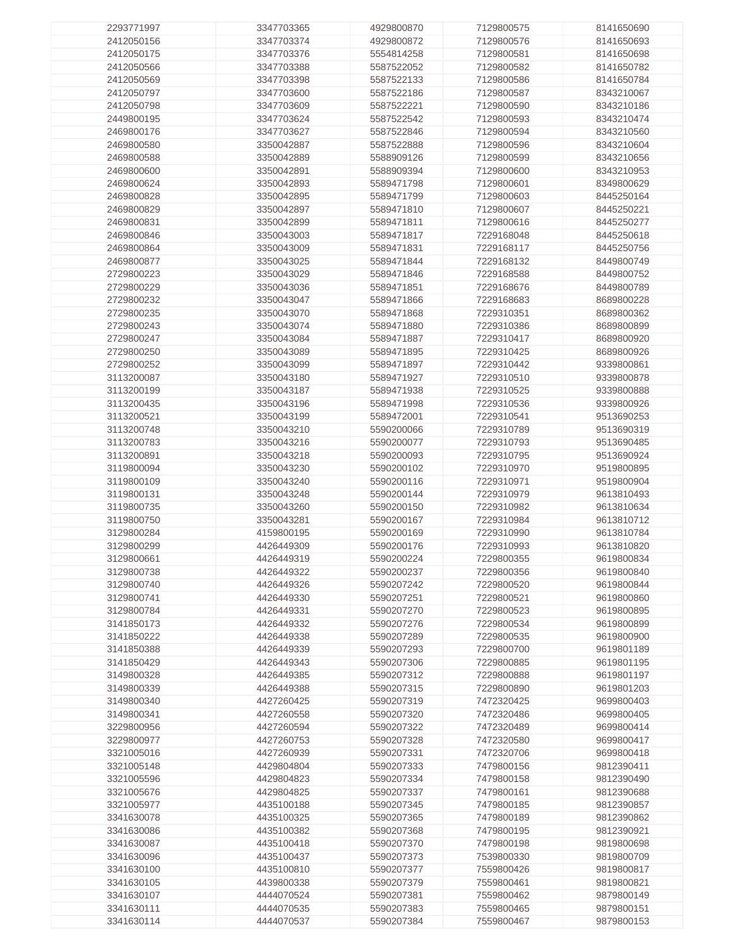| 2293771997 | 3347703365 | 4929800870 | 7129800575 | 8141650690 |
|------------|------------|------------|------------|------------|
| 2412050156 | 3347703374 | 4929800872 | 7129800576 | 8141650693 |
|            |            |            |            |            |
| 2412050175 | 3347703376 | 5554814258 | 7129800581 | 8141650698 |
| 2412050566 | 3347703388 | 5587522052 | 7129800582 | 8141650782 |
|            |            |            |            |            |
| 2412050569 | 3347703398 | 5587522133 | 7129800586 | 8141650784 |
| 2412050797 | 3347703600 | 5587522186 | 7129800587 | 8343210067 |
|            |            |            |            |            |
| 2412050798 | 3347703609 | 5587522221 | 7129800590 | 8343210186 |
| 2449800195 | 3347703624 | 5587522542 | 7129800593 | 8343210474 |
|            |            |            |            |            |
| 2469800176 | 3347703627 | 5587522846 | 7129800594 | 8343210560 |
| 2469800580 | 3350042887 | 5587522888 | 7129800596 | 8343210604 |
|            |            |            |            |            |
| 2469800588 | 3350042889 | 5588909126 | 7129800599 | 8343210656 |
| 2469800600 | 3350042891 | 5588909394 | 7129800600 | 8343210953 |
|            |            |            |            |            |
| 2469800624 | 3350042893 | 5589471798 | 7129800601 | 8349800629 |
| 2469800828 | 3350042895 | 5589471799 | 7129800603 | 8445250164 |
|            |            |            |            |            |
| 2469800829 | 3350042897 | 5589471810 | 7129800607 | 8445250221 |
| 2469800831 | 3350042899 | 5589471811 | 7129800616 | 8445250277 |
|            |            |            |            |            |
| 2469800846 | 3350043003 | 5589471817 | 7229168048 | 8445250618 |
|            |            |            |            |            |
| 2469800864 | 3350043009 | 5589471831 | 7229168117 | 8445250756 |
| 2469800877 | 3350043025 | 5589471844 | 7229168132 | 8449800749 |
|            |            |            |            |            |
| 2729800223 | 3350043029 | 5589471846 | 7229168588 | 8449800752 |
| 2729800229 | 3350043036 | 5589471851 | 7229168676 | 8449800789 |
|            |            |            |            |            |
| 2729800232 | 3350043047 | 5589471866 | 7229168683 | 8689800228 |
| 2729800235 | 3350043070 | 5589471868 | 7229310351 | 8689800362 |
|            |            |            |            |            |
| 2729800243 | 3350043074 | 5589471880 | 7229310386 | 8689800899 |
| 2729800247 | 3350043084 | 5589471887 | 7229310417 | 8689800920 |
|            |            |            |            |            |
| 2729800250 | 3350043089 | 5589471895 | 7229310425 | 8689800926 |
| 2729800252 | 3350043099 | 5589471897 | 7229310442 | 9339800861 |
|            |            |            |            |            |
| 3113200087 | 3350043180 | 5589471927 | 7229310510 | 9339800878 |
| 3113200199 | 3350043187 | 5589471938 | 7229310525 | 9339800888 |
|            |            |            |            |            |
| 3113200435 | 3350043196 | 5589471998 | 7229310536 | 9339800926 |
|            |            |            |            |            |
| 3113200521 | 3350043199 | 5589472001 | 7229310541 | 9513690253 |
| 3113200748 | 3350043210 | 5590200066 | 7229310789 | 9513690319 |
|            |            |            |            |            |
| 3113200783 | 3350043216 | 5590200077 | 7229310793 | 9513690485 |
| 3113200891 | 3350043218 | 5590200093 | 7229310795 | 9513690924 |
|            |            |            |            |            |
| 3119800094 | 3350043230 | 5590200102 | 7229310970 | 9519800895 |
| 3119800109 | 3350043240 | 5590200116 | 7229310971 | 9519800904 |
|            |            |            |            |            |
| 3119800131 | 3350043248 | 5590200144 | 7229310979 | 9613810493 |
| 3119800735 | 3350043260 | 5590200150 | 7229310982 | 9613810634 |
|            |            |            |            |            |
| 3119800750 | 3350043281 | 5590200167 | 7229310984 | 9613810712 |
| 3129800284 | 4159800195 | 5590200169 | 7229310990 | 9613810784 |
|            |            |            |            |            |
| 3129800299 | 4426449309 | 5590200176 | 7229310993 | 9613810820 |
| 3129800661 | 4426449319 | 5590200224 | 7229800355 | 9619800834 |
|            |            |            |            |            |
| 3129800738 | 4426449322 | 5590200237 | 7229800356 | 9619800840 |
| 3129800740 | 4426449326 | 5590207242 | 7229800520 | 9619800844 |
|            |            |            |            |            |
| 3129800741 | 4426449330 | 5590207251 | 7229800521 | 9619800860 |
|            |            |            |            |            |
| 3129800784 | 4426449331 | 5590207270 | 7229800523 | 9619800895 |
| 3141850173 | 4426449332 | 5590207276 | 7229800534 | 9619800899 |
|            | 4426449338 |            |            |            |
| 3141850222 |            | 5590207289 | 7229800535 | 9619800900 |
| 3141850388 | 4426449339 | 5590207293 | 7229800700 | 9619801189 |
| 3141850429 | 4426449343 | 5590207306 | 7229800885 | 9619801195 |
|            |            |            |            |            |
| 3149800328 | 4426449385 | 5590207312 | 7229800888 | 9619801197 |
| 3149800339 | 4426449388 | 5590207315 | 7229800890 | 9619801203 |
|            |            |            |            |            |
| 3149800340 | 4427260425 | 5590207319 | 7472320425 | 9699800403 |
| 3149800341 | 4427260558 | 5590207320 | 7472320486 | 9699800405 |
|            |            |            |            |            |
| 3229800956 | 4427260594 | 5590207322 | 7472320489 | 9699800414 |
| 3229800977 | 4427260753 | 5590207328 | 7472320580 | 9699800417 |
|            |            |            |            |            |
| 3321005016 | 4427260939 | 5590207331 | 7472320706 | 9699800418 |
| 3321005148 | 4429804804 | 5590207333 | 7479800156 | 9812390411 |
|            |            |            |            |            |
| 3321005596 | 4429804823 | 5590207334 | 7479800158 | 9812390490 |
| 3321005676 | 4429804825 | 5590207337 | 7479800161 | 9812390688 |
|            |            |            |            |            |
| 3321005977 | 4435100188 | 5590207345 | 7479800185 | 9812390857 |
|            | 4435100325 |            |            |            |
| 3341630078 |            | 5590207365 | 7479800189 | 9812390862 |
| 3341630086 | 4435100382 | 5590207368 | 7479800195 | 9812390921 |
|            |            |            |            |            |
| 3341630087 | 4435100418 | 5590207370 | 7479800198 | 9819800698 |
| 3341630096 | 4435100437 | 5590207373 | 7539800330 | 9819800709 |
|            |            |            |            |            |
| 3341630100 | 4435100810 | 5590207377 | 7559800426 | 9819800817 |
| 3341630105 | 4439800338 | 5590207379 | 7559800461 | 9819800821 |
|            |            |            |            |            |
| 3341630107 | 4444070524 | 5590207381 | 7559800462 | 9879800149 |
| 3341630111 | 4444070535 | 5590207383 | 7559800465 | 9879800151 |
| 3341630114 | 4444070537 | 5590207384 |            | 9879800153 |
|            |            |            | 7559800467 |            |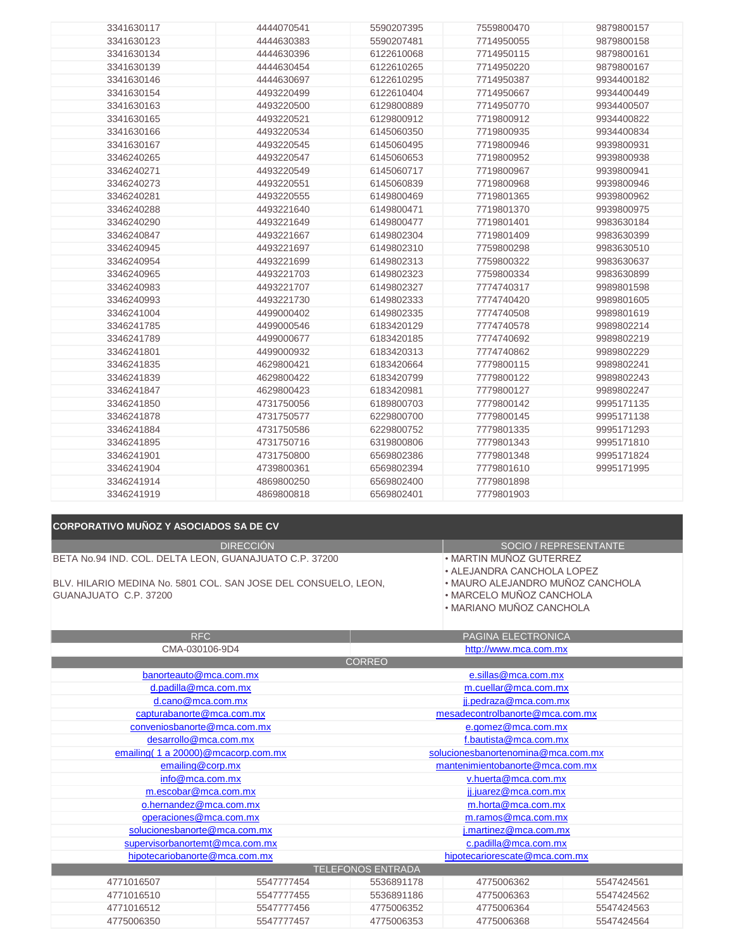| 3341630117 | 4444070541 | 5590207395 | 7559800470 | 9879800157 |
|------------|------------|------------|------------|------------|
| 3341630123 | 4444630383 | 5590207481 | 7714950055 | 9879800158 |
| 3341630134 | 4444630396 | 6122610068 | 7714950115 | 9879800161 |
| 3341630139 | 4444630454 | 6122610265 | 7714950220 | 9879800167 |
| 3341630146 | 4444630697 | 6122610295 | 7714950387 | 9934400182 |
| 3341630154 | 4493220499 | 6122610404 | 7714950667 | 9934400449 |
| 3341630163 | 4493220500 | 6129800889 | 7714950770 | 9934400507 |
| 3341630165 | 4493220521 | 6129800912 | 7719800912 | 9934400822 |
| 3341630166 | 4493220534 | 6145060350 | 7719800935 | 9934400834 |
| 3341630167 | 4493220545 | 6145060495 | 7719800946 | 9939800931 |
| 3346240265 | 4493220547 | 6145060653 | 7719800952 | 9939800938 |
| 3346240271 | 4493220549 | 6145060717 | 7719800967 | 9939800941 |
| 3346240273 | 4493220551 | 6145060839 | 7719800968 | 9939800946 |
| 3346240281 | 4493220555 | 6149800469 | 7719801365 | 9939800962 |
| 3346240288 | 4493221640 | 6149800471 | 7719801370 | 9939800975 |
| 3346240290 | 4493221649 | 6149800477 | 7719801401 | 9983630184 |
| 3346240847 | 4493221667 | 6149802304 | 7719801409 | 9983630399 |
| 3346240945 | 4493221697 | 6149802310 | 7759800298 | 9983630510 |
| 3346240954 | 4493221699 | 6149802313 | 7759800322 | 9983630637 |
| 3346240965 | 4493221703 | 6149802323 | 7759800334 | 9983630899 |
| 3346240983 | 4493221707 | 6149802327 | 7774740317 | 9989801598 |
| 3346240993 | 4493221730 | 6149802333 | 7774740420 | 9989801605 |
| 3346241004 | 4499000402 | 6149802335 | 7774740508 | 9989801619 |
| 3346241785 | 4499000546 | 6183420129 | 7774740578 | 9989802214 |
| 3346241789 | 4499000677 | 6183420185 | 7774740692 | 9989802219 |
| 3346241801 | 4499000932 | 6183420313 | 7774740862 | 9989802229 |
| 3346241835 | 4629800421 | 6183420664 | 7779800115 | 9989802241 |
| 3346241839 | 4629800422 | 6183420799 | 7779800122 | 9989802243 |
| 3346241847 | 4629800423 | 6183420981 | 7779800127 | 9989802247 |
| 3346241850 | 4731750056 | 6189800703 | 7779800142 | 9995171135 |
| 3346241878 | 4731750577 | 6229800700 | 7779800145 | 9995171138 |
| 3346241884 | 4731750586 | 6229800752 | 7779801335 | 9995171293 |
| 3346241895 | 4731750716 | 6319800806 | 7779801343 | 9995171810 |
| 3346241901 | 4731750800 | 6569802386 | 7779801348 | 9995171824 |
| 3346241904 | 4739800361 | 6569802394 | 7779801610 | 9995171995 |
| 3346241914 | 4869800250 | 6569802400 | 7779801898 |            |
| 3346241919 | 4869800818 | 6569802401 | 7779801903 |            |
|            |            |            |            |            |

## **CORPORATIVO MUÑOZ Y ASOCIADOS SA DE CV**

DIRECCIÓN BETA No.94 IND. COL. DELTA LEON, GUANAJUATO C.P. 37200

BLV. HILARIO MEDINA No. 5801 COL. SAN JOSE DEL CONSUELO, LEON, GUANAJUATO C.P. 37200

SOCIO / REPRESENTANTE

- MARTIN MUÑOZ GUTERREZ
- ALEJANDRA CANCHOLA LOPEZ
- MAURO ALEJANDRO MUÑOZ CANCHOLA
- MARCELO MUÑOZ CANCHOLA
- MARIANO MUÑOZ CANCHOLA

| <b>RFC</b>                           |                       | PAGINA ELECTRONICA              |                                    |            |  |
|--------------------------------------|-----------------------|---------------------------------|------------------------------------|------------|--|
| CMA-030106-9D4                       | http://www.mca.com.mx |                                 |                                    |            |  |
|                                      |                       | <b>CORREO</b>                   |                                    |            |  |
| banorteauto@mca.com.mx               |                       |                                 | e.sillas@mca.com.mx                |            |  |
| d.padilla@mca.com.mx                 |                       |                                 | m.cuellar@mca.com.mx               |            |  |
| d.cano@mca.com.mx                    |                       |                                 | jj.pedraza@mca.com.mx              |            |  |
| capturabanorte@mca.com.mx            |                       |                                 | mesadecontrolbanorte@mca.com.mx    |            |  |
| conveniosbanorte@mca.com.mx          |                       |                                 | e.gomez@mca.com.mx                 |            |  |
| desarrollo@mca.com.mx                |                       |                                 | f.bautista@mca.com.mx              |            |  |
| emailing (1 a 20000) @mcacorp.com.mx |                       |                                 | solucionesbanortenomina@mca.com.mx |            |  |
| emailing@corp.mx                     |                       | mantenimientobanorte@mca.com.mx |                                    |            |  |
| info@mca.com.mx                      |                       | v.huerta@mca.com.mx             |                                    |            |  |
| m.escobar@mca.com.mx                 |                       | jj.juarez@mca.com.mx            |                                    |            |  |
| o.hernandez@mca.com.mx               |                       |                                 | m.horta@mca.com.mx                 |            |  |
| operaciones@mca.com.mx               |                       |                                 | m.ramos@mca.com.mx                 |            |  |
| solucionesbanorte@mca.com.mx         |                       | j.martinez@mca.com.mx           |                                    |            |  |
| supervisorbanortemt@mca.com.mx       |                       | c.padilla@mca.com.mx            |                                    |            |  |
| hipotecariobanorte@mca.com.mx        |                       | hipotecariorescate@mca.com.mx   |                                    |            |  |
| <b>TELEFONOS ENTRADA</b>             |                       |                                 |                                    |            |  |
| 4771016507                           | 5547777454            | 5536891178                      | 4775006362                         | 5547424561 |  |
| 4771016510                           | 5547777455            | 5536891186                      | 4775006363                         | 5547424562 |  |
| 4771016512                           | 5547777456            | 4775006352                      | 4775006364                         | 5547424563 |  |
| 4775006350                           | 5547777457            | 4775006353                      | 4775006368                         | 5547424564 |  |
|                                      |                       |                                 |                                    |            |  |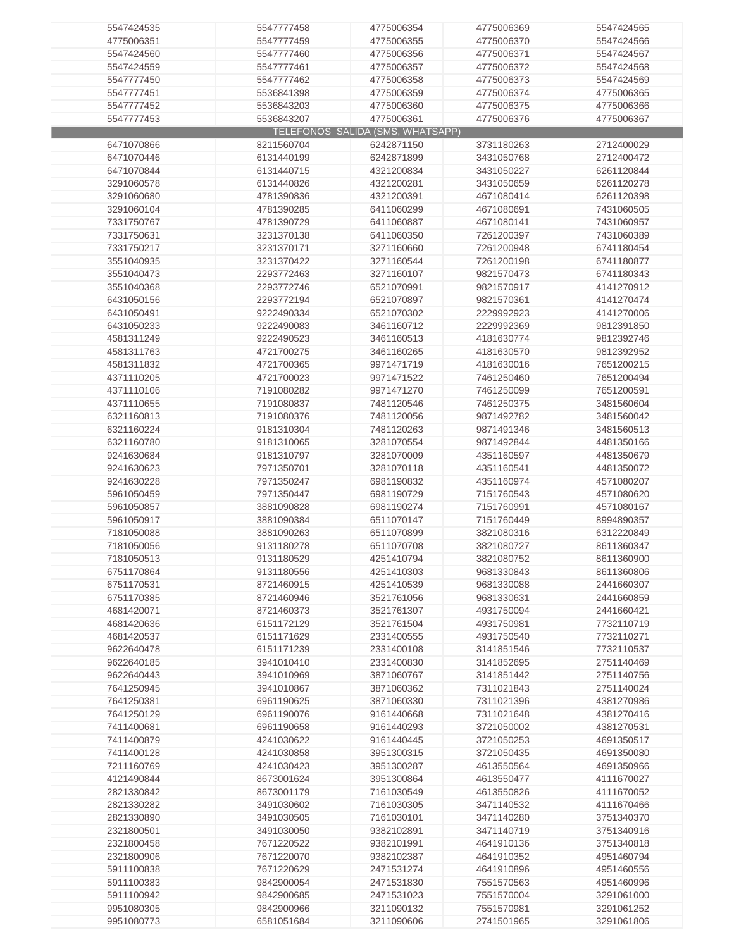| 5547424535 | 5547777458 | 4775006354                       | 4775006369 | 5547424565 |
|------------|------------|----------------------------------|------------|------------|
| 4775006351 | 5547777459 | 4775006355                       | 4775006370 | 5547424566 |
|            |            |                                  |            |            |
| 5547424560 | 5547777460 | 4775006356                       | 4775006371 | 5547424567 |
| 5547424559 | 5547777461 | 4775006357                       | 4775006372 | 5547424568 |
| 5547777450 | 5547777462 | 4775006358                       | 4775006373 | 5547424569 |
| 5547777451 | 5536841398 | 4775006359                       | 4775006374 | 4775006365 |
| 5547777452 | 5536843203 | 4775006360                       | 4775006375 | 4775006366 |
| 5547777453 | 5536843207 | 4775006361                       | 4775006376 | 4775006367 |
|            |            |                                  |            |            |
|            |            | TELEFONOS SALIDA (SMS, WHATSAPP) |            |            |
| 6471070866 | 8211560704 | 6242871150                       | 3731180263 | 2712400029 |
| 6471070446 | 6131440199 | 6242871899                       | 3431050768 | 2712400472 |
| 6471070844 | 6131440715 | 4321200834                       | 3431050227 | 6261120844 |
| 3291060578 | 6131440826 | 4321200281                       | 3431050659 | 6261120278 |
| 3291060680 | 4781390836 | 4321200391                       | 4671080414 | 6261120398 |
| 3291060104 | 4781390285 | 6411060299                       | 4671080691 | 7431060505 |
|            |            |                                  |            |            |
| 7331750767 | 4781390729 | 6411060887                       | 4671080141 | 7431060957 |
| 7331750631 | 3231370138 | 6411060350                       | 7261200397 | 7431060389 |
| 7331750217 | 3231370171 | 3271160660                       | 7261200948 | 6741180454 |
| 3551040935 | 3231370422 | 3271160544                       | 7261200198 | 6741180877 |
| 3551040473 | 2293772463 | 3271160107                       | 9821570473 | 6741180343 |
| 3551040368 | 2293772746 | 6521070991                       | 9821570917 | 4141270912 |
| 6431050156 | 2293772194 | 6521070897                       | 9821570361 | 4141270474 |
|            |            |                                  |            |            |
| 6431050491 | 9222490334 | 6521070302                       | 2229992923 | 4141270006 |
| 6431050233 | 9222490083 | 3461160712                       | 2229992369 | 9812391850 |
| 4581311249 | 9222490523 | 3461160513                       | 4181630774 | 9812392746 |
| 4581311763 | 4721700275 | 3461160265                       | 4181630570 | 9812392952 |
| 4581311832 | 4721700365 | 9971471719                       | 4181630016 | 7651200215 |
| 4371110205 | 4721700023 | 9971471522                       | 7461250460 | 7651200494 |
|            |            |                                  |            |            |
| 4371110106 | 7191080282 | 9971471270                       | 7461250099 | 7651200591 |
| 4371110655 | 7191080837 | 7481120546                       | 7461250375 | 3481560604 |
| 6321160813 | 7191080376 | 7481120056                       | 9871492782 | 3481560042 |
| 6321160224 | 9181310304 | 7481120263                       | 9871491346 | 3481560513 |
| 6321160780 | 9181310065 | 3281070554                       | 9871492844 | 4481350166 |
| 9241630684 | 9181310797 | 3281070009                       | 4351160597 | 4481350679 |
| 9241630623 | 7971350701 | 3281070118                       | 4351160541 | 4481350072 |
| 9241630228 | 7971350247 |                                  | 4351160974 | 4571080207 |
|            |            | 6981190832                       |            |            |
| 5961050459 | 7971350447 | 6981190729                       | 7151760543 | 4571080620 |
| 5961050857 | 3881090828 | 6981190274                       | 7151760991 | 4571080167 |
| 5961050917 | 3881090384 | 6511070147                       | 7151760449 | 8994890357 |
| 7181050088 | 3881090263 | 6511070899                       | 3821080316 | 6312220849 |
| 7181050056 | 9131180278 | 6511070708                       | 3821080727 | 8611360347 |
| 7181050513 | 9131180529 | 4251410794                       | 3821080752 | 8611360900 |
| 6751170864 | 9131180556 | 4251410303                       | 9681330843 | 8611360806 |
| 6751170531 | 8721460915 | 4251410539                       | 9681330088 | 2441660307 |
|            |            |                                  |            |            |
| 6751170385 | 8721460946 | 3521761056                       | 9681330631 | 2441660859 |
| 4681420071 | 8721460373 | 3521761307                       | 4931750094 | 2441660421 |
| 4681420636 | 6151172129 | 3521761504                       | 4931750981 | 7732110719 |
| 4681420537 | 6151171629 | 2331400555                       | 4931750540 | 7732110271 |
| 9622640478 | 6151171239 | 2331400108                       | 3141851546 | 7732110537 |
| 9622640185 | 3941010410 | 2331400830                       | 3141852695 | 2751140469 |
| 9622640443 | 3941010969 | 3871060767                       | 3141851442 | 2751140756 |
| 7641250945 | 3941010867 | 3871060362                       | 7311021843 | 2751140024 |
|            | 6961190625 |                                  |            |            |
| 7641250381 |            | 3871060330                       | 7311021396 | 4381270986 |
| 7641250129 | 6961190076 | 9161440668                       | 7311021648 | 4381270416 |
| 7411400681 | 6961190658 | 9161440293                       | 3721050002 | 4381270531 |
| 7411400879 | 4241030622 | 9161440445                       | 3721050253 | 4691350517 |
| 7411400128 | 4241030858 | 3951300315                       | 3721050435 | 4691350080 |
| 7211160769 | 4241030423 | 3951300287                       | 4613550564 | 4691350966 |
| 4121490844 | 8673001624 | 3951300864                       | 4613550477 | 4111670027 |
| 2821330842 | 8673001179 | 7161030549                       | 4613550826 | 4111670052 |
|            |            |                                  |            |            |
| 2821330282 | 3491030602 | 7161030305                       | 3471140532 | 4111670466 |
| 2821330890 | 3491030505 | 7161030101                       | 3471140280 | 3751340370 |
| 2321800501 | 3491030050 | 9382102891                       | 3471140719 | 3751340916 |
| 2321800458 | 7671220522 | 9382101991                       | 4641910136 | 3751340818 |
| 2321800906 | 7671220070 | 9382102387                       | 4641910352 | 4951460794 |
| 5911100838 | 7671220629 | 2471531274                       | 4641910896 | 4951460556 |
| 5911100383 | 9842900054 | 2471531830                       | 7551570563 | 4951460996 |
|            |            |                                  |            |            |
| 5911100942 | 9842900685 | 2471531023                       | 7551570004 | 3291061000 |
| 9951080305 | 9842900966 | 3211090132                       | 7551570981 | 3291061252 |
| 9951080773 | 6581051684 | 3211090606                       | 2741501965 | 3291061806 |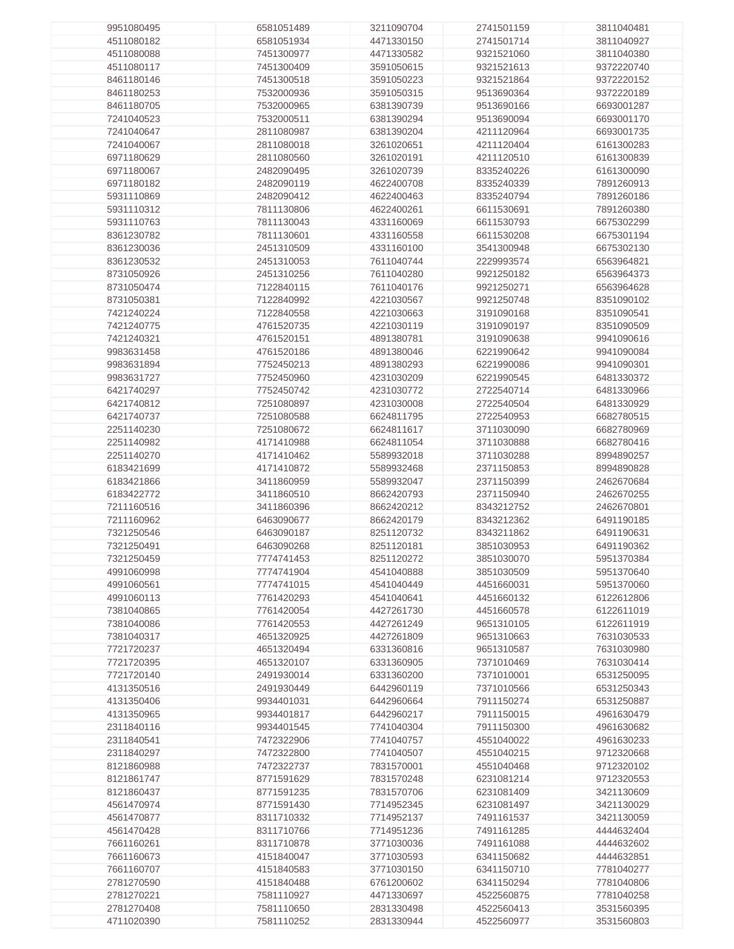| 9951080495 | 6581051489 | 3211090704 | 2741501159 | 3811040481 |
|------------|------------|------------|------------|------------|
| 4511080182 | 6581051934 |            | 2741501714 | 3811040927 |
|            |            | 4471330150 |            |            |
| 4511080088 | 7451300977 | 4471330582 | 9321521060 | 3811040380 |
| 4511080117 | 7451300409 | 3591050615 | 9321521613 | 9372220740 |
| 8461180146 | 7451300518 | 3591050223 | 9321521864 | 9372220152 |
| 8461180253 | 7532000936 | 3591050315 | 9513690364 | 9372220189 |
|            |            |            |            |            |
| 8461180705 | 7532000965 | 6381390739 | 9513690166 | 6693001287 |
| 7241040523 | 7532000511 | 6381390294 | 9513690094 | 6693001170 |
| 7241040647 | 2811080987 | 6381390204 | 4211120964 | 6693001735 |
| 7241040067 | 2811080018 | 3261020651 | 4211120404 | 6161300283 |
| 6971180629 |            |            | 4211120510 |            |
|            | 2811080560 | 3261020191 |            | 6161300839 |
| 6971180067 | 2482090495 | 3261020739 | 8335240226 | 6161300090 |
| 6971180182 | 2482090119 | 4622400708 | 8335240339 | 7891260913 |
| 5931110869 | 2482090412 | 4622400463 | 8335240794 | 7891260186 |
| 5931110312 | 7811130806 | 4622400261 | 6611530691 | 7891260380 |
|            |            |            |            |            |
| 5931110763 | 7811130043 | 4331160069 | 6611530793 | 6675302299 |
| 8361230782 | 7811130601 | 4331160558 | 6611530208 | 6675301194 |
| 8361230036 | 2451310509 | 4331160100 | 3541300948 | 6675302130 |
| 8361230532 | 2451310053 | 7611040744 | 2229993574 | 6563964821 |
| 8731050926 | 2451310256 | 7611040280 | 9921250182 | 6563964373 |
|            |            |            |            |            |
| 8731050474 | 7122840115 | 7611040176 | 9921250271 | 6563964628 |
| 8731050381 | 7122840992 | 4221030567 | 9921250748 | 8351090102 |
| 7421240224 | 7122840558 | 4221030663 | 3191090168 | 8351090541 |
| 7421240775 | 4761520735 | 4221030119 | 3191090197 | 8351090509 |
|            |            | 4891380781 |            | 9941090616 |
| 7421240321 | 4761520151 |            | 3191090638 |            |
| 9983631458 | 4761520186 | 4891380046 | 6221990642 | 9941090084 |
| 9983631894 | 7752450213 | 4891380293 | 6221990086 | 9941090301 |
| 9983631727 | 7752450960 | 4231030209 | 6221990545 | 6481330372 |
| 6421740297 | 7752450742 | 4231030772 | 2722540714 | 6481330966 |
|            |            |            |            |            |
| 6421740812 | 7251080897 | 4231030008 | 2722540504 | 6481330929 |
| 6421740737 | 7251080588 | 6624811795 | 2722540953 | 6682780515 |
| 2251140230 | 7251080672 | 6624811617 | 3711030090 | 6682780969 |
| 2251140982 | 4171410988 | 6624811054 | 3711030888 | 6682780416 |
| 2251140270 | 4171410462 | 5589932018 | 3711030288 | 8994890257 |
|            |            |            |            |            |
| 6183421699 | 4171410872 | 5589932468 | 2371150853 | 8994890828 |
| 6183421866 | 3411860959 | 5589932047 | 2371150399 | 2462670684 |
| 6183422772 | 3411860510 | 8662420793 | 2371150940 | 2462670255 |
| 7211160516 | 3411860396 | 8662420212 | 8343212752 | 2462670801 |
| 7211160962 | 6463090677 | 8662420179 | 8343212362 | 6491190185 |
|            |            |            |            |            |
| 7321250546 | 6463090187 | 8251120732 | 8343211862 | 6491190631 |
| 7321250491 | 6463090268 | 8251120181 | 3851030953 | 6491190362 |
| 7321250459 | 7774741453 | 8251120272 | 3851030070 | 5951370384 |
| 4991060998 | 7774741904 | 4541040888 | 3851030509 | 5951370640 |
| 4991060561 | 7774741015 | 4541040449 | 4451660031 | 5951370060 |
|            |            |            |            |            |
| 4991060113 | 7761420293 | 4541040641 | 4451660132 | 6122612806 |
| 7381040865 | 7761420054 | 4427261730 | 4451660578 | 6122611019 |
| 7381040086 | 7761420553 | 4427261249 | 9651310105 | 6122611919 |
| 7381040317 | 4651320925 | 4427261809 | 9651310663 | 7631030533 |
| 7721720237 | 4651320494 | 6331360816 | 9651310587 | 7631030980 |
|            |            |            |            | 7631030414 |
| 7721720395 | 4651320107 | 6331360905 | 7371010469 |            |
| 7721720140 | 2491930014 | 6331360200 | 7371010001 | 6531250095 |
| 4131350516 | 2491930449 | 6442960119 | 7371010566 | 6531250343 |
| 4131350406 | 9934401031 | 6442960664 | 7911150274 | 6531250887 |
| 4131350965 | 9934401817 | 6442960217 | 7911150015 | 4961630479 |
| 2311840116 | 9934401545 | 7741040304 | 7911150300 | 4961630682 |
|            |            |            |            |            |
| 2311840541 | 7472322906 | 7741040757 | 4551040022 | 4961630233 |
| 2311840297 | 7472322800 | 7741040507 | 4551040215 | 9712320668 |
| 8121860988 | 7472322737 | 7831570001 | 4551040468 | 9712320102 |
| 8121861747 | 8771591629 | 7831570248 | 6231081214 | 9712320553 |
| 8121860437 | 8771591235 | 7831570706 | 6231081409 | 3421130609 |
|            |            |            |            |            |
| 4561470974 | 8771591430 | 7714952345 | 6231081497 | 3421130029 |
| 4561470877 | 8311710332 | 7714952137 | 7491161537 | 3421130059 |
| 4561470428 | 8311710766 | 7714951236 | 7491161285 | 4444632404 |
| 7661160261 | 8311710878 | 3771030036 | 7491161088 | 4444632602 |
| 7661160673 | 4151840047 | 3771030593 | 6341150682 | 4444632851 |
|            |            |            |            |            |
| 7661160707 | 4151840583 | 3771030150 | 6341150710 | 7781040277 |
| 2781270590 | 4151840488 | 6761200602 | 6341150294 | 7781040806 |
| 2781270221 | 7581110927 | 4471330697 | 4522560875 | 7781040258 |
| 2781270408 | 7581110650 | 2831330498 | 4522560413 | 3531560395 |
| 4711020390 | 7581110252 | 2831330944 | 4522560977 | 3531560803 |
|            |            |            |            |            |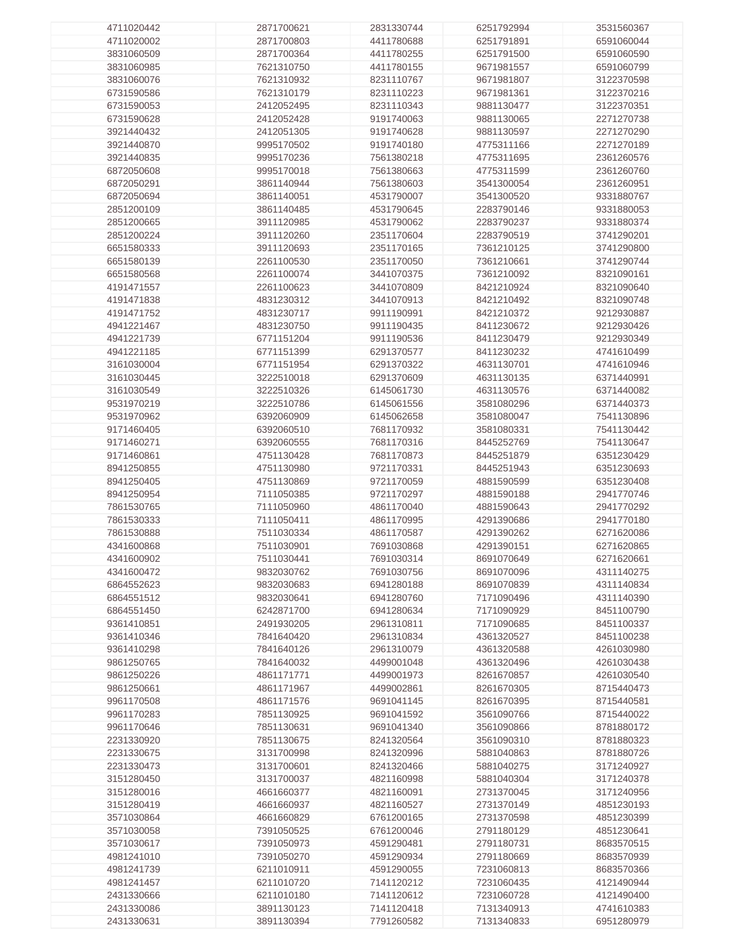| 4711020442 | 2871700621 | 2831330744 | 6251792994 | 3531560367 |
|------------|------------|------------|------------|------------|
|            |            |            |            |            |
| 4711020002 | 2871700803 | 4411780688 | 6251791891 | 6591060044 |
| 3831060509 | 2871700364 | 4411780255 | 6251791500 | 6591060590 |
|            |            |            |            |            |
| 3831060985 | 7621310750 | 4411780155 | 9671981557 | 6591060799 |
| 3831060076 | 7621310932 | 8231110767 | 9671981807 | 3122370598 |
|            |            |            |            |            |
| 6731590586 | 7621310179 | 8231110223 | 9671981361 | 3122370216 |
| 6731590053 | 2412052495 | 8231110343 | 9881130477 | 3122370351 |
| 6731590628 | 2412052428 |            |            | 2271270738 |
|            |            | 9191740063 | 9881130065 |            |
| 3921440432 | 2412051305 | 9191740628 | 9881130597 | 2271270290 |
| 3921440870 | 9995170502 | 9191740180 | 4775311166 | 2271270189 |
|            |            |            |            |            |
| 3921440835 | 9995170236 | 7561380218 | 4775311695 | 2361260576 |
| 6872050608 | 9995170018 | 7561380663 | 4775311599 | 2361260760 |
|            |            |            |            |            |
| 6872050291 | 3861140944 | 7561380603 | 3541300054 | 2361260951 |
| 6872050694 | 3861140051 | 4531790007 | 3541300520 | 9331880767 |
|            |            |            |            |            |
| 2851200109 | 3861140485 | 4531790645 | 2283790146 | 9331880053 |
| 2851200665 | 3911120985 | 4531790062 | 2283790237 | 9331880374 |
| 2851200224 | 3911120260 | 2351170604 | 2283790519 | 3741290201 |
|            |            |            |            |            |
| 6651580333 | 3911120693 | 2351170165 | 7361210125 | 3741290800 |
| 6651580139 | 2261100530 | 2351170050 | 7361210661 | 3741290744 |
|            |            |            |            |            |
| 6651580568 | 2261100074 | 3441070375 | 7361210092 | 8321090161 |
| 4191471557 | 2261100623 | 3441070809 | 8421210924 | 8321090640 |
|            |            |            |            |            |
| 4191471838 | 4831230312 | 3441070913 | 8421210492 | 8321090748 |
| 4191471752 | 4831230717 | 9911190991 | 8421210372 | 9212930887 |
|            |            |            |            |            |
| 4941221467 | 4831230750 | 9911190435 | 8411230672 | 9212930426 |
| 4941221739 | 6771151204 | 9911190536 | 8411230479 | 9212930349 |
|            |            |            |            |            |
| 4941221185 | 6771151399 | 6291370577 | 8411230232 | 4741610499 |
| 3161030004 | 6771151954 | 6291370322 | 4631130701 | 4741610946 |
|            |            |            |            |            |
| 3161030445 | 3222510018 | 6291370609 | 4631130135 | 6371440991 |
| 3161030549 | 3222510326 | 6145061730 | 4631130576 | 6371440082 |
| 9531970219 | 3222510786 | 6145061556 | 3581080296 | 6371440373 |
|            |            |            |            |            |
| 9531970962 | 6392060909 | 6145062658 | 3581080047 | 7541130896 |
| 9171460405 | 6392060510 | 7681170932 | 3581080331 | 7541130442 |
|            |            |            |            |            |
| 9171460271 | 6392060555 | 7681170316 | 8445252769 | 7541130647 |
| 9171460861 | 4751130428 | 7681170873 | 8445251879 | 6351230429 |
|            |            |            |            |            |
| 8941250855 | 4751130980 | 9721170331 | 8445251943 | 6351230693 |
| 8941250405 | 4751130869 | 9721170059 | 4881590599 | 6351230408 |
|            |            |            |            |            |
| 8941250954 | 7111050385 | 9721170297 | 4881590188 | 2941770746 |
| 7861530765 | 7111050960 | 4861170040 | 4881590643 | 2941770292 |
|            |            |            |            |            |
| 7861530333 | 7111050411 | 4861170995 | 4291390686 | 2941770180 |
| 7861530888 | 7511030334 | 4861170587 | 4291390262 | 6271620086 |
| 4341600868 | 7511030901 |            |            | 6271620865 |
|            |            | 7691030868 | 4291390151 |            |
| 4341600902 | 7511030441 | 7691030314 | 8691070649 | 6271620661 |
| 4341600472 | 9832030762 | 7691030756 | 8691070096 | 4311140275 |
|            |            |            |            |            |
| 6864552623 | 9832030683 | 6941280188 | 8691070839 | 4311140834 |
| 6864551512 | 9832030641 | 6941280760 | 7171090496 | 4311140390 |
|            |            |            |            |            |
| 6864551450 | 6242871700 | 6941280634 | 7171090929 | 8451100790 |
| 9361410851 | 2491930205 | 2961310811 | 7171090685 | 8451100337 |
|            |            |            |            |            |
| 9361410346 | 7841640420 | 2961310834 | 4361320527 | 8451100238 |
| 9361410298 | 7841640126 | 2961310079 | 4361320588 | 4261030980 |
|            |            |            |            |            |
| 9861250765 | 7841640032 | 4499001048 | 4361320496 | 4261030438 |
| 9861250226 | 4861171771 | 4499001973 | 8261670857 | 4261030540 |
| 9861250661 | 4861171967 | 4499002861 | 8261670305 | 8715440473 |
|            |            |            |            |            |
| 9961170508 | 4861171576 | 9691041145 | 8261670395 | 8715440581 |
| 9961170283 | 7851130925 | 9691041592 | 3561090766 | 8715440022 |
|            |            |            |            |            |
| 9961170646 | 7851130631 | 9691041340 | 3561090866 | 8781880172 |
| 2231330920 | 7851130675 | 8241320564 | 3561090310 | 8781880323 |
|            |            |            |            |            |
| 2231330675 | 3131700998 | 8241320996 | 5881040863 | 8781880726 |
| 2231330473 | 3131700601 | 8241320466 | 5881040275 | 3171240927 |
|            |            |            |            |            |
| 3151280450 | 3131700037 | 4821160998 | 5881040304 | 3171240378 |
| 3151280016 | 4661660377 | 4821160091 | 2731370045 | 3171240956 |
| 3151280419 | 4661660937 | 4821160527 | 2731370149 | 4851230193 |
|            |            |            |            |            |
| 3571030864 | 4661660829 | 6761200165 | 2731370598 | 4851230399 |
| 3571030058 | 7391050525 | 6761200046 | 2791180129 | 4851230641 |
|            |            |            |            |            |
| 3571030617 | 7391050973 | 4591290481 | 2791180731 | 8683570515 |
| 4981241010 | 7391050270 | 4591290934 | 2791180669 | 8683570939 |
|            |            |            |            |            |
| 4981241739 | 6211010911 | 4591290055 | 7231060813 | 8683570366 |
| 4981241457 | 6211010720 | 7141120212 | 7231060435 | 4121490944 |
|            |            |            |            |            |
| 2431330666 | 6211010180 | 7141120612 | 7231060728 | 4121490400 |
| 2431330086 | 3891130123 | 7141120418 | 7131340913 | 4741610383 |
| 2431330631 |            |            |            |            |
|            | 3891130394 | 7791260582 | 7131340833 | 6951280979 |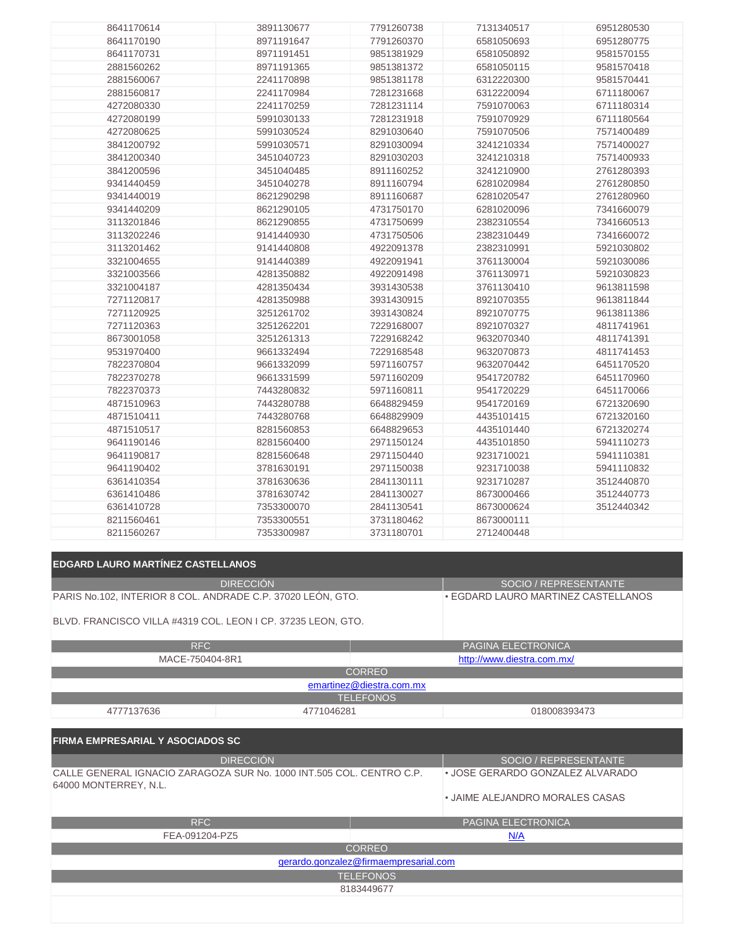| 8641170614 | 3891130677 | 7791260738 | 7131340517 | 6951280530 |
|------------|------------|------------|------------|------------|
| 8641170190 | 8971191647 | 7791260370 | 6581050693 | 6951280775 |
| 8641170731 | 8971191451 | 9851381929 | 6581050892 | 9581570155 |
| 2881560262 | 8971191365 | 9851381372 | 6581050115 | 9581570418 |
| 2881560067 | 2241170898 | 9851381178 | 6312220300 | 9581570441 |
| 2881560817 | 2241170984 | 7281231668 | 6312220094 | 6711180067 |
| 4272080330 | 2241170259 | 7281231114 | 7591070063 | 6711180314 |
| 4272080199 | 5991030133 | 7281231918 | 7591070929 | 6711180564 |
| 4272080625 | 5991030524 | 8291030640 | 7591070506 | 7571400489 |
| 3841200792 | 5991030571 | 8291030094 | 3241210334 | 7571400027 |
| 3841200340 | 3451040723 | 8291030203 | 3241210318 | 7571400933 |
| 3841200596 | 3451040485 | 8911160252 | 3241210900 | 2761280393 |
| 9341440459 | 3451040278 | 8911160794 | 6281020984 | 2761280850 |
| 9341440019 | 8621290298 | 8911160687 | 6281020547 | 2761280960 |
| 9341440209 | 8621290105 | 4731750170 | 6281020096 | 7341660079 |
| 3113201846 | 8621290855 | 4731750699 | 2382310554 | 7341660513 |
| 3113202246 | 9141440930 | 4731750506 | 2382310449 | 7341660072 |
| 3113201462 | 9141440808 | 4922091378 | 2382310991 | 5921030802 |
| 3321004655 | 9141440389 | 4922091941 | 3761130004 | 5921030086 |
| 3321003566 | 4281350882 | 4922091498 | 3761130971 | 5921030823 |
| 3321004187 | 4281350434 | 3931430538 | 3761130410 | 9613811598 |
| 7271120817 | 4281350988 | 3931430915 | 8921070355 | 9613811844 |
| 7271120925 | 3251261702 | 3931430824 | 8921070775 | 9613811386 |
| 7271120363 | 3251262201 | 7229168007 | 8921070327 | 4811741961 |
| 8673001058 | 3251261313 | 7229168242 | 9632070340 | 4811741391 |
| 9531970400 | 9661332494 | 7229168548 | 9632070873 | 4811741453 |
| 7822370804 | 9661332099 | 5971160757 | 9632070442 | 6451170520 |
| 7822370278 | 9661331599 | 5971160209 | 9541720782 | 6451170960 |
| 7822370373 | 7443280832 | 5971160811 | 9541720229 | 6451170066 |
| 4871510963 | 7443280788 | 6648829459 | 9541720169 | 6721320690 |
| 4871510411 | 7443280768 | 6648829909 | 4435101415 | 6721320160 |
| 4871510517 | 8281560853 | 6648829653 | 4435101440 | 6721320274 |
| 9641190146 | 8281560400 | 2971150124 | 4435101850 | 5941110273 |
| 9641190817 | 8281560648 | 2971150440 | 9231710021 | 5941110381 |
| 9641190402 | 3781630191 | 2971150038 | 9231710038 | 5941110832 |
| 6361410354 | 3781630636 | 2841130111 | 9231710287 | 3512440870 |
| 6361410486 | 3781630742 | 2841130027 | 8673000466 | 3512440773 |
| 6361410728 | 7353300070 | 2841130541 | 8673000624 | 3512440342 |
| 8211560461 | 7353300551 | 3731180462 | 8673000111 |            |
| 8211560267 | 7353300987 | 3731180701 | 2712400448 |            |

| <b>EDGARD LAURO MARTINEZ CASTELLANOS</b>                                                      |                                       |
|-----------------------------------------------------------------------------------------------|---------------------------------------|
| <b>DIRECCIÓN</b>                                                                              | SOCIO / REPRESENTANTE                 |
| PARIS No.102, INTERIOR 8 COL. ANDRADE C.P. 37020 LEÓN, GTO.                                   | . EGDARD LAURO MARTINEZ CASTELLANOS   |
| BLVD. FRANCISCO VILLA #4319 COL. LEON I CP. 37235 LEON, GTO.                                  |                                       |
| <b>RFC</b>                                                                                    | PAGINA ELECTRONICA                    |
| MACE-750404-8R1                                                                               | http://www.diestra.com.mx/            |
|                                                                                               | <b>CORREO</b>                         |
|                                                                                               | emartinez@diestra.com.mx              |
|                                                                                               | <b>TELEFONOS</b>                      |
| 4777137636<br>4771046281                                                                      | 018008393473                          |
|                                                                                               |                                       |
| <b>FIRMA EMPRESARIAL Y ASOCIADOS SC</b>                                                       |                                       |
| <b>DIRECCIÓN</b>                                                                              | SOCIO / REPRESENTANTE                 |
| CALLE GENERAL IGNACIO ZARAGOZA SUR No. 1000 INT.505 COL. CENTRO C.P.<br>64000 MONTERREY, N.L. | • JOSE GERARDO GONZALEZ ALVARADO      |
|                                                                                               | • JAIME ALEJANDRO MORALES CASAS       |
| <b>RFC</b>                                                                                    | PAGINA ELECTRONICA                    |
| FEA-091204-PZ5                                                                                | N/A                                   |
|                                                                                               | <b>CORREO</b>                         |
|                                                                                               | gerardo.gonzalez@firmaempresarial.com |
|                                                                                               | <b>TELEFONOS</b>                      |
|                                                                                               | 8183449677                            |
|                                                                                               |                                       |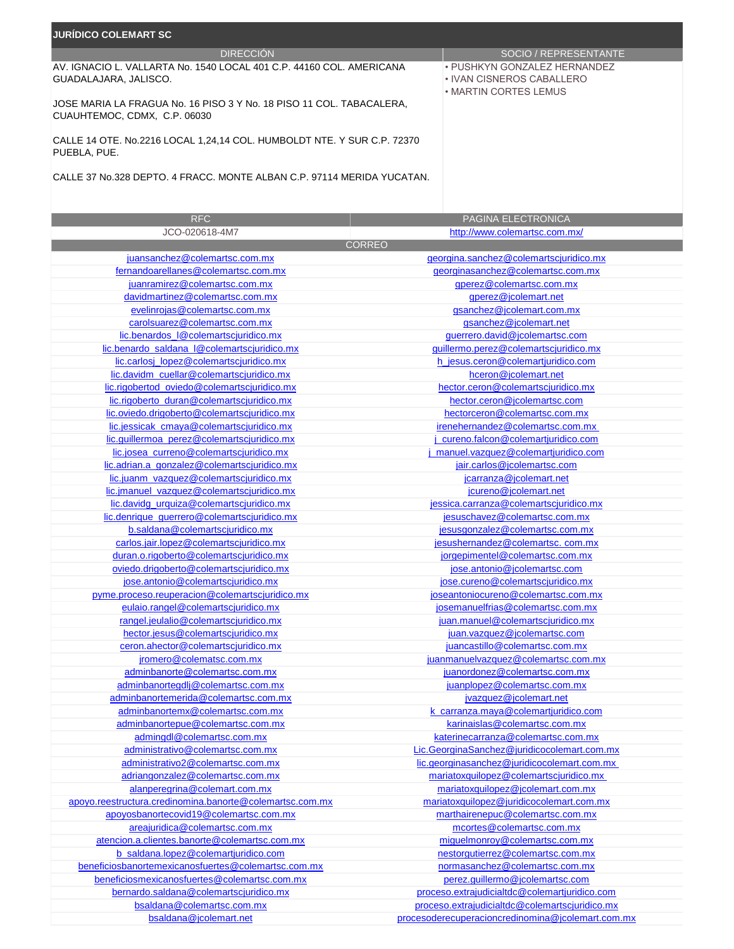| <b>JURÍDICO COLEMART SC</b>                                                                          |                                                                                    |  |  |  |  |
|------------------------------------------------------------------------------------------------------|------------------------------------------------------------------------------------|--|--|--|--|
| <b>DIRECCIÓN</b>                                                                                     | SOCIO / REPRESENTANTE                                                              |  |  |  |  |
| AV. IGNACIO L. VALLARTA No. 1540 LOCAL 401 C.P. 44160 COL. AMERICANA<br>GUADALAJARA, JALISCO.        | • PUSHKYN GONZALEZ HERNANDEZ<br>• IVAN CISNEROS CABALLERO<br>• MARTIN CORTES LEMUS |  |  |  |  |
| JOSE MARIA LA FRAGUA No. 16 PISO 3 Y No. 18 PISO 11 COL. TABACALERA,<br>CUAUHTEMOC, CDMX, C.P. 06030 |                                                                                    |  |  |  |  |
| CALLE 14 OTE, No.2216 LOCAL 1.24.14 COL, HUMBOLDT NTE, Y SUR C.P. 72370<br>PUEBLA, PUE.              |                                                                                    |  |  |  |  |

CALLE 37 No.328 DEPTO. 4 FRACC. MONTE ALBAN C.P. 97114 MERIDA YUCATAN.

| <b>RFC</b>                                               | PAGINA ELECTRONICA                                |
|----------------------------------------------------------|---------------------------------------------------|
| JCO-020618-4M7                                           | http://www.colemartsc.com.mx/                     |
|                                                          | <b>CORREO</b>                                     |
| juansanchez@colemartsc.com.mx                            | georgina.sanchez@colemartscjuridico.mx            |
| fernandoarellanes@colemartsc.com.mx                      | georginasanchez@colemartsc.com.mx                 |
| juanramirez@colemartsc.com.mx                            | gperez@colemartsc.com.mx                          |
| davidmartinez@colemartsc.com.mx                          | gperez@jcolemart.net                              |
| evelinrojas@colemartsc.com.mx                            | gsanchez@jcolemart.com.mx                         |
| carolsuarez@colemartsc.com.mx                            | gsanchez@jcolemart.net                            |
| lic.benardos_l@colemartscjuridico.mx                     | guerrero.david@jcolemartsc.com                    |
| lic.benardo_saldana_l@colemartscjuridico.mx              | guillermo.perez@colemartscjuridico.mx             |
| lic.carlosj_lopez@colemartscjuridico.mx                  | h_jesus.ceron@colemartjuridico.com                |
| lic.davidm_cuellar@colemartscjuridico.mx                 | hceron@jcolemart.net                              |
| lic.rigobertod_oviedo@colemartscjuridico.mx              | hector.ceron@colemartscjuridico.mx                |
| lic.rigoberto_duran@colemartscjuridico.mx                | hector.ceron@jcolemartsc.com                      |
| lic.oviedo.drigoberto@colemartscjuridico.mx              | hectorceron@colemartsc.com.mx                     |
| lic.jessicak_cmaya@colemartscjuridico.mx                 | irenehernandez@colemartsc.com.mx                  |
| lic.guillermoa_perez@colemartscjuridico.mx               | j_cureno.falcon@colemartjuridico.com              |
| lic.josea_curreno@colemartscjuridico.mx                  | manuel.vazquez@colemartjuridico.com               |
| lic.adrian.a_gonzalez@colemartscjuridico.mx              | jair.carlos@jcolemartsc.com                       |
| lic.juanm_vazquez@colemartscjuridico.mx                  | jcarranza@jcolemart.net                           |
| lic.jmanuel_vazquez@colemartscjuridico.mx                | jcureno@jcolemart.net                             |
| lic.davidg_urquiza@colemartscjuridico.mx                 | jessica.carranza@colemartscjuridico.mx            |
| lic.denrique_guerrero@colemartscjuridico.mx              | jesuschavez@colemartsc.com.mx                     |
| b.saldana@colemartscjuridico.mx                          | jesusgonzalez@colemartsc.com.mx                   |
| carlos.jair.lopez@colemartscjuridico.mx                  | jesushernandez@colemartsc.com.mx                  |
| duran.o.rigoberto@colemartscjuridico.mx                  | jorgepimentel@colemartsc.com.mx                   |
| oviedo.drigoberto@colemartscjuridico.mx                  | jose.antonio@jcolemartsc.com                      |
| jose.antonio@colemartscjuridico.mx                       | jose.cureno@colemartscjuridico.mx                 |
| pyme.proceso.reuperacion@colemartscjuridico.mx           | joseantoniocureno@colemartsc.com.mx               |
| eulaio.rangel@colemartscjuridico.mx                      | josemanuelfrias@colemartsc.com.mx                 |
| rangel.jeulalio@colemartscjuridico.mx                    | juan.manuel@colemartscjuridico.mx                 |
| hector.jesus@colemartscjuridico.mx                       | juan.vazquez@jcolemartsc.com                      |
| ceron.ahector@colemartscjuridico.mx                      | juancastillo@colemartsc.com.mx                    |
| jromero@colematsc.com.mx                                 | juanmanuelvazquez@colemartsc.com.mx               |
| adminbanorte@colemartsc.com.mx                           | juanordonez@colemartsc.com.mx                     |
| adminbanortegdlj@colemartsc.com.mx                       | juanplopez@colemartsc.com.mx                      |
| adminbanortemerida@colemartsc.com.mx                     | jvazquez@jcolemart.net                            |
| adminbanortemx@colemartsc.com.mx                         | k_carranza.maya@colemartjuridico.com              |
| adminbanortepue@colemartsc.com.mx                        | karinaislas@colemartsc.com.mx                     |
| admingdl@colemartsc.com.mx                               | katerinecarranza@colemartsc.com.mx                |
| administrativo@colemartsc.com.mx                         | Lic.GeorginaSanchez@juridicocolemart.com.mx       |
| administrativo2@colemartsc.com.mx                        | lic.georginasanchez@juridicocolemart.com.mx       |
| adriangonzalez@colemartsc.com.mx                         | mariatoxquilopez@colemartscjuridico.mx            |
| alanperegrina@colemart.com.mx                            | mariatoxquilopez@jcolemart.com.mx                 |
| apoyo.reestructura.credinomina.banorte@colemartsc.com.mx | mariatoxquilopez@juridicocolemart.com.mx          |
| apoyosbanortecovid19@colemartsc.com.mx                   | marthairenepuc@colemartsc.com.mx                  |
| areajuridica@colemartsc.com.mx                           | mcortes@colemartsc.com.mx                         |
| atencion.a.clientes.banorte@colemartsc.com.mx            | miguelmonroy@colemartsc.com.mx                    |
| b saldana.lopez@colemartjuridico.com                     | nestorgutierrez@colemartsc.com.mx                 |
| beneficiosbanortemexicanosfuertes@colemartsc.com.mx      | normasanchez@colemartsc.com.mx                    |
| beneficiosmexicanosfuertes@colemartsc.com.mx             | perez.guillermo@jcolemartsc.com                   |
| bernardo.saldana@colemartscjuridico.mx                   | proceso.extrajudicialtdc@colemartjuridico.com     |
| bsaldana@colemartsc.com.mx                               | proceso.extrajudicialtdc@colemartscjuridico.mx    |
| bsaldana@jcolemart.net                                   | procesoderecuperacioncredinomina@jcolemart.com.mx |
|                                                          |                                                   |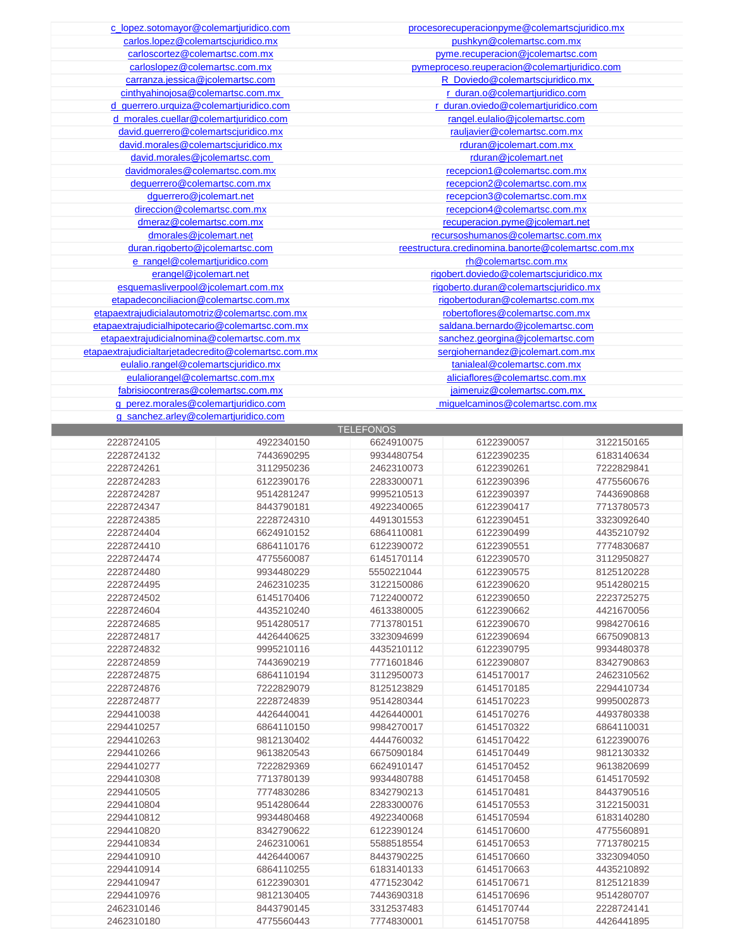| c_lopez.sotomayor@colemartjuridico.com               | procesorecuperacionpyme@colemartscjuridico.mx      |
|------------------------------------------------------|----------------------------------------------------|
| carlos.lopez@colemartscjuridico.mx                   | pushkyn@colemartsc.com.mx                          |
| carloscortez@colemartsc.com.mx                       | pyme.recuperacion@jcolemartsc.com                  |
| carloslopez@colemartsc.com.mx                        | pymeproceso.reuperacion@colemartjuridico.com       |
| carranza.jessica@jcolemartsc.com                     | R Doviedo@colemartscjuridico.mx                    |
| cinthyahinojosa@colemartsc.com.mx                    | r_duran.o@colemartjuridico.com                     |
| d querrero.urquiza@colemartiuridico.com              | r duran.oviedo@colemartjuridico.com                |
| d morales.cuellar@colemartjuridico.com               | rangel.eulalio@jcolemartsc.com                     |
| david.guerrero@colemartscjuridico.mx                 | rauliavier@colemartsc.com.mx                       |
| david.morales@colemartscjuridico.mx                  | rduran@jcolemart.com.mx                            |
| david.morales@jcolemartsc.com                        | rduran@jcolemart.net                               |
| davidmorales@colemartsc.com.mx                       | recepcion1@colemartsc.com.mx                       |
| dequerrero@colemartsc.com.mx                         | recepcion2@colemartsc.com.mx                       |
| dguerrero@jcolemart.net                              | recepcion3@colemartsc.com.mx                       |
| direccion@colemartsc.com.mx                          | recepcion4@colemartsc.com.mx                       |
| dmeraz@colemartsc.com.mx                             | recuperacion.pyme@jcolemart.net                    |
| dmorales@jcolemart.net                               | recursoshumanos@colemartsc.com.mx                  |
| duran.rigoberto@jcolemartsc.com                      | reestructura.credinomina.banorte@colemartsc.com.mx |
| e_rangel@colemartjuridico.com                        | rh@colemartsc.com.mx                               |
| erangel@jcolemart.net                                | rigobert.doviedo@colemartscjuridico.mx             |
| esquemasliverpool@jcolemart.com.mx                   | rigoberto.duran@colemartscjuridico.mx              |
| etapadeconciliacion@colemartsc.com.mx                | rigobertoduran@colemartsc.com.mx                   |
| etapaextrajudicialautomotriz@colemartsc.com.mx       | robertoflores@colemartsc.com.mx                    |
| etapaextrajudicialhipotecario@colemartsc.com.mx      | saldana.bernardo@jcolemartsc.com                   |
| etapaextrajudicialnomina@colemartsc.com.mx           | sanchez.georgina@jcolemartsc.com                   |
| etapaextrajudicialtarjetadecredito@colemartsc.com.mx | sergiohernandez@jcolemart.com.mx                   |
| eulalio.rangel@colemartscjuridico.mx                 | tanialeal@colemartsc.com.mx                        |
| eulaliorangel@colemartsc.com.mx                      | aliciaflores@colemartsc.com.mx                     |
| fabrisiocontreras@colemartsc.com.mx                  | jaimeruiz@colemartsc.com.mx                        |
| g_perez.morales@colemartjuridico.com                 | miguelcaminos@colemartsc.com.mx                    |
| g_sanchez.arley@colemartjuridico.com                 |                                                    |

|            |            | <b>TELEFONOS</b> |            |            |
|------------|------------|------------------|------------|------------|
| 2228724105 | 4922340150 | 6624910075       | 6122390057 | 3122150165 |
| 2228724132 | 7443690295 | 9934480754       | 6122390235 | 6183140634 |
| 2228724261 | 3112950236 | 2462310073       | 6122390261 | 7222829841 |
| 2228724283 | 6122390176 | 2283300071       | 6122390396 | 4775560676 |
| 2228724287 | 9514281247 | 9995210513       | 6122390397 | 7443690868 |
| 2228724347 | 8443790181 | 4922340065       | 6122390417 | 7713780573 |
| 2228724385 | 2228724310 | 4491301553       | 6122390451 | 3323092640 |
| 2228724404 | 6624910152 | 6864110081       | 6122390499 | 4435210792 |
| 2228724410 | 6864110176 | 6122390072       | 6122390551 | 7774830687 |
| 2228724474 | 4775560087 | 6145170114       | 6122390570 | 3112950827 |
| 2228724480 | 9934480229 | 5550221044       | 6122390575 | 8125120228 |
| 2228724495 | 2462310235 | 3122150086       | 6122390620 | 9514280215 |
| 2228724502 | 6145170406 | 7122400072       | 6122390650 | 2223725275 |
| 2228724604 | 4435210240 | 4613380005       | 6122390662 | 4421670056 |
| 2228724685 | 9514280517 | 7713780151       | 6122390670 | 9984270616 |
| 2228724817 | 4426440625 | 3323094699       | 6122390694 | 6675090813 |
| 2228724832 | 9995210116 | 4435210112       | 6122390795 | 9934480378 |
| 2228724859 | 7443690219 | 7771601846       | 6122390807 | 8342790863 |
| 2228724875 | 6864110194 | 3112950073       | 6145170017 | 2462310562 |
| 2228724876 | 7222829079 | 8125123829       | 6145170185 | 2294410734 |
| 2228724877 | 2228724839 | 9514280344       | 6145170223 | 9995002873 |
| 2294410038 | 4426440041 | 4426440001       | 6145170276 | 4493780338 |
| 2294410257 | 6864110150 | 9984270017       | 6145170322 | 6864110031 |
| 2294410263 | 9812130402 | 4444760032       | 6145170422 | 6122390076 |
| 2294410266 | 9613820543 | 6675090184       | 6145170449 | 9812130332 |
| 2294410277 | 7222829369 | 6624910147       | 6145170452 | 9613820699 |
| 2294410308 | 7713780139 | 9934480788       | 6145170458 | 6145170592 |
| 2294410505 | 7774830286 | 8342790213       | 6145170481 | 8443790516 |
| 2294410804 | 9514280644 | 2283300076       | 6145170553 | 3122150031 |
| 2294410812 | 9934480468 | 4922340068       | 6145170594 | 6183140280 |
| 2294410820 | 8342790622 | 6122390124       | 6145170600 | 4775560891 |
| 2294410834 | 2462310061 | 5588518554       | 6145170653 | 7713780215 |
| 2294410910 | 4426440067 | 8443790225       | 6145170660 | 3323094050 |
| 2294410914 | 6864110255 | 6183140133       | 6145170663 | 4435210892 |
| 2294410947 | 6122390301 | 4771523042       | 6145170671 | 8125121839 |
| 2294410976 | 9812130405 | 7443690318       | 6145170696 | 9514280707 |
| 2462310146 | 8443790145 | 3312537483       | 6145170744 | 2228724141 |
| 2462310180 | 4775560443 | 7774830001       | 6145170758 | 4426441895 |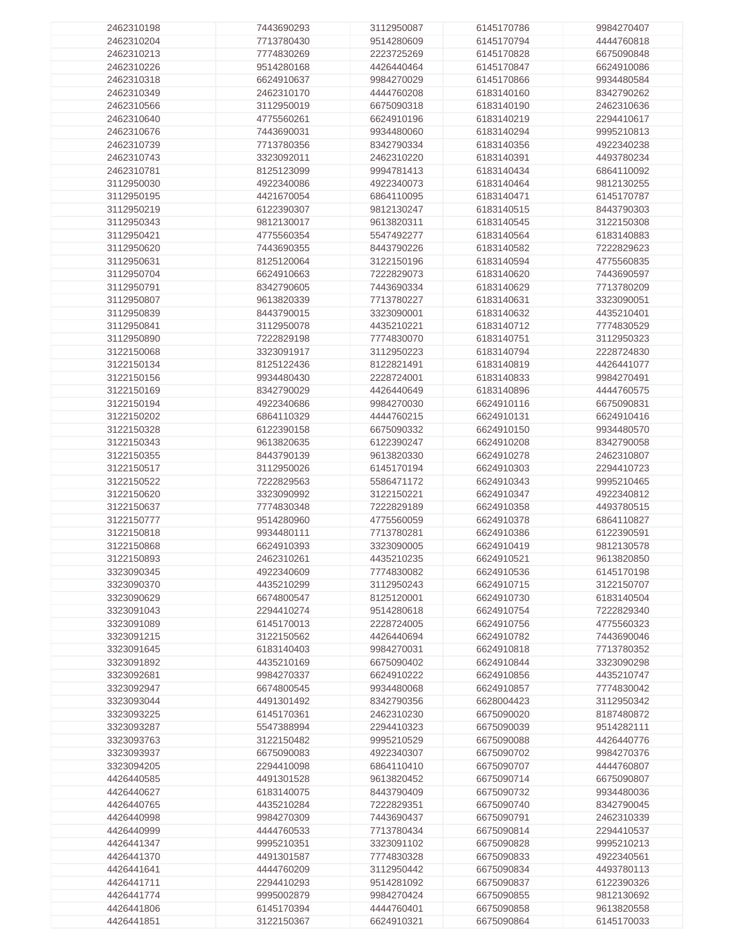| 2462310198 | 7443690293 | 3112950087 | 6145170786 | 9984270407 |
|------------|------------|------------|------------|------------|
|            |            |            |            |            |
| 2462310204 | 7713780430 | 9514280609 | 6145170794 | 4444760818 |
| 2462310213 | 7774830269 | 2223725269 | 6145170828 | 6675090848 |
| 2462310226 | 9514280168 | 4426440464 | 6145170847 | 6624910086 |
|            |            |            |            |            |
| 2462310318 | 6624910637 | 9984270029 | 6145170866 | 9934480584 |
| 2462310349 | 2462310170 | 4444760208 | 6183140160 | 8342790262 |
| 2462310566 | 3112950019 | 6675090318 | 6183140190 | 2462310636 |
|            |            |            |            |            |
| 2462310640 | 4775560261 | 6624910196 | 6183140219 | 2294410617 |
| 2462310676 | 7443690031 | 9934480060 | 6183140294 | 9995210813 |
| 2462310739 | 7713780356 | 8342790334 | 6183140356 | 4922340238 |
|            |            |            |            |            |
| 2462310743 | 3323092011 | 2462310220 | 6183140391 | 4493780234 |
| 2462310781 | 8125123099 | 9994781413 | 6183140434 | 6864110092 |
| 3112950030 | 4922340086 | 4922340073 | 6183140464 | 9812130255 |
|            |            |            |            |            |
| 3112950195 | 4421670054 | 6864110095 | 6183140471 | 6145170787 |
| 3112950219 | 6122390307 | 9812130247 | 6183140515 | 8443790303 |
| 3112950343 | 9812130017 | 9613820311 | 6183140545 | 3122150308 |
|            |            |            |            |            |
| 3112950421 | 4775560354 | 5547492277 | 6183140564 | 6183140883 |
| 3112950620 | 7443690355 | 8443790226 | 6183140582 | 7222829623 |
| 3112950631 | 8125120064 | 3122150196 | 6183140594 | 4775560835 |
|            |            |            |            |            |
| 3112950704 | 6624910663 | 7222829073 | 6183140620 | 7443690597 |
| 3112950791 | 8342790605 | 7443690334 | 6183140629 | 7713780209 |
| 3112950807 | 9613820339 | 7713780227 | 6183140631 | 3323090051 |
| 3112950839 | 8443790015 | 3323090001 | 6183140632 | 4435210401 |
|            |            |            |            |            |
| 3112950841 | 3112950078 | 4435210221 | 6183140712 | 7774830529 |
| 3112950890 | 7222829198 | 7774830070 | 6183140751 | 3112950323 |
| 3122150068 | 3323091917 | 3112950223 | 6183140794 | 2228724830 |
| 3122150134 | 8125122436 | 8122821491 | 6183140819 | 4426441077 |
|            |            |            |            |            |
| 3122150156 | 9934480430 | 2228724001 | 6183140833 | 9984270491 |
| 3122150169 | 8342790029 | 4426440649 | 6183140896 | 4444760575 |
| 3122150194 | 4922340686 | 9984270030 | 6624910116 | 6675090831 |
|            |            |            |            |            |
| 3122150202 | 6864110329 | 4444760215 | 6624910131 | 6624910416 |
| 3122150328 | 6122390158 | 6675090332 | 6624910150 | 9934480570 |
| 3122150343 | 9613820635 | 6122390247 | 6624910208 | 8342790058 |
| 3122150355 | 8443790139 | 9613820330 | 6624910278 | 2462310807 |
|            |            |            |            |            |
| 3122150517 | 3112950026 | 6145170194 | 6624910303 | 2294410723 |
| 3122150522 | 7222829563 | 5586471172 | 6624910343 | 9995210465 |
| 3122150620 | 3323090992 | 3122150221 | 6624910347 | 4922340812 |
| 3122150637 | 7774830348 | 7222829189 | 6624910358 | 4493780515 |
|            |            |            |            |            |
| 3122150777 | 9514280960 | 4775560059 | 6624910378 | 6864110827 |
| 3122150818 | 9934480111 | 7713780281 | 6624910386 | 6122390591 |
| 3122150868 | 6624910393 | 3323090005 | 6624910419 | 9812130578 |
| 3122150893 | 2462310261 | 4435210235 | 6624910521 | 9613820850 |
|            |            |            |            |            |
| 3323090345 | 4922340609 | 7774830082 | 6624910536 | 6145170198 |
| 3323090370 | 4435210299 | 3112950243 | 6624910715 | 3122150707 |
| 3323090629 | 6674800547 | 8125120001 | 6624910730 | 6183140504 |
| 3323091043 | 2294410274 | 9514280618 | 6624910754 | 7222829340 |
|            |            |            |            |            |
| 3323091089 | 6145170013 | 2228724005 | 6624910756 | 4775560323 |
| 3323091215 | 3122150562 | 4426440694 | 6624910782 | 7443690046 |
| 3323091645 | 6183140403 | 9984270031 | 6624910818 | 7713780352 |
| 3323091892 | 4435210169 | 6675090402 | 6624910844 | 3323090298 |
|            |            |            |            |            |
| 3323092681 | 9984270337 | 6624910222 | 6624910856 | 4435210747 |
| 3323092947 | 6674800545 | 9934480068 | 6624910857 | 7774830042 |
| 3323093044 | 4491301492 | 8342790356 | 6628004423 | 3112950342 |
| 3323093225 | 6145170361 | 2462310230 | 6675090020 | 8187480872 |
|            |            |            |            |            |
| 3323093287 | 5547388994 | 2294410323 | 6675090039 | 9514282111 |
| 3323093763 | 3122150482 | 9995210529 | 6675090088 | 4426440776 |
| 3323093937 | 6675090083 | 4922340307 | 6675090702 | 9984270376 |
| 3323094205 | 2294410098 | 6864110410 | 6675090707 | 4444760807 |
|            |            |            |            |            |
| 4426440585 | 4491301528 | 9613820452 | 6675090714 | 6675090807 |
| 4426440627 | 6183140075 | 8443790409 | 6675090732 | 9934480036 |
| 4426440765 | 4435210284 | 7222829351 | 6675090740 | 8342790045 |
| 4426440998 | 9984270309 | 7443690437 | 6675090791 | 2462310339 |
|            |            |            |            |            |
| 4426440999 | 4444760533 | 7713780434 | 6675090814 | 2294410537 |
| 4426441347 | 9995210351 | 3323091102 | 6675090828 | 9995210213 |
| 4426441370 | 4491301587 | 7774830328 | 6675090833 | 4922340561 |
| 4426441641 | 4444760209 | 3112950442 | 6675090834 | 4493780113 |
|            |            |            |            |            |
| 4426441711 | 2294410293 | 9514281092 | 6675090837 | 6122390326 |
| 4426441774 | 9995002879 | 9984270424 | 6675090855 | 9812130692 |
| 4426441806 | 6145170394 | 4444760401 | 6675090858 | 9613820558 |
| 4426441851 | 3122150367 | 6624910321 | 6675090864 | 6145170033 |
|            |            |            |            |            |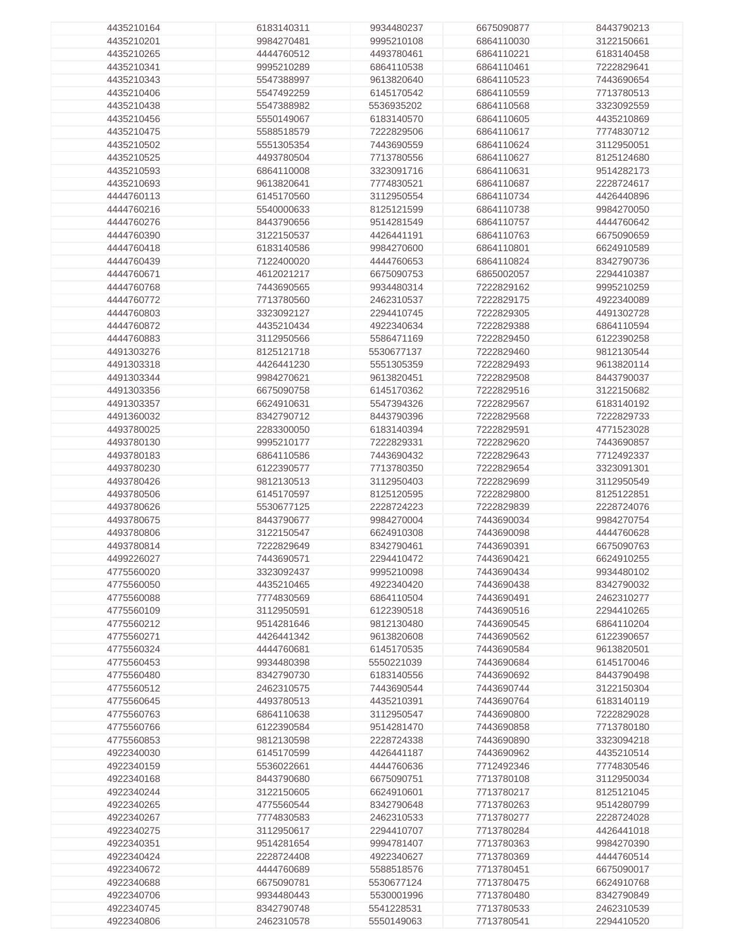| 4435210164 | 6183140311 | 9934480237 | 6675090877 | 8443790213 |
|------------|------------|------------|------------|------------|
| 4435210201 | 9984270481 | 9995210108 | 6864110030 | 3122150661 |
|            |            |            |            |            |
| 4435210265 | 4444760512 | 4493780461 | 6864110221 | 6183140458 |
| 4435210341 | 9995210289 | 6864110538 | 6864110461 | 7222829641 |
| 4435210343 | 5547388997 | 9613820640 | 6864110523 | 7443690654 |
| 4435210406 | 5547492259 | 6145170542 | 6864110559 | 7713780513 |
|            |            |            |            |            |
| 4435210438 | 5547388982 | 5536935202 | 6864110568 | 3323092559 |
| 4435210456 | 5550149067 | 6183140570 | 6864110605 | 4435210869 |
| 4435210475 | 5588518579 | 7222829506 | 6864110617 | 7774830712 |
| 4435210502 | 5551305354 | 7443690559 | 6864110624 | 3112950051 |
| 4435210525 | 4493780504 | 7713780556 | 6864110627 | 8125124680 |
|            |            |            |            |            |
| 4435210593 | 6864110008 | 3323091716 | 6864110631 | 9514282173 |
| 4435210693 | 9613820641 | 7774830521 | 6864110687 | 2228724617 |
| 4444760113 | 6145170560 | 3112950554 | 6864110734 | 4426440896 |
| 4444760216 | 5540000633 | 8125121599 | 6864110738 | 9984270050 |
|            |            |            |            |            |
| 4444760276 | 8443790656 | 9514281549 | 6864110757 | 4444760642 |
| 4444760390 | 3122150537 | 4426441191 | 6864110763 | 6675090659 |
| 4444760418 | 6183140586 | 9984270600 | 6864110801 | 6624910589 |
| 4444760439 | 7122400020 | 4444760653 | 6864110824 | 8342790736 |
| 4444760671 | 4612021217 | 6675090753 | 6865002057 | 2294410387 |
|            |            |            |            |            |
| 4444760768 | 7443690565 | 9934480314 | 7222829162 | 9995210259 |
| 4444760772 | 7713780560 | 2462310537 | 7222829175 | 4922340089 |
| 4444760803 | 3323092127 | 2294410745 | 7222829305 | 4491302728 |
| 4444760872 | 4435210434 | 4922340634 | 7222829388 | 6864110594 |
| 4444760883 | 3112950566 | 5586471169 | 7222829450 | 6122390258 |
|            |            |            |            |            |
| 4491303276 | 8125121718 | 5530677137 | 7222829460 | 9812130544 |
| 4491303318 | 4426441230 | 5551305359 | 7222829493 | 9613820114 |
| 4491303344 | 9984270621 | 9613820451 | 7222829508 | 8443790037 |
| 4491303356 | 6675090758 | 6145170362 | 7222829516 | 3122150682 |
|            |            |            |            |            |
| 4491303357 | 6624910631 | 5547394326 | 7222829567 | 6183140192 |
| 4491360032 | 8342790712 | 8443790396 | 7222829568 | 7222829733 |
| 4493780025 | 2283300050 | 6183140394 | 7222829591 | 4771523028 |
| 4493780130 | 9995210177 | 7222829331 | 7222829620 | 7443690857 |
| 4493780183 | 6864110586 | 7443690432 | 7222829643 | 7712492337 |
|            |            |            |            |            |
| 4493780230 | 6122390577 | 7713780350 | 7222829654 | 3323091301 |
| 4493780426 | 9812130513 | 3112950403 | 7222829699 | 3112950549 |
| 4493780506 | 6145170597 | 8125120595 | 7222829800 | 8125122851 |
| 4493780626 | 5530677125 | 2228724223 | 7222829839 | 2228724076 |
| 4493780675 | 8443790677 | 9984270004 | 7443690034 | 9984270754 |
|            |            |            |            |            |
| 4493780806 | 3122150547 | 6624910308 | 7443690098 | 4444760628 |
| 4493780814 | 7222829649 | 8342790461 | 7443690391 | 6675090763 |
| 4499226027 | 7443690571 | 2294410472 | 7443690421 | 6624910255 |
| 4775560020 | 3323092437 | 9995210098 | 7443690434 | 9934480102 |
| 4775560050 | 4435210465 | 4922340420 | 7443690438 | 8342790032 |
|            |            |            |            |            |
| 4775560088 | 7774830569 | 6864110504 | 7443690491 | 2462310277 |
| 4775560109 | 3112950591 | 6122390518 | 7443690516 | 2294410265 |
| 4775560212 | 9514281646 | 9812130480 | 7443690545 | 6864110204 |
| 4775560271 | 4426441342 | 9613820608 | 7443690562 | 6122390657 |
| 4775560324 | 4444760681 | 6145170535 | 7443690584 | 9613820501 |
| 4775560453 | 9934480398 | 5550221039 | 7443690684 | 6145170046 |
|            |            |            |            |            |
| 4775560480 | 8342790730 | 6183140556 | 7443690692 | 8443790498 |
| 4775560512 | 2462310575 | 7443690544 | 7443690744 | 3122150304 |
| 4775560645 | 4493780513 | 4435210391 | 7443690764 | 6183140119 |
| 4775560763 | 6864110638 | 3112950547 | 7443690800 | 7222829028 |
| 4775560766 | 6122390584 | 9514281470 | 7443690858 | 7713780180 |
|            |            |            |            |            |
| 4775560853 | 9812130598 | 2228724338 | 7443690890 | 3323094218 |
| 4922340030 | 6145170599 | 4426441187 | 7443690962 | 4435210514 |
| 4922340159 | 5536022661 | 4444760636 | 7712492346 | 7774830546 |
| 4922340168 | 8443790680 | 6675090751 | 7713780108 | 3112950034 |
| 4922340244 | 3122150605 | 6624910601 | 7713780217 | 8125121045 |
|            |            |            |            |            |
| 4922340265 | 4775560544 | 8342790648 | 7713780263 | 9514280799 |
| 4922340267 | 7774830583 | 2462310533 | 7713780277 | 2228724028 |
| 4922340275 | 3112950617 | 2294410707 | 7713780284 | 4426441018 |
| 4922340351 | 9514281654 | 9994781407 | 7713780363 | 9984270390 |
| 4922340424 | 2228724408 | 4922340627 | 7713780369 | 4444760514 |
|            |            |            |            |            |
| 4922340672 | 4444760689 | 5588518576 | 7713780451 | 6675090017 |
| 4922340688 | 6675090781 | 5530677124 | 7713780475 | 6624910768 |
| 4922340706 | 9934480443 | 5530001996 | 7713780480 | 8342790849 |
| 4922340745 | 8342790748 | 5541228531 | 7713780533 | 2462310539 |
| 4922340806 | 2462310578 | 5550149063 | 7713780541 | 2294410520 |
|            |            |            |            |            |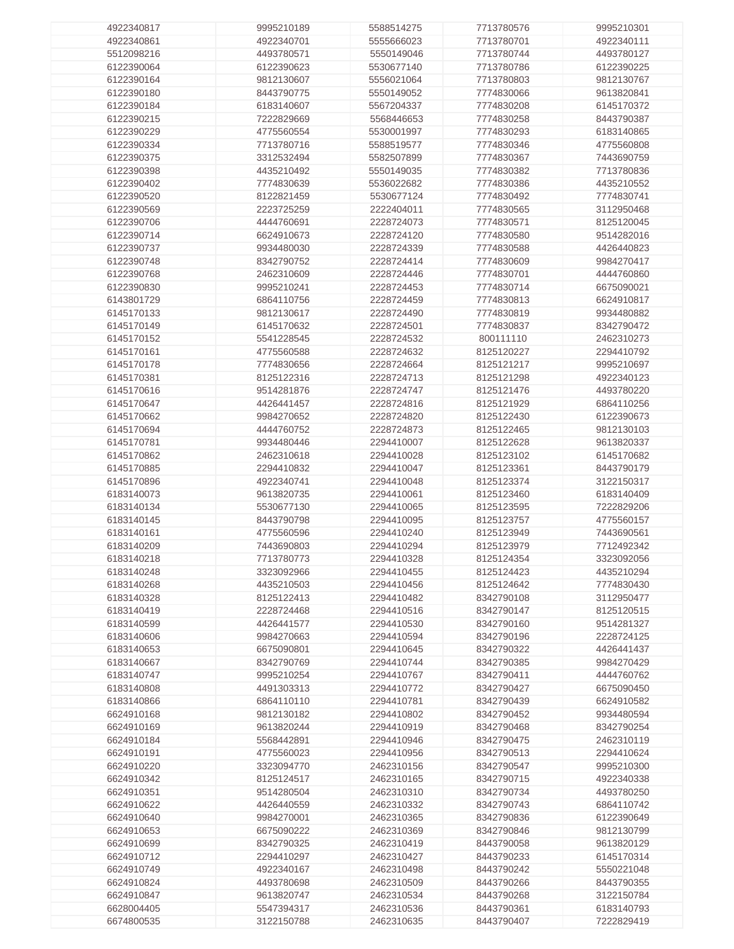| 4922340817 | 9995210189 | 5588514275 | 7713780576 | 9995210301 |
|------------|------------|------------|------------|------------|
|            |            |            |            |            |
| 4922340861 | 4922340701 | 5555666023 | 7713780701 | 4922340111 |
| 5512098216 | 4493780571 | 5550149046 | 7713780744 | 4493780127 |
|            |            |            |            |            |
| 6122390064 | 6122390623 | 5530677140 | 7713780786 | 6122390225 |
| 6122390164 | 9812130607 | 5556021064 | 7713780803 | 9812130767 |
|            |            |            |            |            |
| 6122390180 | 8443790775 | 5550149052 | 7774830066 | 9613820841 |
| 6122390184 | 6183140607 | 5567204337 | 7774830208 | 6145170372 |
|            |            |            |            |            |
| 6122390215 | 7222829669 | 5568446653 | 7774830258 | 8443790387 |
| 6122390229 | 4775560554 | 5530001997 | 7774830293 | 6183140865 |
|            |            |            |            |            |
| 6122390334 | 7713780716 | 5588519577 | 7774830346 | 4775560808 |
| 6122390375 | 3312532494 | 5582507899 | 7774830367 | 7443690759 |
|            |            |            |            |            |
| 6122390398 | 4435210492 | 5550149035 | 7774830382 | 7713780836 |
| 6122390402 | 7774830639 | 5536022682 | 7774830386 | 4435210552 |
| 6122390520 |            | 5530677124 | 7774830492 | 7774830741 |
|            | 8122821459 |            |            |            |
| 6122390569 | 2223725259 | 2222404011 | 7774830565 | 3112950468 |
| 6122390706 | 4444760691 | 2228724073 | 7774830571 | 8125120045 |
|            |            |            |            |            |
| 6122390714 | 6624910673 | 2228724120 | 7774830580 | 9514282016 |
| 6122390737 | 9934480030 | 2228724339 | 7774830588 | 4426440823 |
|            |            |            |            |            |
| 6122390748 | 8342790752 | 2228724414 | 7774830609 | 9984270417 |
| 6122390768 | 2462310609 | 2228724446 | 7774830701 | 4444760860 |
|            |            |            |            |            |
| 6122390830 | 9995210241 | 2228724453 | 7774830714 | 6675090021 |
| 6143801729 | 6864110756 | 2228724459 | 7774830813 | 6624910817 |
|            |            |            |            |            |
| 6145170133 | 9812130617 | 2228724490 | 7774830819 | 9934480882 |
| 6145170149 | 6145170632 | 2228724501 | 7774830837 | 8342790472 |
|            |            |            |            |            |
| 6145170152 | 5541228545 | 2228724532 | 800111110  | 2462310273 |
| 6145170161 | 4775560588 | 2228724632 | 8125120227 | 2294410792 |
| 6145170178 | 7774830656 | 2228724664 | 8125121217 | 9995210697 |
|            |            |            |            |            |
| 6145170381 | 8125122316 | 2228724713 | 8125121298 | 4922340123 |
| 6145170616 | 9514281876 | 2228724747 | 8125121476 | 4493780220 |
|            |            |            |            |            |
| 6145170647 | 4426441457 | 2228724816 | 8125121929 | 6864110256 |
| 6145170662 | 9984270652 | 2228724820 | 8125122430 | 6122390673 |
|            |            |            |            |            |
| 6145170694 | 4444760752 | 2228724873 | 8125122465 | 9812130103 |
| 6145170781 | 9934480446 | 2294410007 | 8125122628 | 9613820337 |
|            |            |            |            |            |
| 6145170862 | 2462310618 | 2294410028 | 8125123102 | 6145170682 |
| 6145170885 | 2294410832 | 2294410047 | 8125123361 | 8443790179 |
| 6145170896 | 4922340741 | 2294410048 | 8125123374 | 3122150317 |
|            |            |            |            |            |
| 6183140073 | 9613820735 | 2294410061 | 8125123460 | 6183140409 |
| 6183140134 | 5530677130 | 2294410065 | 8125123595 | 7222829206 |
|            |            |            |            |            |
| 6183140145 | 8443790798 | 2294410095 | 8125123757 | 4775560157 |
| 6183140161 | 4775560596 | 2294410240 | 8125123949 | 7443690561 |
|            |            |            |            |            |
| 6183140209 | 7443690803 | 2294410294 | 8125123979 | 7712492342 |
| 6183140218 | 7713780773 | 2294410328 | 8125124354 | 3323092056 |
| 6183140248 |            |            | 8125124423 |            |
|            | 3323092966 | 2294410455 |            | 4435210294 |
| 6183140268 | 4435210503 | 2294410456 | 8125124642 | 7774830430 |
| 6183140328 | 8125122413 | 2294410482 | 8342790108 | 3112950477 |
|            |            |            |            |            |
| 6183140419 | 2228724468 | 2294410516 | 8342790147 | 8125120515 |
| 6183140599 | 4426441577 | 2294410530 | 8342790160 | 9514281327 |
|            |            |            |            |            |
| 6183140606 | 9984270663 | 2294410594 | 8342790196 | 2228724125 |
| 6183140653 | 6675090801 | 2294410645 | 8342790322 | 4426441437 |
|            |            |            |            |            |
| 6183140667 | 8342790769 | 2294410744 | 8342790385 | 9984270429 |
| 6183140747 | 9995210254 | 2294410767 | 8342790411 | 4444760762 |
| 6183140808 |            |            |            |            |
|            | 4491303313 | 2294410772 | 8342790427 | 6675090450 |
| 6183140866 | 6864110110 | 2294410781 | 8342790439 | 6624910582 |
| 6624910168 | 9812130182 | 2294410802 | 8342790452 | 9934480594 |
|            |            |            |            |            |
| 6624910169 | 9613820244 | 2294410919 | 8342790468 | 8342790254 |
| 6624910184 | 5568442891 | 2294410946 | 8342790475 | 2462310119 |
|            |            |            |            |            |
| 6624910191 | 4775560023 | 2294410956 | 8342790513 | 2294410624 |
| 6624910220 | 3323094770 | 2462310156 | 8342790547 | 9995210300 |
| 6624910342 | 8125124517 | 2462310165 | 8342790715 | 4922340338 |
|            |            |            |            |            |
| 6624910351 | 9514280504 | 2462310310 | 8342790734 | 4493780250 |
| 6624910622 | 4426440559 | 2462310332 | 8342790743 | 6864110742 |
|            |            |            |            |            |
| 6624910640 | 9984270001 | 2462310365 | 8342790836 | 6122390649 |
| 6624910653 | 6675090222 | 2462310369 | 8342790846 | 9812130799 |
|            |            |            |            |            |
| 6624910699 | 8342790325 | 2462310419 | 8443790058 | 9613820129 |
| 6624910712 | 2294410297 | 2462310427 | 8443790233 | 6145170314 |
|            |            |            |            |            |
| 6624910749 | 4922340167 | 2462310498 | 8443790242 | 5550221048 |
| 6624910824 | 4493780698 | 2462310509 | 8443790266 | 8443790355 |
|            |            |            |            |            |
| 6624910847 | 9613820747 | 2462310534 | 8443790268 | 3122150784 |
| 6628004405 | 5547394317 | 2462310536 | 8443790361 | 6183140793 |
| 6674800535 | 3122150788 | 2462310635 | 8443790407 | 7222829419 |
|            |            |            |            |            |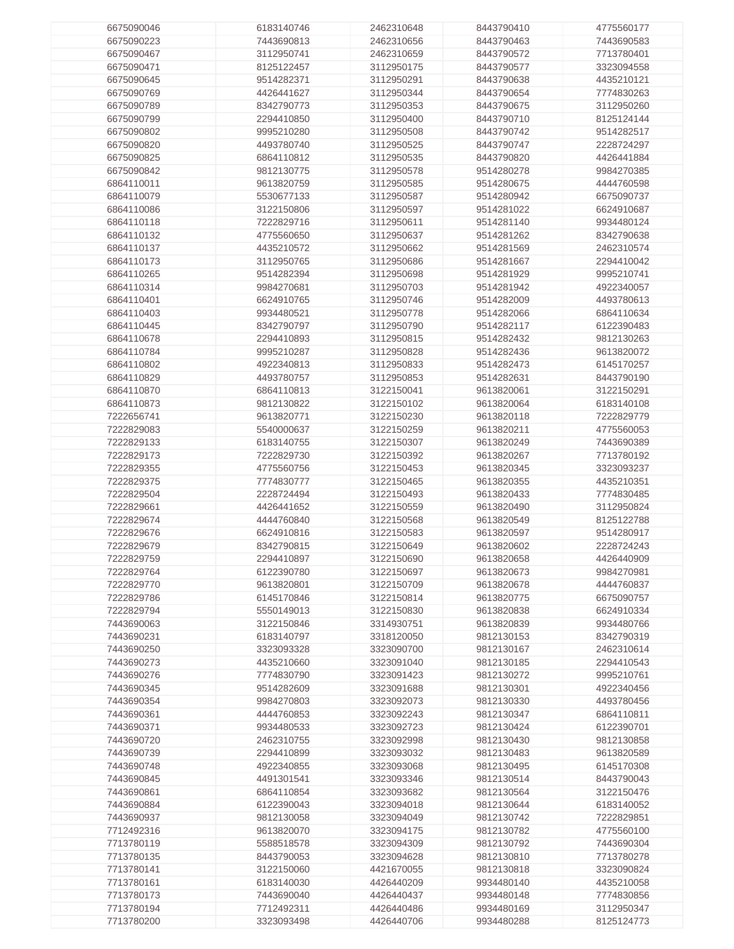| 6675090046               | 6183140746               | 2462310648               | 8443790410               | 4775560177               |
|--------------------------|--------------------------|--------------------------|--------------------------|--------------------------|
|                          |                          |                          |                          |                          |
| 6675090223               | 7443690813               | 2462310656               | 8443790463               | 7443690583               |
| 6675090467               | 3112950741               | 2462310659               | 8443790572               | 7713780401               |
|                          |                          |                          |                          |                          |
| 6675090471               | 8125122457               | 3112950175               | 8443790577               | 3323094558               |
| 6675090645               | 9514282371               | 3112950291               | 8443790638               | 4435210121               |
|                          |                          |                          |                          |                          |
| 6675090769               | 4426441627               | 3112950344               | 8443790654               | 7774830263               |
| 6675090789               | 8342790773               | 3112950353               | 8443790675               | 3112950260               |
| 6675090799               | 2294410850               | 3112950400               | 8443790710               | 8125124144               |
|                          |                          |                          |                          |                          |
| 6675090802               | 9995210280               | 3112950508               | 8443790742               | 9514282517               |
| 6675090820               | 4493780740               | 3112950525               | 8443790747               | 2228724297               |
|                          |                          |                          |                          |                          |
| 6675090825               | 6864110812               | 3112950535               | 8443790820               | 4426441884               |
| 6675090842               | 9812130775               | 3112950578               | 9514280278               | 9984270385               |
|                          |                          |                          |                          |                          |
| 6864110011               | 9613820759               | 3112950585               | 9514280675               | 4444760598               |
| 6864110079               | 5530677133               | 3112950587               | 9514280942               | 6675090737               |
|                          |                          |                          |                          |                          |
| 6864110086               | 3122150806               | 3112950597               | 9514281022               | 6624910687               |
| 6864110118               | 7222829716               | 3112950611               | 9514281140               | 9934480124               |
| 6864110132               | 4775560650               | 3112950637               | 9514281262               | 8342790638               |
|                          |                          |                          |                          |                          |
| 6864110137               | 4435210572               | 3112950662               | 9514281569               | 2462310574               |
| 6864110173               | 3112950765               | 3112950686               | 9514281667               | 2294410042               |
|                          |                          |                          |                          |                          |
| 6864110265               | 9514282394               | 3112950698               | 9514281929               | 9995210741               |
| 6864110314               | 9984270681               | 3112950703               | 9514281942               | 4922340057               |
|                          |                          |                          |                          |                          |
| 6864110401               | 6624910765               | 3112950746               | 9514282009               | 4493780613               |
| 6864110403               | 9934480521               | 3112950778               | 9514282066               | 6864110634               |
|                          |                          |                          |                          |                          |
| 6864110445               | 8342790797               | 3112950790               | 9514282117               | 6122390483               |
| 6864110678               | 2294410893               | 3112950815               | 9514282432               | 9812130263               |
| 6864110784               | 9995210287               | 3112950828               | 9514282436               | 9613820072               |
|                          |                          |                          |                          |                          |
| 6864110802               | 4922340813               | 3112950833               | 9514282473               | 6145170257               |
| 6864110829               | 4493780757               | 3112950853               | 9514282631               | 8443790190               |
|                          |                          |                          |                          |                          |
| 6864110870               | 6864110813               | 3122150041               | 9613820061               | 3122150291               |
| 6864110873               | 9812130822               | 3122150102               | 9613820064               | 6183140108               |
|                          |                          |                          |                          |                          |
| 7222656741               | 9613820771               | 3122150230               | 9613820118               | 7222829779               |
| 7222829083               | 5540000637               | 3122150259               | 9613820211               | 4775560053               |
| 7222829133               |                          |                          | 9613820249               | 7443690389               |
|                          | 6183140755               | 3122150307               |                          |                          |
| 7222829173               | 7222829730               | 3122150392               | 9613820267               | 7713780192               |
| 7222829355               | 4775560756               | 3122150453               | 9613820345               | 3323093237               |
|                          |                          |                          |                          |                          |
| 7222829375               | 7774830777               | 3122150465               | 9613820355               | 4435210351               |
|                          | 2228724494               | 3122150493               | 9613820433               | 7774830485               |
|                          |                          |                          |                          |                          |
| 7222829504               |                          |                          |                          |                          |
| 7222829661               | 4426441652               | 3122150559               | 9613820490               | 3112950824               |
| 7222829674               | 4444760840               |                          |                          |                          |
|                          |                          | 3122150568               | 9613820549               | 8125122788               |
| 7222829676               | 6624910816               | 3122150583               | 9613820597               | 9514280917               |
| 7222829679               | 8342790815               | 3122150649               | 9613820602               | 2228724243               |
|                          |                          |                          |                          |                          |
| 7222829759               | 2294410897               | 3122150690               | 9613820658               | 4426440909               |
| 7222829764               | 6122390780               | 3122150697               | 9613820673               | 9984270981               |
|                          |                          |                          |                          |                          |
| 7222829770               | 9613820801               | 3122150709               | 9613820678               | 4444760837               |
| 7222829786               | 6145170846               | 3122150814               | 9613820775               | 6675090757               |
| 7222829794               | 5550149013               | 3122150830               | 9613820838               | 6624910334               |
|                          |                          |                          |                          |                          |
| 7443690063               | 3122150846               | 3314930751               | 9613820839               | 9934480766               |
| 7443690231               | 6183140797               | 3318120050               | 9812130153               | 8342790319               |
| 7443690250               | 3323093328               | 3323090700               | 9812130167               | 2462310614               |
|                          |                          |                          |                          |                          |
| 7443690273               | 4435210660               | 3323091040               | 9812130185               | 2294410543               |
| 7443690276               | 7774830790               | 3323091423               | 9812130272               | 9995210761               |
|                          |                          |                          |                          |                          |
| 7443690345               | 9514282609               | 3323091688               | 9812130301               | 4922340456               |
| 7443690354               | 9984270803               | 3323092073               | 9812130330               | 4493780456               |
| 7443690361               | 4444760853               | 3323092243               | 9812130347               | 6864110811               |
|                          |                          |                          |                          |                          |
| 7443690371               | 9934480533               | 3323092723               | 9812130424               | 6122390701               |
| 7443690720               | 2462310755               | 3323092998               | 9812130430               | 9812130858               |
|                          |                          |                          |                          |                          |
| 7443690739               | 2294410899               | 3323093032               | 9812130483               | 9613820589               |
| 7443690748               | 4922340855               | 3323093068               | 9812130495               | 6145170308               |
|                          |                          |                          |                          |                          |
| 7443690845               | 4491301541               | 3323093346               | 9812130514               | 8443790043               |
| 7443690861               | 6864110854               | 3323093682               | 9812130564               | 3122150476               |
| 7443690884               | 6122390043               | 3323094018               | 9812130644               | 6183140052               |
|                          |                          |                          |                          |                          |
| 7443690937               | 9812130058               | 3323094049               | 9812130742               | 7222829851               |
| 7712492316               | 9613820070               | 3323094175               | 9812130782               | 4775560100               |
|                          |                          |                          |                          |                          |
| 7713780119               | 5588518578               | 3323094309               | 9812130792               | 7443690304               |
| 7713780135               | 8443790053               | 3323094628               | 9812130810               | 7713780278               |
|                          |                          |                          |                          |                          |
| 7713780141               | 3122150060               | 4421670055               | 9812130818               | 3323090824               |
| 7713780161               | 6183140030               | 4426440209               | 9934480140               | 4435210058               |
| 7713780173               |                          |                          |                          |                          |
|                          | 7443690040               | 4426440437               | 9934480148               | 7774830856               |
| 7713780194<br>7713780200 | 7712492311<br>3323093498 | 4426440486<br>4426440706 | 9934480169<br>9934480288 | 3112950347<br>8125124773 |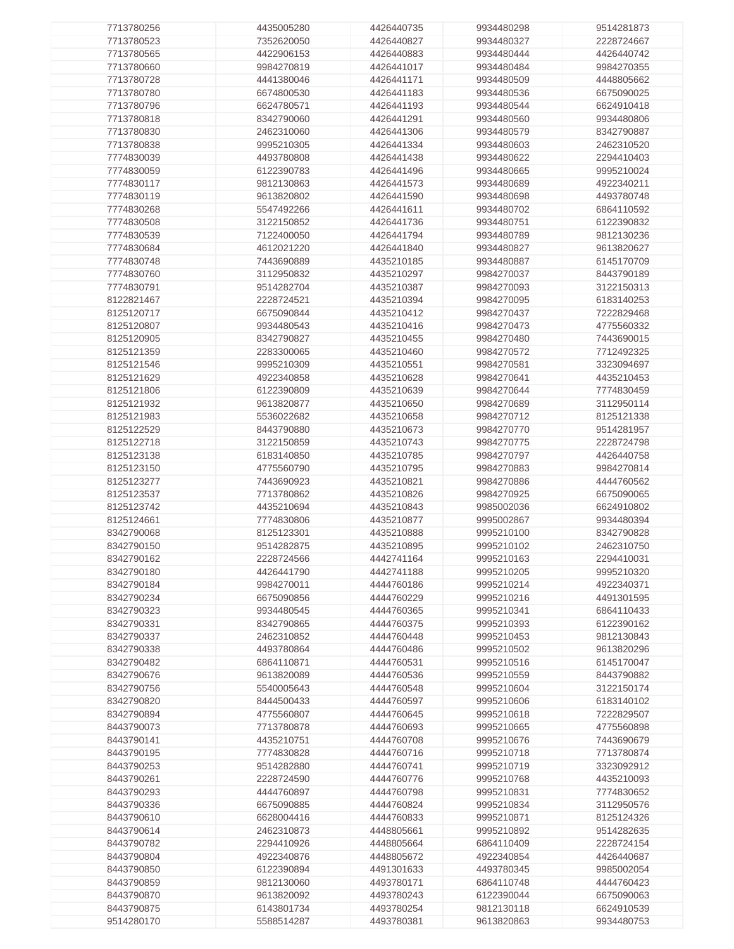| 7713780256 | 4435005280 | 4426440735 | 9934480298 | 9514281873 |
|------------|------------|------------|------------|------------|
|            |            |            |            |            |
| 7713780523 | 7352620050 | 4426440827 | 9934480327 | 2228724667 |
| 7713780565 | 4422906153 | 4426440883 | 9934480444 | 4426440742 |
|            |            |            |            |            |
| 7713780660 | 9984270819 | 4426441017 | 9934480484 | 9984270355 |
| 7713780728 | 4441380046 | 4426441171 | 9934480509 | 4448805662 |
|            |            |            |            |            |
| 7713780780 | 6674800530 | 4426441183 | 9934480536 | 6675090025 |
| 7713780796 | 6624780571 | 4426441193 | 9934480544 | 6624910418 |
| 7713780818 | 8342790060 | 4426441291 | 9934480560 | 9934480806 |
|            |            |            |            |            |
| 7713780830 | 2462310060 | 4426441306 | 9934480579 | 8342790887 |
| 7713780838 | 9995210305 | 4426441334 | 9934480603 | 2462310520 |
|            |            |            |            |            |
| 7774830039 | 4493780808 | 4426441438 | 9934480622 | 2294410403 |
| 7774830059 | 6122390783 | 4426441496 | 9934480665 | 9995210024 |
|            |            |            |            |            |
| 7774830117 | 9812130863 | 4426441573 | 9934480689 | 4922340211 |
| 7774830119 | 9613820802 | 4426441590 | 9934480698 | 4493780748 |
|            |            |            |            |            |
| 7774830268 | 5547492266 | 4426441611 | 9934480702 | 6864110592 |
| 7774830508 | 3122150852 | 4426441736 | 9934480751 | 6122390832 |
|            |            |            |            |            |
| 7774830539 | 7122400050 | 4426441794 | 9934480789 | 9812130236 |
| 7774830684 | 4612021220 | 4426441840 | 9934480827 | 9613820627 |
|            |            |            |            |            |
| 7774830748 | 7443690889 | 4435210185 | 9934480887 | 6145170709 |
| 7774830760 | 3112950832 | 4435210297 | 9984270037 | 8443790189 |
|            |            |            |            |            |
| 7774830791 | 9514282704 | 4435210387 | 9984270093 | 3122150313 |
| 8122821467 | 2228724521 | 4435210394 | 9984270095 | 6183140253 |
| 8125120717 | 6675090844 | 4435210412 | 9984270437 | 7222829468 |
|            |            |            |            |            |
| 8125120807 | 9934480543 | 4435210416 | 9984270473 | 4775560332 |
| 8125120905 | 8342790827 | 4435210455 | 9984270480 | 7443690015 |
|            |            |            |            |            |
| 8125121359 | 2283300065 | 4435210460 | 9984270572 | 7712492325 |
| 8125121546 | 9995210309 | 4435210551 | 9984270581 | 3323094697 |
|            |            |            |            |            |
| 8125121629 | 4922340858 | 4435210628 | 9984270641 | 4435210453 |
| 8125121806 | 6122390809 | 4435210639 | 9984270644 | 7774830459 |
|            |            |            |            |            |
| 8125121932 | 9613820877 | 4435210650 | 9984270689 | 3112950114 |
| 8125121983 | 5536022682 | 4435210658 | 9984270712 | 8125121338 |
| 8125122529 |            |            |            |            |
|            | 8443790880 | 4435210673 | 9984270770 | 9514281957 |
| 8125122718 | 3122150859 | 4435210743 | 9984270775 | 2228724798 |
| 8125123138 | 6183140850 | 4435210785 | 9984270797 | 4426440758 |
|            |            |            |            |            |
| 8125123150 | 4775560790 | 4435210795 | 9984270883 | 9984270814 |
| 8125123277 | 7443690923 | 4435210821 | 9984270886 | 4444760562 |
|            |            |            |            |            |
| 8125123537 | 7713780862 | 4435210826 | 9984270925 | 6675090065 |
| 8125123742 | 4435210694 | 4435210843 | 9985002036 | 6624910802 |
|            |            |            |            |            |
| 8125124661 | 7774830806 | 4435210877 | 9995002867 | 9934480394 |
| 8342790068 | 8125123301 | 4435210888 | 9995210100 | 8342790828 |
|            |            |            |            |            |
| 8342790150 | 9514282875 | 4435210895 | 9995210102 | 2462310750 |
| 8342790162 | 2228724566 | 4442741164 | 9995210163 | 2294410031 |
| 8342790180 | 4426441790 | 4442741188 |            |            |
|            |            |            | 9995210205 | 9995210320 |
| 8342790184 | 9984270011 | 4444760186 | 9995210214 | 4922340371 |
| 8342790234 | 6675090856 | 4444760229 | 9995210216 | 4491301595 |
|            |            |            |            |            |
| 8342790323 | 9934480545 | 4444760365 | 9995210341 | 6864110433 |
| 8342790331 | 8342790865 | 4444760375 | 9995210393 | 6122390162 |
|            |            |            |            |            |
| 8342790337 | 2462310852 | 4444760448 | 9995210453 | 9812130843 |
| 8342790338 | 4493780864 | 4444760486 | 9995210502 | 9613820296 |
|            |            |            |            |            |
| 8342790482 | 6864110871 | 4444760531 | 9995210516 | 6145170047 |
| 8342790676 | 9613820089 | 4444760536 | 9995210559 | 8443790882 |
| 8342790756 | 5540005643 | 4444760548 | 9995210604 | 3122150174 |
|            |            |            |            |            |
| 8342790820 | 8444500433 | 4444760597 | 9995210606 | 6183140102 |
| 8342790894 | 4775560807 | 4444760645 | 9995210618 | 7222829507 |
|            |            |            |            |            |
| 8443790073 | 7713780878 | 4444760693 | 9995210665 | 4775560898 |
| 8443790141 | 4435210751 | 4444760708 | 9995210676 | 7443690679 |
|            |            |            |            |            |
| 8443790195 | 7774830828 | 4444760716 | 9995210718 | 7713780874 |
| 8443790253 | 9514282880 | 4444760741 | 9995210719 | 3323092912 |
| 8443790261 | 2228724590 | 4444760776 | 9995210768 | 4435210093 |
|            |            |            |            |            |
| 8443790293 | 4444760897 | 4444760798 | 9995210831 | 7774830652 |
| 8443790336 | 6675090885 | 4444760824 | 9995210834 | 3112950576 |
|            |            |            |            |            |
| 8443790610 | 6628004416 | 4444760833 | 9995210871 | 8125124326 |
| 8443790614 | 2462310873 | 4448805661 | 9995210892 | 9514282635 |
|            |            |            |            |            |
| 8443790782 | 2294410926 | 4448805664 | 6864110409 | 2228724154 |
| 8443790804 | 4922340876 | 4448805672 | 4922340854 | 4426440687 |
|            |            |            |            |            |
| 8443790850 | 6122390894 | 4491301633 | 4493780345 | 9985002054 |
| 8443790859 | 9812130060 | 4493780171 | 6864110748 | 4444760423 |
|            |            |            |            |            |
| 8443790870 | 9613820092 | 4493780243 | 6122390044 | 6675090063 |
| 8443790875 | 6143801734 | 4493780254 | 9812130118 | 6624910539 |
|            |            |            |            |            |
| 9514280170 | 5588514287 | 4493780381 | 9613820863 | 9934480753 |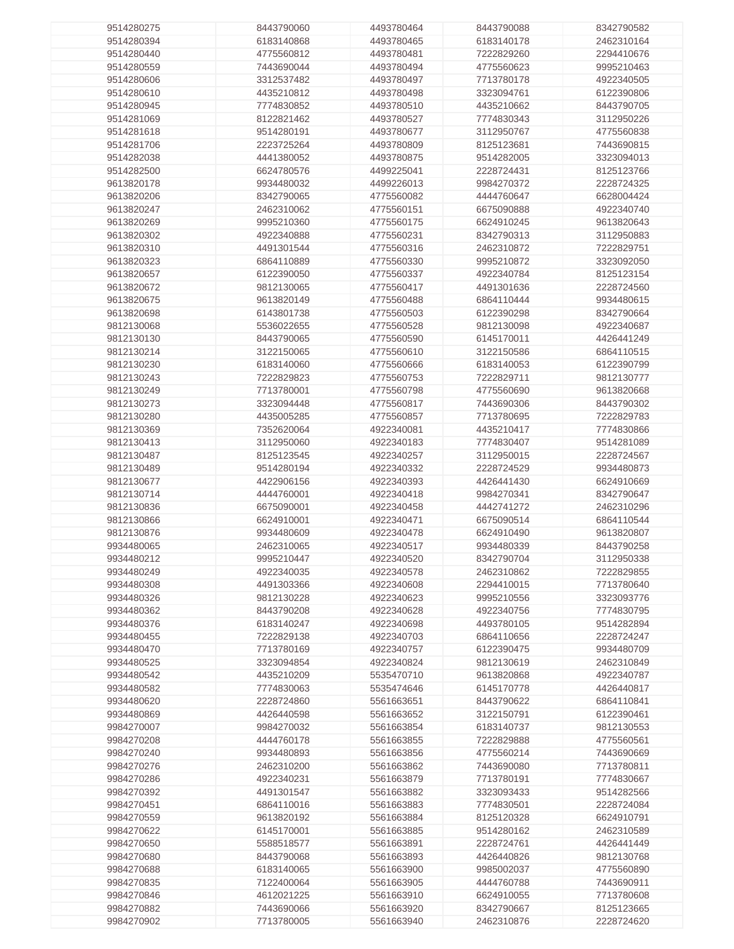| 9514280275 | 8443790060 | 4493780464 | 8443790088 | 8342790582 |
|------------|------------|------------|------------|------------|
|            |            |            |            |            |
| 9514280394 | 6183140868 | 4493780465 | 6183140178 | 2462310164 |
| 9514280440 | 4775560812 | 4493780481 | 7222829260 | 2294410676 |
| 9514280559 | 7443690044 | 4493780494 | 4775560623 | 9995210463 |
|            |            |            |            |            |
| 9514280606 | 3312537482 | 4493780497 | 7713780178 | 4922340505 |
| 9514280610 | 4435210812 | 4493780498 | 3323094761 | 6122390806 |
| 9514280945 | 7774830852 | 4493780510 | 4435210662 | 8443790705 |
|            |            |            |            |            |
| 9514281069 | 8122821462 | 4493780527 | 7774830343 | 3112950226 |
| 9514281618 | 9514280191 | 4493780677 | 3112950767 | 4775560838 |
| 9514281706 | 2223725264 | 4493780809 | 8125123681 | 7443690815 |
|            |            |            |            |            |
| 9514282038 | 4441380052 | 4493780875 | 9514282005 | 3323094013 |
| 9514282500 | 6624780576 | 4499225041 | 2228724431 | 8125123766 |
| 9613820178 | 9934480032 | 4499226013 | 9984270372 | 2228724325 |
|            |            |            |            |            |
| 9613820206 | 8342790065 | 4775560082 | 4444760647 | 6628004424 |
| 9613820247 | 2462310062 | 4775560151 | 6675090888 | 4922340740 |
| 9613820269 | 9995210360 | 4775560175 | 6624910245 | 9613820643 |
|            |            |            |            |            |
| 9613820302 | 4922340888 | 4775560231 | 8342790313 | 3112950883 |
| 9613820310 | 4491301544 | 4775560316 | 2462310872 | 7222829751 |
| 9613820323 | 6864110889 | 4775560330 | 9995210872 | 3323092050 |
|            |            |            |            |            |
| 9613820657 | 6122390050 | 4775560337 | 4922340784 | 8125123154 |
| 9613820672 | 9812130065 | 4775560417 | 4491301636 | 2228724560 |
| 9613820675 | 9613820149 | 4775560488 | 6864110444 | 9934480615 |
| 9613820698 | 6143801738 | 4775560503 | 6122390298 | 8342790664 |
|            |            |            |            |            |
| 9812130068 | 5536022655 | 4775560528 | 9812130098 | 4922340687 |
| 9812130130 | 8443790065 | 4775560590 | 6145170011 | 4426441249 |
| 9812130214 | 3122150065 | 4775560610 | 3122150586 | 6864110515 |
| 9812130230 | 6183140060 | 4775560666 | 6183140053 | 6122390799 |
|            |            |            |            |            |
| 9812130243 | 7222829823 | 4775560753 | 7222829711 | 9812130777 |
| 9812130249 | 7713780001 | 4775560798 | 4775560690 | 9613820668 |
| 9812130273 | 3323094448 | 4775560817 | 7443690306 | 8443790302 |
|            |            |            |            |            |
| 9812130280 | 4435005285 | 4775560857 | 7713780695 | 7222829783 |
| 9812130369 | 7352620064 | 4922340081 | 4435210417 | 7774830866 |
| 9812130413 | 3112950060 | 4922340183 | 7774830407 | 9514281089 |
| 9812130487 | 8125123545 | 4922340257 | 3112950015 | 2228724567 |
|            |            |            |            |            |
| 9812130489 | 9514280194 | 4922340332 | 2228724529 | 9934480873 |
| 9812130677 | 4422906156 | 4922340393 | 4426441430 | 6624910669 |
| 9812130714 | 4444760001 | 4922340418 | 9984270341 | 8342790647 |
| 9812130836 | 6675090001 | 4922340458 | 4442741272 | 2462310296 |
|            |            |            |            |            |
| 9812130866 | 6624910001 | 4922340471 | 6675090514 | 6864110544 |
| 9812130876 | 9934480609 | 4922340478 | 6624910490 | 9613820807 |
| 9934480065 | 2462310065 | 4922340517 | 9934480339 | 8443790258 |
| 9934480212 | 9995210447 | 4922340520 | 8342790704 | 3112950338 |
|            |            |            |            |            |
| 9934480249 | 4922340035 | 4922340578 | 2462310862 | 7222829855 |
| 9934480308 | 4491303366 | 4922340608 | 2294410015 | 7713780640 |
| 9934480326 | 9812130228 | 4922340623 | 9995210556 | 3323093776 |
|            |            |            |            |            |
| 9934480362 | 8443790208 | 4922340628 | 4922340756 | 7774830795 |
| 9934480376 | 6183140247 | 4922340698 | 4493780105 | 9514282894 |
| 9934480455 | 7222829138 | 4922340703 | 6864110656 | 2228724247 |
| 9934480470 | 7713780169 | 4922340757 | 6122390475 | 9934480709 |
|            |            |            |            |            |
| 9934480525 | 3323094854 | 4922340824 | 9812130619 | 2462310849 |
| 9934480542 | 4435210209 | 5535470710 | 9613820868 | 4922340787 |
| 9934480582 | 7774830063 | 5535474646 | 6145170778 | 4426440817 |
| 9934480620 | 2228724860 | 5561663651 | 8443790622 | 6864110841 |
|            |            |            |            |            |
| 9934480869 | 4426440598 | 5561663652 | 3122150791 | 6122390461 |
| 9984270007 | 9984270032 | 5561663854 | 6183140737 | 9812130553 |
| 9984270208 | 4444760178 | 5561663855 | 7222829888 | 4775560561 |
| 9984270240 | 9934480893 | 5561663856 | 4775560214 | 7443690669 |
|            |            |            |            |            |
| 9984270276 | 2462310200 | 5561663862 | 7443690080 | 7713780811 |
| 9984270286 | 4922340231 | 5561663879 | 7713780191 | 7774830667 |
| 9984270392 | 4491301547 | 5561663882 | 3323093433 | 9514282566 |
| 9984270451 | 6864110016 | 5561663883 | 7774830501 | 2228724084 |
|            |            |            |            |            |
| 9984270559 | 9613820192 | 5561663884 | 8125120328 | 6624910791 |
| 9984270622 | 6145170001 | 5561663885 | 9514280162 | 2462310589 |
| 9984270650 | 5588518577 | 5561663891 | 2228724761 | 4426441449 |
| 9984270680 | 8443790068 | 5561663893 | 4426440826 | 9812130768 |
|            |            |            |            |            |
| 9984270688 | 6183140065 | 5561663900 | 9985002037 | 4775560890 |
| 9984270835 | 7122400064 | 5561663905 | 4444760788 | 7443690911 |
| 9984270846 | 4612021225 | 5561663910 | 6624910055 | 7713780608 |
| 9984270882 | 7443690066 | 5561663920 | 8342790667 | 8125123665 |
|            |            |            |            |            |
| 9984270902 | 7713780005 | 5561663940 | 2462310876 | 2228724620 |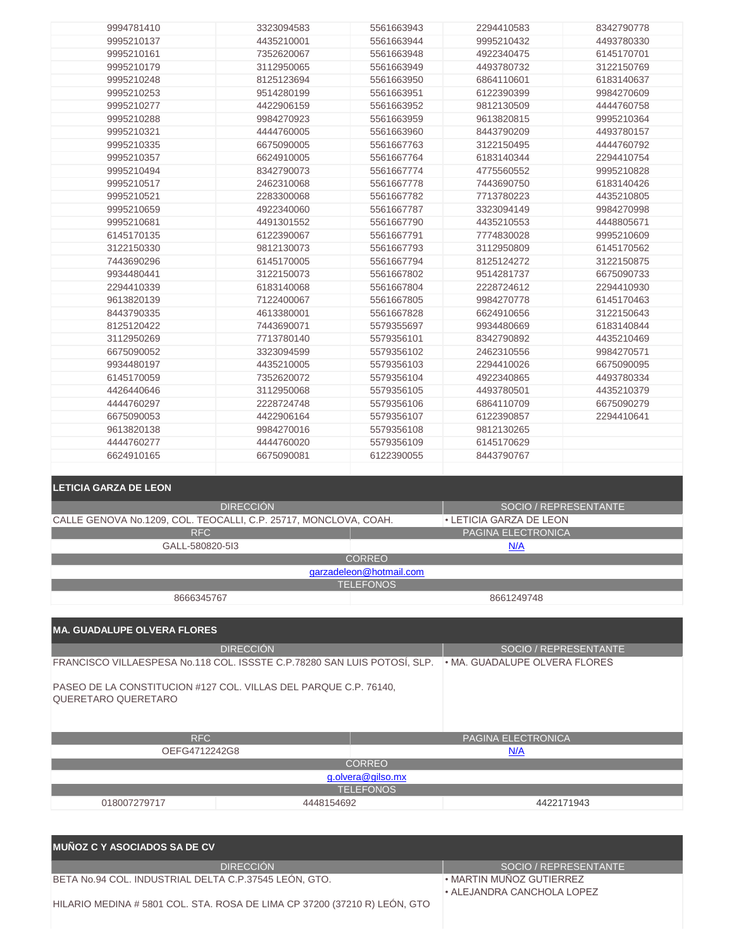| 9994781410                                                                                             | 3323094583       | 5561663943              | 2294410583               | 8342790778            |
|--------------------------------------------------------------------------------------------------------|------------------|-------------------------|--------------------------|-----------------------|
| 9995210137                                                                                             | 4435210001       | 5561663944              | 9995210432               | 4493780330            |
| 9995210161                                                                                             | 7352620067       | 5561663948              | 4922340475               | 6145170701            |
| 9995210179                                                                                             | 3112950065       | 5561663949              | 4493780732               | 3122150769            |
| 9995210248                                                                                             | 8125123694       | 5561663950              | 6864110601               | 6183140637            |
| 9995210253                                                                                             | 9514280199       | 5561663951              | 6122390399               | 9984270609            |
| 9995210277                                                                                             | 4422906159       | 5561663952              | 9812130509               | 4444760758            |
| 9995210288                                                                                             | 9984270923       | 5561663959              | 9613820815               | 9995210364            |
| 9995210321                                                                                             | 4444760005       | 5561663960              | 8443790209               | 4493780157            |
| 9995210335                                                                                             | 6675090005       | 5561667763              | 3122150495               | 4444760792            |
| 9995210357                                                                                             | 6624910005       | 5561667764              | 6183140344               | 2294410754            |
| 9995210494                                                                                             | 8342790073       | 5561667774              | 4775560552               | 9995210828            |
|                                                                                                        |                  |                         |                          |                       |
| 9995210517                                                                                             | 2462310068       | 5561667778              | 7443690750               | 6183140426            |
| 9995210521                                                                                             | 2283300068       | 5561667782              | 7713780223               | 4435210805            |
| 9995210659                                                                                             | 4922340060       | 5561667787              | 3323094149               | 9984270998            |
| 9995210681                                                                                             | 4491301552       | 5561667790              | 4435210553               | 4448805671            |
| 6145170135                                                                                             | 6122390067       | 5561667791              | 7774830028               | 9995210609            |
| 3122150330                                                                                             | 9812130073       | 5561667793              | 3112950809               | 6145170562            |
| 7443690296                                                                                             | 6145170005       | 5561667794              | 8125124272               | 3122150875            |
| 9934480441                                                                                             | 3122150073       | 5561667802              | 9514281737               | 6675090733            |
| 2294410339                                                                                             | 6183140068       | 5561667804              | 2228724612               | 2294410930            |
| 9613820139                                                                                             | 7122400067       | 5561667805              | 9984270778               | 6145170463            |
| 8443790335                                                                                             | 4613380001       | 5561667828              | 6624910656               | 3122150643            |
| 8125120422                                                                                             | 7443690071       | 5579355697              | 9934480669               | 6183140844            |
| 3112950269                                                                                             | 7713780140       | 5579356101              | 8342790892               | 4435210469            |
| 6675090052                                                                                             | 3323094599       | 5579356102              | 2462310556               | 9984270571            |
| 9934480197                                                                                             | 4435210005       | 5579356103              | 2294410026               | 6675090095            |
| 6145170059                                                                                             | 7352620072       | 5579356104              | 4922340865               | 4493780334            |
| 4426440646                                                                                             | 3112950068       | 5579356105              | 4493780501               | 4435210379            |
| 4444760297                                                                                             | 2228724748       | 5579356106              | 6864110709               | 6675090279            |
| 6675090053                                                                                             | 4422906164       | 5579356107              | 6122390857               | 2294410641            |
| 9613820138                                                                                             | 9984270016       | 5579356108              | 9812130265               |                       |
| 4444760277                                                                                             | 4444760020       | 5579356109              | 6145170629               |                       |
|                                                                                                        |                  |                         |                          |                       |
|                                                                                                        |                  |                         |                          |                       |
| 6624910165                                                                                             | 6675090081       | 6122390055              | 8443790767               |                       |
|                                                                                                        |                  |                         |                          |                       |
| <b>LETICIA GARZA DE LEON</b>                                                                           |                  |                         |                          |                       |
|                                                                                                        |                  |                         |                          |                       |
|                                                                                                        | <b>DIRECCIÓN</b> |                         |                          | SOCIO / REPRESENTANTE |
| CALLE GENOVA No.1209, COL. TEOCALLI, C.P. 25717, MONCLOVA, COAH.                                       |                  |                         | • LETICIA GARZA DE LEON  |                       |
| <b>RFC</b>                                                                                             |                  |                         | PAGINA ELECTRONICA       |                       |
| GALL-580820-513                                                                                        |                  |                         | N/A                      |                       |
|                                                                                                        |                  | <b>CORREO</b>           |                          |                       |
|                                                                                                        |                  | garzadeleon@hotmail.com |                          |                       |
|                                                                                                        |                  | <b>TELEFONOS</b>        |                          |                       |
| 8666345767                                                                                             |                  |                         | 8661249748               |                       |
|                                                                                                        |                  |                         |                          |                       |
| <b>MA. GUADALUPE OLVERA FLORES</b>                                                                     |                  |                         |                          |                       |
|                                                                                                        |                  |                         |                          |                       |
|                                                                                                        | <b>DIRECCIÓN</b> |                         |                          | SOCIO / REPRESENTANTE |
| FRANCISCO VILLAESPESA No.118 COL. ISSSTE C.P.78280 SAN LUIS POTOSÍ, SLP. · MA. GUADALUPE OLVERA FLORES |                  |                         |                          |                       |
|                                                                                                        |                  |                         |                          |                       |
| PASEO DE LA CONSTITUCION #127 COL. VILLAS DEL PARQUE C.P. 76140,<br>QUERETARO QUERETARO                |                  |                         |                          |                       |
|                                                                                                        |                  |                         |                          |                       |
|                                                                                                        |                  |                         |                          |                       |
|                                                                                                        |                  |                         |                          |                       |
| <b>RFC</b>                                                                                             |                  |                         | PAGINA ELECTRONICA       |                       |
| OEFG4712242G8                                                                                          |                  |                         | N/A                      |                       |
|                                                                                                        |                  | <b>CORREO</b>           |                          |                       |
|                                                                                                        |                  | g.olvera@gilso.mx       |                          |                       |
|                                                                                                        |                  | <b>TELEFONOS</b>        |                          |                       |
| 018007279717                                                                                           | 4448154692       |                         |                          | 4422171943            |
|                                                                                                        |                  |                         |                          |                       |
|                                                                                                        |                  |                         |                          |                       |
| <b>MUÑOZ C Y ASOCIADOS SA DE CV</b>                                                                    |                  |                         |                          |                       |
|                                                                                                        | <b>DIRECCIÓN</b> |                         |                          | SOCIO / REPRESENTANTE |
| BETA No.94 COL. INDUSTRIAL DELTA C.P.37545 LEÓN, GTO.                                                  |                  |                         | • MARTIN MUÑOZ GUTIERREZ |                       |

HILARIO MEDINA # 5801 COL. STA. ROSA DE LIMA CP 37200 (37210 R) LEÓN, GTO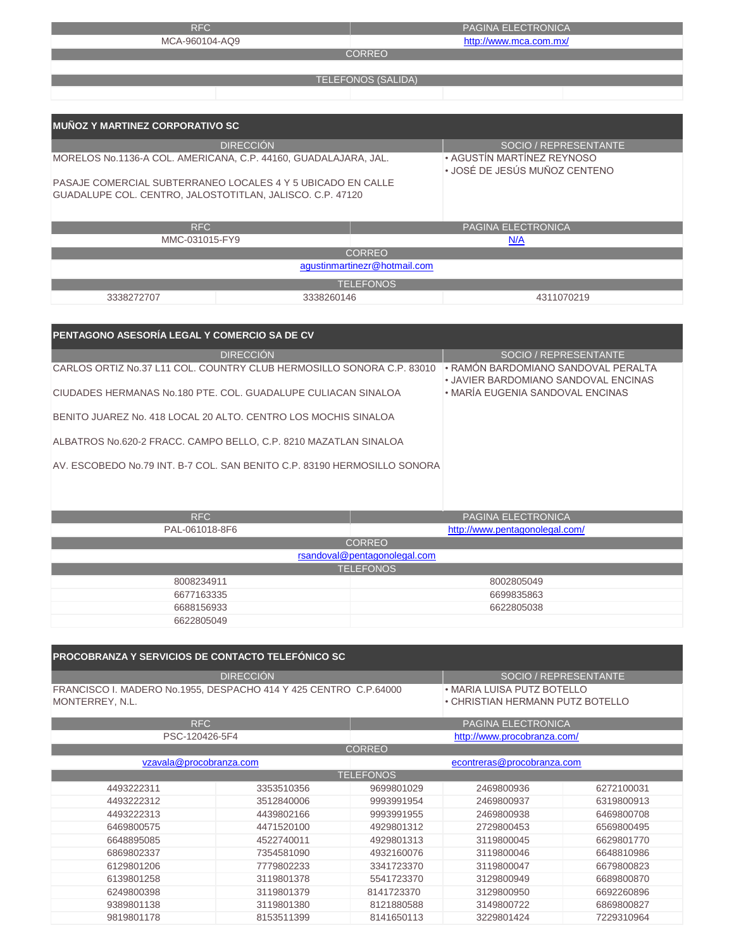| RFC                                                             |                           | <b>PAGINA ELECTRONICA</b>     |  |
|-----------------------------------------------------------------|---------------------------|-------------------------------|--|
| MCA-960104-AQ9                                                  |                           | http://www.mca.com.mx/        |  |
|                                                                 | <b>CORREO</b>             |                               |  |
|                                                                 |                           |                               |  |
|                                                                 | <b>TELEFONOS (SALIDA)</b> |                               |  |
|                                                                 |                           |                               |  |
|                                                                 |                           |                               |  |
| <b>MUÑOZ Y MARTINEZ CORPORATIVO SC</b>                          |                           |                               |  |
|                                                                 |                           |                               |  |
| <b>DIRECCIÓN</b>                                                |                           | SOCIO / REPRESENTANTE         |  |
| MORELOS No.1136-A COL. AMERICANA, C.P. 44160, GUADALAJARA, JAL. |                           | • AGUSTÍN MARTÍNEZ REYNOSO    |  |
|                                                                 |                           | • JOSÉ DE JESÚS MUÑOZ CENTENO |  |
| PASAJE COMERCIAL SUBTERRANEO LOCALES 4 Y 5 UBICADO EN CALLE     |                           |                               |  |
| GUADALUPE COL. CENTRO, JALOSTOTITLAN, JALISCO. C.P. 47120       |                           |                               |  |
|                                                                 |                           |                               |  |
| RFC                                                             |                           | PAGINA ELECTRONICA            |  |
| MMC-031015-FY9                                                  |                           | N/A                           |  |
| <b>CORREO</b>                                                   |                           |                               |  |
| agustinmartinezr@hotmail.com                                    |                           |                               |  |
|                                                                 | <b>TELEFONOS</b>          |                               |  |

3338272707 3338260146

4311070219

| PENTAGONO ASESORÍA LEGAL Y COMERCIO SA DE CV                             |                              |                                                                             |  |  |  |  |
|--------------------------------------------------------------------------|------------------------------|-----------------------------------------------------------------------------|--|--|--|--|
| <b>DIRECCIÓN</b>                                                         |                              | SOCIO / REPRESENTANTE                                                       |  |  |  |  |
| CARLOS ORTIZ No.37 L11 COL. COUNTRY CLUB HERMOSILLO SONORA C.P. 83010    |                              | • RAMÓN BARDOMIANO SANDOVAL PERALTA<br>. JAVIER BARDOMIANO SANDOVAL ENCINAS |  |  |  |  |
| CIUDADES HERMANAS No.180 PTE, COL, GUADALUPE CULIACAN SINALOA            |                              | • MARÍA EUGENIA SANDOVAL ENCINAS                                            |  |  |  |  |
| BENITO JUAREZ No. 418 LOCAL 20 ALTO. CENTRO LOS MOCHIS SINALOA           |                              |                                                                             |  |  |  |  |
| ALBATROS No.620-2 FRACC. CAMPO BELLO, C.P. 8210 MAZATLAN SINALOA         |                              |                                                                             |  |  |  |  |
| AV. ESCOBEDO No.79 INT. B-7 COL. SAN BENITO C.P. 83190 HERMOSILLO SONORA |                              |                                                                             |  |  |  |  |
|                                                                          |                              |                                                                             |  |  |  |  |
| <b>RFC</b>                                                               |                              | <b>PAGINA ELECTRONICA</b>                                                   |  |  |  |  |
| PAL-061018-8F6                                                           |                              | http://www.pentagonolegal.com/                                              |  |  |  |  |
| <b>CORREO</b>                                                            |                              |                                                                             |  |  |  |  |
|                                                                          | rsandoval@pentagonolegal.com |                                                                             |  |  |  |  |
|                                                                          | <b>TELEFONOS</b>             |                                                                             |  |  |  |  |

|            | TELLI VIVUJ |
|------------|-------------|
| 8008234911 | 8002805049  |
| 6677163335 | 6699835863  |
| 6688156933 | 6622805038  |
| 6622805049 |             |

| <b>PROCOBRANZA Y SERVICIOS DE CONTACTO TELEFÓNICO SC</b>                            |                                           |                  |                             |                                                                |  |
|-------------------------------------------------------------------------------------|-------------------------------------------|------------------|-----------------------------|----------------------------------------------------------------|--|
|                                                                                     | <b>DIRECCIÓN</b><br>SOCIO / REPRESENTANTE |                  |                             |                                                                |  |
| FRANCISCO I. MADERO No.1955, DESPACHO 414 Y 425 CENTRO C.P.64000<br>MONTERREY, N.L. |                                           |                  |                             | • MARIA LUISA PUTZ BOTELLO<br>• CHRISTIAN HERMANN PUTZ BOTELLO |  |
| <b>RFC</b>                                                                          |                                           |                  | PAGINA ELECTRONICA          |                                                                |  |
| PSC-120426-5F4                                                                      |                                           |                  | http://www.procobranza.com/ |                                                                |  |
|                                                                                     |                                           | <b>CORREO</b>    |                             |                                                                |  |
| vzavala@procobranza.com                                                             |                                           |                  | econtreras@procobranza.com  |                                                                |  |
|                                                                                     |                                           | <b>TELEFONOS</b> |                             |                                                                |  |
| 4493222311                                                                          | 3353510356                                | 9699801029       | 2469800936                  | 6272100031                                                     |  |
| 4493222312                                                                          | 3512840006                                | 9993991954       | 2469800937                  | 6319800913                                                     |  |
| 4493222313                                                                          | 4439802166                                | 9993991955       | 2469800938                  | 6469800708                                                     |  |
| 6469800575                                                                          | 4471520100                                | 4929801312       | 2729800453                  | 6569800495                                                     |  |
| 6648895085                                                                          | 4522740011                                | 4929801313       | 3119800045                  | 6629801770                                                     |  |
| 6869802337                                                                          | 7354581090                                | 4932160076       | 3119800046                  | 6648810986                                                     |  |
| 6129801206                                                                          | 7779802233                                | 3341723370       | 3119800047                  | 6679800823                                                     |  |
| 6139801258                                                                          | 3119801378                                | 5541723370       | 3129800949                  | 6689800870                                                     |  |
| 6249800398                                                                          | 3119801379                                | 8141723370       | 3129800950                  | 6692260896                                                     |  |
| 9389801138                                                                          | 3119801380                                | 8121880588       | 3149800722                  | 6869800827                                                     |  |
| 9819801178                                                                          | 8153511399                                | 8141650113       | 3229801424                  | 7229310964                                                     |  |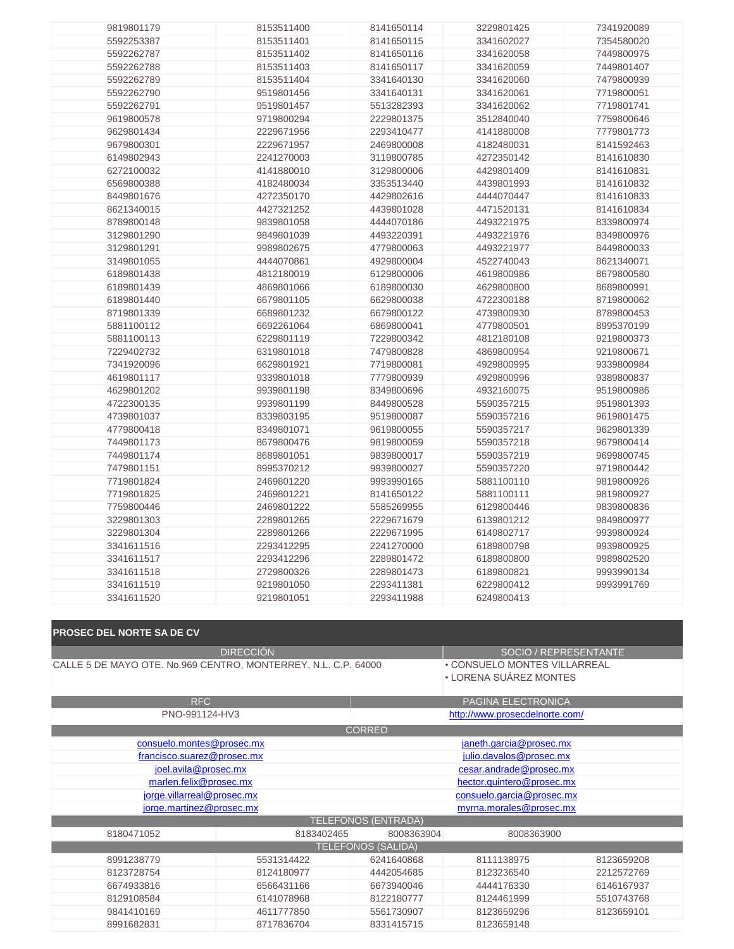| 9819801179<br>8153511400<br>8141650114<br>3229801425<br>7341920089<br>5592253387<br>8153511401<br>3341602027<br>7354580020<br>8141650115<br>5592262787<br>7449800975<br>8153511402<br>8141650116<br>3341620058<br>5592262788<br>8153511403<br>8141650117<br>3341620059<br>7449801407<br>5592262789<br>8153511404<br>3341640130<br>3341620060<br>7479800939<br>5592262790<br>9519801456<br>3341640131<br>3341620061<br>7719800051<br>5592262791<br>9519801457<br>5513282393<br>3341620062<br>7719801741<br>9619800578<br>9719800294<br>2229801375<br>3512840040<br>7759800646<br>9629801434<br>2229671956<br>2293410477<br>4141880008<br>7779801773<br>9679800301<br>2229671957<br>2469800008<br>4182480031<br>8141592463<br>6149802943<br>2241270003<br>8141610830<br>3119800785<br>4272350142<br>6272100032<br>4141880010<br>3129800006<br>4429801409<br>8141610831<br>6569800388<br>4182480034<br>3353513440<br>4439801993<br>8141610832<br>8449801676<br>4272350170<br>4429802616<br>4444070447<br>8141610833<br>8621340015<br>4427321252<br>4439801028<br>4471520131<br>8141610834<br>8789800148<br>9839801058<br>4444070186<br>4493221975<br>8339800974<br>3129801290<br>9849801039<br>4493220391<br>4493221976<br>8349800976<br>3129801291<br>9989802675<br>4779800063<br>4493221977<br>8449800033<br>3149801055<br>4444070861<br>4929800004<br>4522740043<br>8621340071<br>6189801438<br>4812180019<br>6129800006<br>4619800986<br>8679800580<br>6189801439<br>4869801066<br>6189800030<br>4629800800<br>8689800991<br>6189801440<br>6629800038<br>4722300188<br>8719800062<br>6679801105<br>8719801339<br>6689801232<br>6679800122<br>4739800930<br>8789800453<br>5881100112<br>6692261064<br>6869800041<br>4779800501<br>8995370199<br>5881100113<br>6229801119<br>7229800342<br>4812180108<br>9219800373<br>7229402732<br>6319801018<br>7479800828<br>4869800954<br>9219800671<br>7341920096<br>6629801921<br>7719800081<br>4929800995<br>9339800984<br>4619801117<br>9339801018<br>7779800939<br>4929800996<br>9389800837<br>4629801202<br>9939801198<br>8349800696<br>4932160075<br>9519800986<br>4722300135<br>9939801199<br>8449800528<br>5590357215<br>9519801393<br>4739801037<br>8339803195<br>9519800087<br>5590357216<br>9619801475<br>4779800418<br>8349801071<br>9619800055<br>5590357217<br>9629801339<br>7449801173<br>9679800414<br>8679800476<br>9819800059<br>5590357218<br>7449801174<br>8689801051<br>9839800017<br>5590357219<br>9699800745<br>7479801151<br>8995370212<br>9719800442<br>9939800027<br>5590357220<br>7719801824<br>2469801220<br>9993990165<br>5881100110<br>9819800926<br>7719801825<br>2469801221<br>8141650122<br>5881100111<br>9819800927<br>7759800446<br>2469801222<br>5585269955<br>6129800446<br>9839800836<br>3229801303<br>2289801265<br>2229671679<br>6139801212<br>9849800977<br>3229801304<br>2289801266<br>2229671995<br>6149802717<br>9939800924<br>3341611516<br>2293412295<br>2241270000<br>6189800798<br>9939800925<br>2293412296<br>2289801472<br>6189800800<br>9989802520<br>3341611517<br>3341611518<br>2729800326<br>2289801473<br>6189800821<br>9993990134<br>6229800412<br>3341611519<br>9219801050<br>2293411381<br>9993991769<br>3341611520<br>9219801051<br>2293411988<br>6249800413 |  |  |  |
|--------------------------------------------------------------------------------------------------------------------------------------------------------------------------------------------------------------------------------------------------------------------------------------------------------------------------------------------------------------------------------------------------------------------------------------------------------------------------------------------------------------------------------------------------------------------------------------------------------------------------------------------------------------------------------------------------------------------------------------------------------------------------------------------------------------------------------------------------------------------------------------------------------------------------------------------------------------------------------------------------------------------------------------------------------------------------------------------------------------------------------------------------------------------------------------------------------------------------------------------------------------------------------------------------------------------------------------------------------------------------------------------------------------------------------------------------------------------------------------------------------------------------------------------------------------------------------------------------------------------------------------------------------------------------------------------------------------------------------------------------------------------------------------------------------------------------------------------------------------------------------------------------------------------------------------------------------------------------------------------------------------------------------------------------------------------------------------------------------------------------------------------------------------------------------------------------------------------------------------------------------------------------------------------------------------------------------------------------------------------------------------------------------------------------------------------------------------------------------------------------------------------------------------------------------------------------------------------------------------------------------------------------------------------------------------------------------------------------------------------------------------------------------------------------------------------------------------------------------------------------------------------------------------------------------------------------------------------------------------------------------------------------------------------------------------------------------------------------------------------------------------------------------------------------------------------------------------------------------------------------------------|--|--|--|
|                                                                                                                                                                                                                                                                                                                                                                                                                                                                                                                                                                                                                                                                                                                                                                                                                                                                                                                                                                                                                                                                                                                                                                                                                                                                                                                                                                                                                                                                                                                                                                                                                                                                                                                                                                                                                                                                                                                                                                                                                                                                                                                                                                                                                                                                                                                                                                                                                                                                                                                                                                                                                                                                                                                                                                                                                                                                                                                                                                                                                                                                                                                                                                                                                                                              |  |  |  |
|                                                                                                                                                                                                                                                                                                                                                                                                                                                                                                                                                                                                                                                                                                                                                                                                                                                                                                                                                                                                                                                                                                                                                                                                                                                                                                                                                                                                                                                                                                                                                                                                                                                                                                                                                                                                                                                                                                                                                                                                                                                                                                                                                                                                                                                                                                                                                                                                                                                                                                                                                                                                                                                                                                                                                                                                                                                                                                                                                                                                                                                                                                                                                                                                                                                              |  |  |  |
|                                                                                                                                                                                                                                                                                                                                                                                                                                                                                                                                                                                                                                                                                                                                                                                                                                                                                                                                                                                                                                                                                                                                                                                                                                                                                                                                                                                                                                                                                                                                                                                                                                                                                                                                                                                                                                                                                                                                                                                                                                                                                                                                                                                                                                                                                                                                                                                                                                                                                                                                                                                                                                                                                                                                                                                                                                                                                                                                                                                                                                                                                                                                                                                                                                                              |  |  |  |
|                                                                                                                                                                                                                                                                                                                                                                                                                                                                                                                                                                                                                                                                                                                                                                                                                                                                                                                                                                                                                                                                                                                                                                                                                                                                                                                                                                                                                                                                                                                                                                                                                                                                                                                                                                                                                                                                                                                                                                                                                                                                                                                                                                                                                                                                                                                                                                                                                                                                                                                                                                                                                                                                                                                                                                                                                                                                                                                                                                                                                                                                                                                                                                                                                                                              |  |  |  |
|                                                                                                                                                                                                                                                                                                                                                                                                                                                                                                                                                                                                                                                                                                                                                                                                                                                                                                                                                                                                                                                                                                                                                                                                                                                                                                                                                                                                                                                                                                                                                                                                                                                                                                                                                                                                                                                                                                                                                                                                                                                                                                                                                                                                                                                                                                                                                                                                                                                                                                                                                                                                                                                                                                                                                                                                                                                                                                                                                                                                                                                                                                                                                                                                                                                              |  |  |  |
|                                                                                                                                                                                                                                                                                                                                                                                                                                                                                                                                                                                                                                                                                                                                                                                                                                                                                                                                                                                                                                                                                                                                                                                                                                                                                                                                                                                                                                                                                                                                                                                                                                                                                                                                                                                                                                                                                                                                                                                                                                                                                                                                                                                                                                                                                                                                                                                                                                                                                                                                                                                                                                                                                                                                                                                                                                                                                                                                                                                                                                                                                                                                                                                                                                                              |  |  |  |
|                                                                                                                                                                                                                                                                                                                                                                                                                                                                                                                                                                                                                                                                                                                                                                                                                                                                                                                                                                                                                                                                                                                                                                                                                                                                                                                                                                                                                                                                                                                                                                                                                                                                                                                                                                                                                                                                                                                                                                                                                                                                                                                                                                                                                                                                                                                                                                                                                                                                                                                                                                                                                                                                                                                                                                                                                                                                                                                                                                                                                                                                                                                                                                                                                                                              |  |  |  |
|                                                                                                                                                                                                                                                                                                                                                                                                                                                                                                                                                                                                                                                                                                                                                                                                                                                                                                                                                                                                                                                                                                                                                                                                                                                                                                                                                                                                                                                                                                                                                                                                                                                                                                                                                                                                                                                                                                                                                                                                                                                                                                                                                                                                                                                                                                                                                                                                                                                                                                                                                                                                                                                                                                                                                                                                                                                                                                                                                                                                                                                                                                                                                                                                                                                              |  |  |  |
|                                                                                                                                                                                                                                                                                                                                                                                                                                                                                                                                                                                                                                                                                                                                                                                                                                                                                                                                                                                                                                                                                                                                                                                                                                                                                                                                                                                                                                                                                                                                                                                                                                                                                                                                                                                                                                                                                                                                                                                                                                                                                                                                                                                                                                                                                                                                                                                                                                                                                                                                                                                                                                                                                                                                                                                                                                                                                                                                                                                                                                                                                                                                                                                                                                                              |  |  |  |
|                                                                                                                                                                                                                                                                                                                                                                                                                                                                                                                                                                                                                                                                                                                                                                                                                                                                                                                                                                                                                                                                                                                                                                                                                                                                                                                                                                                                                                                                                                                                                                                                                                                                                                                                                                                                                                                                                                                                                                                                                                                                                                                                                                                                                                                                                                                                                                                                                                                                                                                                                                                                                                                                                                                                                                                                                                                                                                                                                                                                                                                                                                                                                                                                                                                              |  |  |  |
|                                                                                                                                                                                                                                                                                                                                                                                                                                                                                                                                                                                                                                                                                                                                                                                                                                                                                                                                                                                                                                                                                                                                                                                                                                                                                                                                                                                                                                                                                                                                                                                                                                                                                                                                                                                                                                                                                                                                                                                                                                                                                                                                                                                                                                                                                                                                                                                                                                                                                                                                                                                                                                                                                                                                                                                                                                                                                                                                                                                                                                                                                                                                                                                                                                                              |  |  |  |
|                                                                                                                                                                                                                                                                                                                                                                                                                                                                                                                                                                                                                                                                                                                                                                                                                                                                                                                                                                                                                                                                                                                                                                                                                                                                                                                                                                                                                                                                                                                                                                                                                                                                                                                                                                                                                                                                                                                                                                                                                                                                                                                                                                                                                                                                                                                                                                                                                                                                                                                                                                                                                                                                                                                                                                                                                                                                                                                                                                                                                                                                                                                                                                                                                                                              |  |  |  |
|                                                                                                                                                                                                                                                                                                                                                                                                                                                                                                                                                                                                                                                                                                                                                                                                                                                                                                                                                                                                                                                                                                                                                                                                                                                                                                                                                                                                                                                                                                                                                                                                                                                                                                                                                                                                                                                                                                                                                                                                                                                                                                                                                                                                                                                                                                                                                                                                                                                                                                                                                                                                                                                                                                                                                                                                                                                                                                                                                                                                                                                                                                                                                                                                                                                              |  |  |  |
|                                                                                                                                                                                                                                                                                                                                                                                                                                                                                                                                                                                                                                                                                                                                                                                                                                                                                                                                                                                                                                                                                                                                                                                                                                                                                                                                                                                                                                                                                                                                                                                                                                                                                                                                                                                                                                                                                                                                                                                                                                                                                                                                                                                                                                                                                                                                                                                                                                                                                                                                                                                                                                                                                                                                                                                                                                                                                                                                                                                                                                                                                                                                                                                                                                                              |  |  |  |
|                                                                                                                                                                                                                                                                                                                                                                                                                                                                                                                                                                                                                                                                                                                                                                                                                                                                                                                                                                                                                                                                                                                                                                                                                                                                                                                                                                                                                                                                                                                                                                                                                                                                                                                                                                                                                                                                                                                                                                                                                                                                                                                                                                                                                                                                                                                                                                                                                                                                                                                                                                                                                                                                                                                                                                                                                                                                                                                                                                                                                                                                                                                                                                                                                                                              |  |  |  |
|                                                                                                                                                                                                                                                                                                                                                                                                                                                                                                                                                                                                                                                                                                                                                                                                                                                                                                                                                                                                                                                                                                                                                                                                                                                                                                                                                                                                                                                                                                                                                                                                                                                                                                                                                                                                                                                                                                                                                                                                                                                                                                                                                                                                                                                                                                                                                                                                                                                                                                                                                                                                                                                                                                                                                                                                                                                                                                                                                                                                                                                                                                                                                                                                                                                              |  |  |  |
|                                                                                                                                                                                                                                                                                                                                                                                                                                                                                                                                                                                                                                                                                                                                                                                                                                                                                                                                                                                                                                                                                                                                                                                                                                                                                                                                                                                                                                                                                                                                                                                                                                                                                                                                                                                                                                                                                                                                                                                                                                                                                                                                                                                                                                                                                                                                                                                                                                                                                                                                                                                                                                                                                                                                                                                                                                                                                                                                                                                                                                                                                                                                                                                                                                                              |  |  |  |
|                                                                                                                                                                                                                                                                                                                                                                                                                                                                                                                                                                                                                                                                                                                                                                                                                                                                                                                                                                                                                                                                                                                                                                                                                                                                                                                                                                                                                                                                                                                                                                                                                                                                                                                                                                                                                                                                                                                                                                                                                                                                                                                                                                                                                                                                                                                                                                                                                                                                                                                                                                                                                                                                                                                                                                                                                                                                                                                                                                                                                                                                                                                                                                                                                                                              |  |  |  |
|                                                                                                                                                                                                                                                                                                                                                                                                                                                                                                                                                                                                                                                                                                                                                                                                                                                                                                                                                                                                                                                                                                                                                                                                                                                                                                                                                                                                                                                                                                                                                                                                                                                                                                                                                                                                                                                                                                                                                                                                                                                                                                                                                                                                                                                                                                                                                                                                                                                                                                                                                                                                                                                                                                                                                                                                                                                                                                                                                                                                                                                                                                                                                                                                                                                              |  |  |  |
|                                                                                                                                                                                                                                                                                                                                                                                                                                                                                                                                                                                                                                                                                                                                                                                                                                                                                                                                                                                                                                                                                                                                                                                                                                                                                                                                                                                                                                                                                                                                                                                                                                                                                                                                                                                                                                                                                                                                                                                                                                                                                                                                                                                                                                                                                                                                                                                                                                                                                                                                                                                                                                                                                                                                                                                                                                                                                                                                                                                                                                                                                                                                                                                                                                                              |  |  |  |
|                                                                                                                                                                                                                                                                                                                                                                                                                                                                                                                                                                                                                                                                                                                                                                                                                                                                                                                                                                                                                                                                                                                                                                                                                                                                                                                                                                                                                                                                                                                                                                                                                                                                                                                                                                                                                                                                                                                                                                                                                                                                                                                                                                                                                                                                                                                                                                                                                                                                                                                                                                                                                                                                                                                                                                                                                                                                                                                                                                                                                                                                                                                                                                                                                                                              |  |  |  |
|                                                                                                                                                                                                                                                                                                                                                                                                                                                                                                                                                                                                                                                                                                                                                                                                                                                                                                                                                                                                                                                                                                                                                                                                                                                                                                                                                                                                                                                                                                                                                                                                                                                                                                                                                                                                                                                                                                                                                                                                                                                                                                                                                                                                                                                                                                                                                                                                                                                                                                                                                                                                                                                                                                                                                                                                                                                                                                                                                                                                                                                                                                                                                                                                                                                              |  |  |  |
|                                                                                                                                                                                                                                                                                                                                                                                                                                                                                                                                                                                                                                                                                                                                                                                                                                                                                                                                                                                                                                                                                                                                                                                                                                                                                                                                                                                                                                                                                                                                                                                                                                                                                                                                                                                                                                                                                                                                                                                                                                                                                                                                                                                                                                                                                                                                                                                                                                                                                                                                                                                                                                                                                                                                                                                                                                                                                                                                                                                                                                                                                                                                                                                                                                                              |  |  |  |
|                                                                                                                                                                                                                                                                                                                                                                                                                                                                                                                                                                                                                                                                                                                                                                                                                                                                                                                                                                                                                                                                                                                                                                                                                                                                                                                                                                                                                                                                                                                                                                                                                                                                                                                                                                                                                                                                                                                                                                                                                                                                                                                                                                                                                                                                                                                                                                                                                                                                                                                                                                                                                                                                                                                                                                                                                                                                                                                                                                                                                                                                                                                                                                                                                                                              |  |  |  |
|                                                                                                                                                                                                                                                                                                                                                                                                                                                                                                                                                                                                                                                                                                                                                                                                                                                                                                                                                                                                                                                                                                                                                                                                                                                                                                                                                                                                                                                                                                                                                                                                                                                                                                                                                                                                                                                                                                                                                                                                                                                                                                                                                                                                                                                                                                                                                                                                                                                                                                                                                                                                                                                                                                                                                                                                                                                                                                                                                                                                                                                                                                                                                                                                                                                              |  |  |  |
|                                                                                                                                                                                                                                                                                                                                                                                                                                                                                                                                                                                                                                                                                                                                                                                                                                                                                                                                                                                                                                                                                                                                                                                                                                                                                                                                                                                                                                                                                                                                                                                                                                                                                                                                                                                                                                                                                                                                                                                                                                                                                                                                                                                                                                                                                                                                                                                                                                                                                                                                                                                                                                                                                                                                                                                                                                                                                                                                                                                                                                                                                                                                                                                                                                                              |  |  |  |
|                                                                                                                                                                                                                                                                                                                                                                                                                                                                                                                                                                                                                                                                                                                                                                                                                                                                                                                                                                                                                                                                                                                                                                                                                                                                                                                                                                                                                                                                                                                                                                                                                                                                                                                                                                                                                                                                                                                                                                                                                                                                                                                                                                                                                                                                                                                                                                                                                                                                                                                                                                                                                                                                                                                                                                                                                                                                                                                                                                                                                                                                                                                                                                                                                                                              |  |  |  |
|                                                                                                                                                                                                                                                                                                                                                                                                                                                                                                                                                                                                                                                                                                                                                                                                                                                                                                                                                                                                                                                                                                                                                                                                                                                                                                                                                                                                                                                                                                                                                                                                                                                                                                                                                                                                                                                                                                                                                                                                                                                                                                                                                                                                                                                                                                                                                                                                                                                                                                                                                                                                                                                                                                                                                                                                                                                                                                                                                                                                                                                                                                                                                                                                                                                              |  |  |  |
|                                                                                                                                                                                                                                                                                                                                                                                                                                                                                                                                                                                                                                                                                                                                                                                                                                                                                                                                                                                                                                                                                                                                                                                                                                                                                                                                                                                                                                                                                                                                                                                                                                                                                                                                                                                                                                                                                                                                                                                                                                                                                                                                                                                                                                                                                                                                                                                                                                                                                                                                                                                                                                                                                                                                                                                                                                                                                                                                                                                                                                                                                                                                                                                                                                                              |  |  |  |
|                                                                                                                                                                                                                                                                                                                                                                                                                                                                                                                                                                                                                                                                                                                                                                                                                                                                                                                                                                                                                                                                                                                                                                                                                                                                                                                                                                                                                                                                                                                                                                                                                                                                                                                                                                                                                                                                                                                                                                                                                                                                                                                                                                                                                                                                                                                                                                                                                                                                                                                                                                                                                                                                                                                                                                                                                                                                                                                                                                                                                                                                                                                                                                                                                                                              |  |  |  |
|                                                                                                                                                                                                                                                                                                                                                                                                                                                                                                                                                                                                                                                                                                                                                                                                                                                                                                                                                                                                                                                                                                                                                                                                                                                                                                                                                                                                                                                                                                                                                                                                                                                                                                                                                                                                                                                                                                                                                                                                                                                                                                                                                                                                                                                                                                                                                                                                                                                                                                                                                                                                                                                                                                                                                                                                                                                                                                                                                                                                                                                                                                                                                                                                                                                              |  |  |  |
|                                                                                                                                                                                                                                                                                                                                                                                                                                                                                                                                                                                                                                                                                                                                                                                                                                                                                                                                                                                                                                                                                                                                                                                                                                                                                                                                                                                                                                                                                                                                                                                                                                                                                                                                                                                                                                                                                                                                                                                                                                                                                                                                                                                                                                                                                                                                                                                                                                                                                                                                                                                                                                                                                                                                                                                                                                                                                                                                                                                                                                                                                                                                                                                                                                                              |  |  |  |
|                                                                                                                                                                                                                                                                                                                                                                                                                                                                                                                                                                                                                                                                                                                                                                                                                                                                                                                                                                                                                                                                                                                                                                                                                                                                                                                                                                                                                                                                                                                                                                                                                                                                                                                                                                                                                                                                                                                                                                                                                                                                                                                                                                                                                                                                                                                                                                                                                                                                                                                                                                                                                                                                                                                                                                                                                                                                                                                                                                                                                                                                                                                                                                                                                                                              |  |  |  |
|                                                                                                                                                                                                                                                                                                                                                                                                                                                                                                                                                                                                                                                                                                                                                                                                                                                                                                                                                                                                                                                                                                                                                                                                                                                                                                                                                                                                                                                                                                                                                                                                                                                                                                                                                                                                                                                                                                                                                                                                                                                                                                                                                                                                                                                                                                                                                                                                                                                                                                                                                                                                                                                                                                                                                                                                                                                                                                                                                                                                                                                                                                                                                                                                                                                              |  |  |  |
|                                                                                                                                                                                                                                                                                                                                                                                                                                                                                                                                                                                                                                                                                                                                                                                                                                                                                                                                                                                                                                                                                                                                                                                                                                                                                                                                                                                                                                                                                                                                                                                                                                                                                                                                                                                                                                                                                                                                                                                                                                                                                                                                                                                                                                                                                                                                                                                                                                                                                                                                                                                                                                                                                                                                                                                                                                                                                                                                                                                                                                                                                                                                                                                                                                                              |  |  |  |
|                                                                                                                                                                                                                                                                                                                                                                                                                                                                                                                                                                                                                                                                                                                                                                                                                                                                                                                                                                                                                                                                                                                                                                                                                                                                                                                                                                                                                                                                                                                                                                                                                                                                                                                                                                                                                                                                                                                                                                                                                                                                                                                                                                                                                                                                                                                                                                                                                                                                                                                                                                                                                                                                                                                                                                                                                                                                                                                                                                                                                                                                                                                                                                                                                                                              |  |  |  |
|                                                                                                                                                                                                                                                                                                                                                                                                                                                                                                                                                                                                                                                                                                                                                                                                                                                                                                                                                                                                                                                                                                                                                                                                                                                                                                                                                                                                                                                                                                                                                                                                                                                                                                                                                                                                                                                                                                                                                                                                                                                                                                                                                                                                                                                                                                                                                                                                                                                                                                                                                                                                                                                                                                                                                                                                                                                                                                                                                                                                                                                                                                                                                                                                                                                              |  |  |  |
|                                                                                                                                                                                                                                                                                                                                                                                                                                                                                                                                                                                                                                                                                                                                                                                                                                                                                                                                                                                                                                                                                                                                                                                                                                                                                                                                                                                                                                                                                                                                                                                                                                                                                                                                                                                                                                                                                                                                                                                                                                                                                                                                                                                                                                                                                                                                                                                                                                                                                                                                                                                                                                                                                                                                                                                                                                                                                                                                                                                                                                                                                                                                                                                                                                                              |  |  |  |
|                                                                                                                                                                                                                                                                                                                                                                                                                                                                                                                                                                                                                                                                                                                                                                                                                                                                                                                                                                                                                                                                                                                                                                                                                                                                                                                                                                                                                                                                                                                                                                                                                                                                                                                                                                                                                                                                                                                                                                                                                                                                                                                                                                                                                                                                                                                                                                                                                                                                                                                                                                                                                                                                                                                                                                                                                                                                                                                                                                                                                                                                                                                                                                                                                                                              |  |  |  |
|                                                                                                                                                                                                                                                                                                                                                                                                                                                                                                                                                                                                                                                                                                                                                                                                                                                                                                                                                                                                                                                                                                                                                                                                                                                                                                                                                                                                                                                                                                                                                                                                                                                                                                                                                                                                                                                                                                                                                                                                                                                                                                                                                                                                                                                                                                                                                                                                                                                                                                                                                                                                                                                                                                                                                                                                                                                                                                                                                                                                                                                                                                                                                                                                                                                              |  |  |  |
|                                                                                                                                                                                                                                                                                                                                                                                                                                                                                                                                                                                                                                                                                                                                                                                                                                                                                                                                                                                                                                                                                                                                                                                                                                                                                                                                                                                                                                                                                                                                                                                                                                                                                                                                                                                                                                                                                                                                                                                                                                                                                                                                                                                                                                                                                                                                                                                                                                                                                                                                                                                                                                                                                                                                                                                                                                                                                                                                                                                                                                                                                                                                                                                                                                                              |  |  |  |
|                                                                                                                                                                                                                                                                                                                                                                                                                                                                                                                                                                                                                                                                                                                                                                                                                                                                                                                                                                                                                                                                                                                                                                                                                                                                                                                                                                                                                                                                                                                                                                                                                                                                                                                                                                                                                                                                                                                                                                                                                                                                                                                                                                                                                                                                                                                                                                                                                                                                                                                                                                                                                                                                                                                                                                                                                                                                                                                                                                                                                                                                                                                                                                                                                                                              |  |  |  |
|                                                                                                                                                                                                                                                                                                                                                                                                                                                                                                                                                                                                                                                                                                                                                                                                                                                                                                                                                                                                                                                                                                                                                                                                                                                                                                                                                                                                                                                                                                                                                                                                                                                                                                                                                                                                                                                                                                                                                                                                                                                                                                                                                                                                                                                                                                                                                                                                                                                                                                                                                                                                                                                                                                                                                                                                                                                                                                                                                                                                                                                                                                                                                                                                                                                              |  |  |  |
|                                                                                                                                                                                                                                                                                                                                                                                                                                                                                                                                                                                                                                                                                                                                                                                                                                                                                                                                                                                                                                                                                                                                                                                                                                                                                                                                                                                                                                                                                                                                                                                                                                                                                                                                                                                                                                                                                                                                                                                                                                                                                                                                                                                                                                                                                                                                                                                                                                                                                                                                                                                                                                                                                                                                                                                                                                                                                                                                                                                                                                                                                                                                                                                                                                                              |  |  |  |
|                                                                                                                                                                                                                                                                                                                                                                                                                                                                                                                                                                                                                                                                                                                                                                                                                                                                                                                                                                                                                                                                                                                                                                                                                                                                                                                                                                                                                                                                                                                                                                                                                                                                                                                                                                                                                                                                                                                                                                                                                                                                                                                                                                                                                                                                                                                                                                                                                                                                                                                                                                                                                                                                                                                                                                                                                                                                                                                                                                                                                                                                                                                                                                                                                                                              |  |  |  |
|                                                                                                                                                                                                                                                                                                                                                                                                                                                                                                                                                                                                                                                                                                                                                                                                                                                                                                                                                                                                                                                                                                                                                                                                                                                                                                                                                                                                                                                                                                                                                                                                                                                                                                                                                                                                                                                                                                                                                                                                                                                                                                                                                                                                                                                                                                                                                                                                                                                                                                                                                                                                                                                                                                                                                                                                                                                                                                                                                                                                                                                                                                                                                                                                                                                              |  |  |  |

| <b>PROSEC DEL NORTE SA DE CV</b>                               |                          |                            |                                                        |            |
|----------------------------------------------------------------|--------------------------|----------------------------|--------------------------------------------------------|------------|
|                                                                | <b>DIRECCIÓN</b>         |                            | SOCIO / REPRESENTANTE                                  |            |
| CALLE 5 DE MAYO OTE. No.969 CENTRO, MONTERREY, N.L. C.P. 64000 |                          |                            | • CONSUELO MONTES VILLARREAL<br>• LORENA SUÁREZ MONTES |            |
| <b>RFC</b>                                                     |                          |                            | PAGINA ELECTRONICA                                     |            |
| PNO-991124-HV3                                                 |                          |                            | http://www.prosecdelnorte.com/                         |            |
|                                                                |                          | <b>CORREO</b>              |                                                        |            |
| consuelo.montes@prosec.mx                                      |                          |                            | janeth.garcia@prosec.mx                                |            |
| francisco.suarez@prosec.mx                                     |                          |                            | julio.davalos@prosec.mx                                |            |
| joel.avila@prosec.mx                                           |                          | cesar.andrade@prosec.mx    |                                                        |            |
| marlen.felix@prosec.mx                                         |                          | hector.quintero@prosec.mx  |                                                        |            |
| jorge.villarreal@prosec.mx                                     |                          |                            | consuelo.garcia@prosec.mx                              |            |
| jorge.martinez@prosec.mx                                       |                          |                            | myrna.morales@prosec.mx                                |            |
|                                                                |                          | <b>TELEFONOS (ENTRADA)</b> |                                                        |            |
| 8180471052                                                     | 8183402465               | 8008363904                 | 8008363900                                             |            |
|                                                                |                          | <b>TELEFONOS (SALIDA)</b>  |                                                        |            |
| 8991238779                                                     | 5531314422               | 6241640868                 | 8111138975                                             | 8123659208 |
| 8123728754                                                     | 8124180977               | 4442054685                 | 8123236540                                             | 2212572769 |
| 6674933816                                                     | 6566431166<br>6673940046 |                            | 4444176330                                             | 6146167937 |
| 8129108584                                                     | 6141078968               | 8122180777                 | 8124461999                                             | 5510743768 |
| 9841410169                                                     | 4611777850               | 5561730907                 | 8123659296                                             | 8123659101 |
| 8991682831                                                     | 8717836704               | 8331415715                 | 8123659148                                             |            |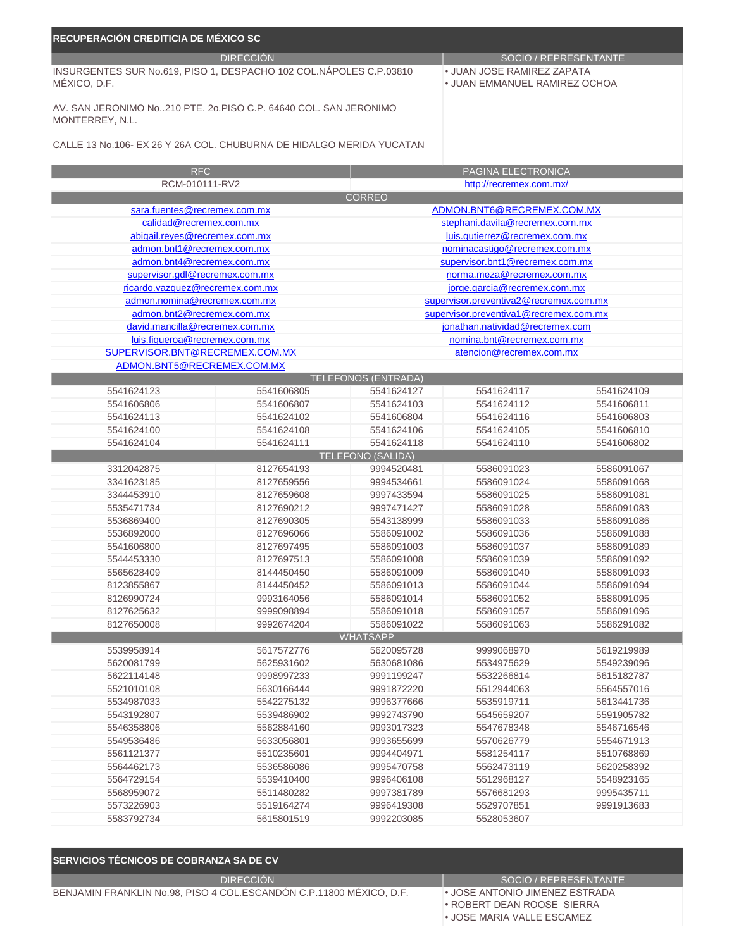| <b>DIRECCIÓN</b><br>SOCIO / REPRESENTANTE<br>INSURGENTES SUR No.619, PISO 1, DESPACHO 102 COL.NÁPOLES C.P.03810<br>• JUAN JOSE RAMIREZ ZAPATA<br>MÉXICO, D.F.<br>• JUAN EMMANUEL RAMIREZ OCHOA<br>AV. SAN JERONIMO No210 PTE, 20.PISO C.P. 64640 COL. SAN JERONIMO<br>MONTERREY, N.L.<br>CALLE 13 No.106- EX 26 Y 26A COL, CHUBURNA DE HIDALGO MERIDA YUCATAN<br>PAGINA ELECTRONICA<br><b>RFC</b><br>RCM-010111-RV2<br>http://recremex.com.mx/<br><b>CORREO</b><br>ADMON.BNT6@RECREMEX.COM.MX<br>sara.fuentes@recremex.com.mx<br>calidad@recremex.com.mx<br>stephani.davila@recremex.com.mx<br>abigail.reyes@recremex.com.mx<br>luis.gutierrez@recremex.com.mx<br>admon.bnt1@recremex.com.mx<br>nominacastigo@recremex.com.mx<br>admon.bnt4@recremex.com.mx<br>supervisor.bnt1@recremex.com.mx<br>supervisor.gdl@recremex.com.mx<br>norma.meza@recremex.com.mx<br>ricardo.vazquez@recremex.com.mx<br>jorge.garcia@recremex.com.mx<br>admon.nomina@recremex.com.mx<br>supervisor.preventiva2@recremex.com.mx<br>admon.bnt2@recremex.com.mx<br>supervisor.preventiva1@recremex.com.mx<br>david.mancilla@recremex.com.mx<br>jonathan.natividad@recremex.com<br>luis.figueroa@recremex.com.mx<br>nomina.bnt@recremex.com.mx<br>SUPERVISOR.BNT@RECREMEX.COM.MX<br>atencion@recremex.com.mx<br>ADMON.BNT5@RECREMEX.COM.MX<br><b>TELEFONOS (ENTRADA)</b><br>5541624123<br>5541606805<br>5541624127<br>5541624117<br>5541624109<br>5541606806<br>5541606807<br>5541624103<br>5541624112<br>5541606811<br>5541624113<br>5541624102<br>5541606804<br>5541624116<br>5541606803<br>5541624100<br>5541624108<br>5541624106<br>5541624105<br>5541606810<br>5541624104<br>5541624111<br>5541624118<br>5541624110<br>5541606802<br><b>TELEFONO (SALIDA)</b><br>8127654193<br>3312042875<br>9994520481<br>5586091023<br>5586091067<br>3341623185<br>8127659556<br>9994534661<br>5586091024<br>5586091068<br>8127659608<br>9997433594<br>3344453910<br>5586091025<br>5586091081<br>5535471734<br>8127690212<br>9997471427<br>5586091028<br>5586091083<br>5536869400<br>8127690305<br>5543138999<br>5586091033<br>5586091086<br>5536892000<br>8127696066<br>5586091002<br>5586091036<br>5586091088<br>8127697495<br>5586091089<br>5541606800<br>5586091003<br>5586091037<br>5544453330<br>8127697513<br>5586091008<br>5586091039<br>5586091092<br>5565628409<br>5586091009<br>5586091040<br>5586091093<br>8144450450<br>8123855867<br>8144450452<br>5586091013<br>5586091044<br>5586091094<br>8126990724<br>9993164056<br>5586091014<br>5586091052<br>5586091095<br>8127625632<br>9999098894<br>5586091018<br>5586091057<br>5586091096<br>8127650008<br>9992674204<br>5586091022<br>5586091063<br>5586291082<br><b>WHATSAPP</b><br>5539958914<br>5617572776<br>5619219989<br>5620095728<br>9999068970<br>5620081799<br>5625931602<br>5630681086<br>5534975629<br>5549239096<br>5622114148<br>9998997233<br>9991199247<br>5532266814<br>5615182787<br>5521010108<br>5630166444<br>9991872220<br>5512944063<br>5564557016<br>5534987033<br>5542275132<br>9996377666<br>5535919711<br>5613441736<br>5543192807<br>5539486902<br>9992743790<br>5545659207<br>5591905782<br>5546358806<br>5562884160<br>9993017323<br>5547678348<br>5546716546<br>5549536486<br>5633056801<br>9993655699<br>5570626779<br>5554671913<br>5561121377<br>5510235601<br>9994404971<br>5581254117<br>5510768869<br>5536586086<br>5564462173<br>9995470758<br>5562473119<br>5620258392<br>5564729154<br>5539410400<br>9996406108<br>5512968127<br>5548923165<br>5568959072<br>5511480282<br>9997381789<br>9995435711<br>5576681293<br>5573226903<br>5519164274<br>9996419308<br>5529707851<br>9991913683 | RECUPERACIÓN CREDITICIA DE MÉXICO SC |            |            |            |  |
|------------------------------------------------------------------------------------------------------------------------------------------------------------------------------------------------------------------------------------------------------------------------------------------------------------------------------------------------------------------------------------------------------------------------------------------------------------------------------------------------------------------------------------------------------------------------------------------------------------------------------------------------------------------------------------------------------------------------------------------------------------------------------------------------------------------------------------------------------------------------------------------------------------------------------------------------------------------------------------------------------------------------------------------------------------------------------------------------------------------------------------------------------------------------------------------------------------------------------------------------------------------------------------------------------------------------------------------------------------------------------------------------------------------------------------------------------------------------------------------------------------------------------------------------------------------------------------------------------------------------------------------------------------------------------------------------------------------------------------------------------------------------------------------------------------------------------------------------------------------------------------------------------------------------------------------------------------------------------------------------------------------------------------------------------------------------------------------------------------------------------------------------------------------------------------------------------------------------------------------------------------------------------------------------------------------------------------------------------------------------------------------------------------------------------------------------------------------------------------------------------------------------------------------------------------------------------------------------------------------------------------------------------------------------------------------------------------------------------------------------------------------------------------------------------------------------------------------------------------------------------------------------------------------------------------------------------------------------------------------------------------------------------------------------------------------------------------------------------------------------------------------------------------------------------------------------------------------------------------------------------------------------------------------------------------------------------------------------------------------------------------------------------------------------------------------------------------------------------------------------------------------------------------------------------------------------------------------------------------------------------------------------------------|--------------------------------------|------------|------------|------------|--|
|                                                                                                                                                                                                                                                                                                                                                                                                                                                                                                                                                                                                                                                                                                                                                                                                                                                                                                                                                                                                                                                                                                                                                                                                                                                                                                                                                                                                                                                                                                                                                                                                                                                                                                                                                                                                                                                                                                                                                                                                                                                                                                                                                                                                                                                                                                                                                                                                                                                                                                                                                                                                                                                                                                                                                                                                                                                                                                                                                                                                                                                                                                                                                                                                                                                                                                                                                                                                                                                                                                                                                                                                                                                            |                                      |            |            |            |  |
|                                                                                                                                                                                                                                                                                                                                                                                                                                                                                                                                                                                                                                                                                                                                                                                                                                                                                                                                                                                                                                                                                                                                                                                                                                                                                                                                                                                                                                                                                                                                                                                                                                                                                                                                                                                                                                                                                                                                                                                                                                                                                                                                                                                                                                                                                                                                                                                                                                                                                                                                                                                                                                                                                                                                                                                                                                                                                                                                                                                                                                                                                                                                                                                                                                                                                                                                                                                                                                                                                                                                                                                                                                                            |                                      |            |            |            |  |
|                                                                                                                                                                                                                                                                                                                                                                                                                                                                                                                                                                                                                                                                                                                                                                                                                                                                                                                                                                                                                                                                                                                                                                                                                                                                                                                                                                                                                                                                                                                                                                                                                                                                                                                                                                                                                                                                                                                                                                                                                                                                                                                                                                                                                                                                                                                                                                                                                                                                                                                                                                                                                                                                                                                                                                                                                                                                                                                                                                                                                                                                                                                                                                                                                                                                                                                                                                                                                                                                                                                                                                                                                                                            |                                      |            |            |            |  |
|                                                                                                                                                                                                                                                                                                                                                                                                                                                                                                                                                                                                                                                                                                                                                                                                                                                                                                                                                                                                                                                                                                                                                                                                                                                                                                                                                                                                                                                                                                                                                                                                                                                                                                                                                                                                                                                                                                                                                                                                                                                                                                                                                                                                                                                                                                                                                                                                                                                                                                                                                                                                                                                                                                                                                                                                                                                                                                                                                                                                                                                                                                                                                                                                                                                                                                                                                                                                                                                                                                                                                                                                                                                            |                                      |            |            |            |  |
|                                                                                                                                                                                                                                                                                                                                                                                                                                                                                                                                                                                                                                                                                                                                                                                                                                                                                                                                                                                                                                                                                                                                                                                                                                                                                                                                                                                                                                                                                                                                                                                                                                                                                                                                                                                                                                                                                                                                                                                                                                                                                                                                                                                                                                                                                                                                                                                                                                                                                                                                                                                                                                                                                                                                                                                                                                                                                                                                                                                                                                                                                                                                                                                                                                                                                                                                                                                                                                                                                                                                                                                                                                                            |                                      |            |            |            |  |
|                                                                                                                                                                                                                                                                                                                                                                                                                                                                                                                                                                                                                                                                                                                                                                                                                                                                                                                                                                                                                                                                                                                                                                                                                                                                                                                                                                                                                                                                                                                                                                                                                                                                                                                                                                                                                                                                                                                                                                                                                                                                                                                                                                                                                                                                                                                                                                                                                                                                                                                                                                                                                                                                                                                                                                                                                                                                                                                                                                                                                                                                                                                                                                                                                                                                                                                                                                                                                                                                                                                                                                                                                                                            |                                      |            |            |            |  |
|                                                                                                                                                                                                                                                                                                                                                                                                                                                                                                                                                                                                                                                                                                                                                                                                                                                                                                                                                                                                                                                                                                                                                                                                                                                                                                                                                                                                                                                                                                                                                                                                                                                                                                                                                                                                                                                                                                                                                                                                                                                                                                                                                                                                                                                                                                                                                                                                                                                                                                                                                                                                                                                                                                                                                                                                                                                                                                                                                                                                                                                                                                                                                                                                                                                                                                                                                                                                                                                                                                                                                                                                                                                            |                                      |            |            |            |  |
|                                                                                                                                                                                                                                                                                                                                                                                                                                                                                                                                                                                                                                                                                                                                                                                                                                                                                                                                                                                                                                                                                                                                                                                                                                                                                                                                                                                                                                                                                                                                                                                                                                                                                                                                                                                                                                                                                                                                                                                                                                                                                                                                                                                                                                                                                                                                                                                                                                                                                                                                                                                                                                                                                                                                                                                                                                                                                                                                                                                                                                                                                                                                                                                                                                                                                                                                                                                                                                                                                                                                                                                                                                                            |                                      |            |            |            |  |
|                                                                                                                                                                                                                                                                                                                                                                                                                                                                                                                                                                                                                                                                                                                                                                                                                                                                                                                                                                                                                                                                                                                                                                                                                                                                                                                                                                                                                                                                                                                                                                                                                                                                                                                                                                                                                                                                                                                                                                                                                                                                                                                                                                                                                                                                                                                                                                                                                                                                                                                                                                                                                                                                                                                                                                                                                                                                                                                                                                                                                                                                                                                                                                                                                                                                                                                                                                                                                                                                                                                                                                                                                                                            |                                      |            |            |            |  |
|                                                                                                                                                                                                                                                                                                                                                                                                                                                                                                                                                                                                                                                                                                                                                                                                                                                                                                                                                                                                                                                                                                                                                                                                                                                                                                                                                                                                                                                                                                                                                                                                                                                                                                                                                                                                                                                                                                                                                                                                                                                                                                                                                                                                                                                                                                                                                                                                                                                                                                                                                                                                                                                                                                                                                                                                                                                                                                                                                                                                                                                                                                                                                                                                                                                                                                                                                                                                                                                                                                                                                                                                                                                            |                                      |            |            |            |  |
|                                                                                                                                                                                                                                                                                                                                                                                                                                                                                                                                                                                                                                                                                                                                                                                                                                                                                                                                                                                                                                                                                                                                                                                                                                                                                                                                                                                                                                                                                                                                                                                                                                                                                                                                                                                                                                                                                                                                                                                                                                                                                                                                                                                                                                                                                                                                                                                                                                                                                                                                                                                                                                                                                                                                                                                                                                                                                                                                                                                                                                                                                                                                                                                                                                                                                                                                                                                                                                                                                                                                                                                                                                                            |                                      |            |            |            |  |
|                                                                                                                                                                                                                                                                                                                                                                                                                                                                                                                                                                                                                                                                                                                                                                                                                                                                                                                                                                                                                                                                                                                                                                                                                                                                                                                                                                                                                                                                                                                                                                                                                                                                                                                                                                                                                                                                                                                                                                                                                                                                                                                                                                                                                                                                                                                                                                                                                                                                                                                                                                                                                                                                                                                                                                                                                                                                                                                                                                                                                                                                                                                                                                                                                                                                                                                                                                                                                                                                                                                                                                                                                                                            |                                      |            |            |            |  |
|                                                                                                                                                                                                                                                                                                                                                                                                                                                                                                                                                                                                                                                                                                                                                                                                                                                                                                                                                                                                                                                                                                                                                                                                                                                                                                                                                                                                                                                                                                                                                                                                                                                                                                                                                                                                                                                                                                                                                                                                                                                                                                                                                                                                                                                                                                                                                                                                                                                                                                                                                                                                                                                                                                                                                                                                                                                                                                                                                                                                                                                                                                                                                                                                                                                                                                                                                                                                                                                                                                                                                                                                                                                            |                                      |            |            |            |  |
|                                                                                                                                                                                                                                                                                                                                                                                                                                                                                                                                                                                                                                                                                                                                                                                                                                                                                                                                                                                                                                                                                                                                                                                                                                                                                                                                                                                                                                                                                                                                                                                                                                                                                                                                                                                                                                                                                                                                                                                                                                                                                                                                                                                                                                                                                                                                                                                                                                                                                                                                                                                                                                                                                                                                                                                                                                                                                                                                                                                                                                                                                                                                                                                                                                                                                                                                                                                                                                                                                                                                                                                                                                                            |                                      |            |            |            |  |
|                                                                                                                                                                                                                                                                                                                                                                                                                                                                                                                                                                                                                                                                                                                                                                                                                                                                                                                                                                                                                                                                                                                                                                                                                                                                                                                                                                                                                                                                                                                                                                                                                                                                                                                                                                                                                                                                                                                                                                                                                                                                                                                                                                                                                                                                                                                                                                                                                                                                                                                                                                                                                                                                                                                                                                                                                                                                                                                                                                                                                                                                                                                                                                                                                                                                                                                                                                                                                                                                                                                                                                                                                                                            |                                      |            |            |            |  |
|                                                                                                                                                                                                                                                                                                                                                                                                                                                                                                                                                                                                                                                                                                                                                                                                                                                                                                                                                                                                                                                                                                                                                                                                                                                                                                                                                                                                                                                                                                                                                                                                                                                                                                                                                                                                                                                                                                                                                                                                                                                                                                                                                                                                                                                                                                                                                                                                                                                                                                                                                                                                                                                                                                                                                                                                                                                                                                                                                                                                                                                                                                                                                                                                                                                                                                                                                                                                                                                                                                                                                                                                                                                            |                                      |            |            |            |  |
|                                                                                                                                                                                                                                                                                                                                                                                                                                                                                                                                                                                                                                                                                                                                                                                                                                                                                                                                                                                                                                                                                                                                                                                                                                                                                                                                                                                                                                                                                                                                                                                                                                                                                                                                                                                                                                                                                                                                                                                                                                                                                                                                                                                                                                                                                                                                                                                                                                                                                                                                                                                                                                                                                                                                                                                                                                                                                                                                                                                                                                                                                                                                                                                                                                                                                                                                                                                                                                                                                                                                                                                                                                                            |                                      |            |            |            |  |
|                                                                                                                                                                                                                                                                                                                                                                                                                                                                                                                                                                                                                                                                                                                                                                                                                                                                                                                                                                                                                                                                                                                                                                                                                                                                                                                                                                                                                                                                                                                                                                                                                                                                                                                                                                                                                                                                                                                                                                                                                                                                                                                                                                                                                                                                                                                                                                                                                                                                                                                                                                                                                                                                                                                                                                                                                                                                                                                                                                                                                                                                                                                                                                                                                                                                                                                                                                                                                                                                                                                                                                                                                                                            |                                      |            |            |            |  |
|                                                                                                                                                                                                                                                                                                                                                                                                                                                                                                                                                                                                                                                                                                                                                                                                                                                                                                                                                                                                                                                                                                                                                                                                                                                                                                                                                                                                                                                                                                                                                                                                                                                                                                                                                                                                                                                                                                                                                                                                                                                                                                                                                                                                                                                                                                                                                                                                                                                                                                                                                                                                                                                                                                                                                                                                                                                                                                                                                                                                                                                                                                                                                                                                                                                                                                                                                                                                                                                                                                                                                                                                                                                            |                                      |            |            |            |  |
|                                                                                                                                                                                                                                                                                                                                                                                                                                                                                                                                                                                                                                                                                                                                                                                                                                                                                                                                                                                                                                                                                                                                                                                                                                                                                                                                                                                                                                                                                                                                                                                                                                                                                                                                                                                                                                                                                                                                                                                                                                                                                                                                                                                                                                                                                                                                                                                                                                                                                                                                                                                                                                                                                                                                                                                                                                                                                                                                                                                                                                                                                                                                                                                                                                                                                                                                                                                                                                                                                                                                                                                                                                                            |                                      |            |            |            |  |
|                                                                                                                                                                                                                                                                                                                                                                                                                                                                                                                                                                                                                                                                                                                                                                                                                                                                                                                                                                                                                                                                                                                                                                                                                                                                                                                                                                                                                                                                                                                                                                                                                                                                                                                                                                                                                                                                                                                                                                                                                                                                                                                                                                                                                                                                                                                                                                                                                                                                                                                                                                                                                                                                                                                                                                                                                                                                                                                                                                                                                                                                                                                                                                                                                                                                                                                                                                                                                                                                                                                                                                                                                                                            |                                      |            |            |            |  |
|                                                                                                                                                                                                                                                                                                                                                                                                                                                                                                                                                                                                                                                                                                                                                                                                                                                                                                                                                                                                                                                                                                                                                                                                                                                                                                                                                                                                                                                                                                                                                                                                                                                                                                                                                                                                                                                                                                                                                                                                                                                                                                                                                                                                                                                                                                                                                                                                                                                                                                                                                                                                                                                                                                                                                                                                                                                                                                                                                                                                                                                                                                                                                                                                                                                                                                                                                                                                                                                                                                                                                                                                                                                            |                                      |            |            |            |  |
|                                                                                                                                                                                                                                                                                                                                                                                                                                                                                                                                                                                                                                                                                                                                                                                                                                                                                                                                                                                                                                                                                                                                                                                                                                                                                                                                                                                                                                                                                                                                                                                                                                                                                                                                                                                                                                                                                                                                                                                                                                                                                                                                                                                                                                                                                                                                                                                                                                                                                                                                                                                                                                                                                                                                                                                                                                                                                                                                                                                                                                                                                                                                                                                                                                                                                                                                                                                                                                                                                                                                                                                                                                                            |                                      |            |            |            |  |
|                                                                                                                                                                                                                                                                                                                                                                                                                                                                                                                                                                                                                                                                                                                                                                                                                                                                                                                                                                                                                                                                                                                                                                                                                                                                                                                                                                                                                                                                                                                                                                                                                                                                                                                                                                                                                                                                                                                                                                                                                                                                                                                                                                                                                                                                                                                                                                                                                                                                                                                                                                                                                                                                                                                                                                                                                                                                                                                                                                                                                                                                                                                                                                                                                                                                                                                                                                                                                                                                                                                                                                                                                                                            |                                      |            |            |            |  |
|                                                                                                                                                                                                                                                                                                                                                                                                                                                                                                                                                                                                                                                                                                                                                                                                                                                                                                                                                                                                                                                                                                                                                                                                                                                                                                                                                                                                                                                                                                                                                                                                                                                                                                                                                                                                                                                                                                                                                                                                                                                                                                                                                                                                                                                                                                                                                                                                                                                                                                                                                                                                                                                                                                                                                                                                                                                                                                                                                                                                                                                                                                                                                                                                                                                                                                                                                                                                                                                                                                                                                                                                                                                            |                                      |            |            |            |  |
|                                                                                                                                                                                                                                                                                                                                                                                                                                                                                                                                                                                                                                                                                                                                                                                                                                                                                                                                                                                                                                                                                                                                                                                                                                                                                                                                                                                                                                                                                                                                                                                                                                                                                                                                                                                                                                                                                                                                                                                                                                                                                                                                                                                                                                                                                                                                                                                                                                                                                                                                                                                                                                                                                                                                                                                                                                                                                                                                                                                                                                                                                                                                                                                                                                                                                                                                                                                                                                                                                                                                                                                                                                                            |                                      |            |            |            |  |
|                                                                                                                                                                                                                                                                                                                                                                                                                                                                                                                                                                                                                                                                                                                                                                                                                                                                                                                                                                                                                                                                                                                                                                                                                                                                                                                                                                                                                                                                                                                                                                                                                                                                                                                                                                                                                                                                                                                                                                                                                                                                                                                                                                                                                                                                                                                                                                                                                                                                                                                                                                                                                                                                                                                                                                                                                                                                                                                                                                                                                                                                                                                                                                                                                                                                                                                                                                                                                                                                                                                                                                                                                                                            |                                      |            |            |            |  |
|                                                                                                                                                                                                                                                                                                                                                                                                                                                                                                                                                                                                                                                                                                                                                                                                                                                                                                                                                                                                                                                                                                                                                                                                                                                                                                                                                                                                                                                                                                                                                                                                                                                                                                                                                                                                                                                                                                                                                                                                                                                                                                                                                                                                                                                                                                                                                                                                                                                                                                                                                                                                                                                                                                                                                                                                                                                                                                                                                                                                                                                                                                                                                                                                                                                                                                                                                                                                                                                                                                                                                                                                                                                            |                                      |            |            |            |  |
|                                                                                                                                                                                                                                                                                                                                                                                                                                                                                                                                                                                                                                                                                                                                                                                                                                                                                                                                                                                                                                                                                                                                                                                                                                                                                                                                                                                                                                                                                                                                                                                                                                                                                                                                                                                                                                                                                                                                                                                                                                                                                                                                                                                                                                                                                                                                                                                                                                                                                                                                                                                                                                                                                                                                                                                                                                                                                                                                                                                                                                                                                                                                                                                                                                                                                                                                                                                                                                                                                                                                                                                                                                                            |                                      |            |            |            |  |
|                                                                                                                                                                                                                                                                                                                                                                                                                                                                                                                                                                                                                                                                                                                                                                                                                                                                                                                                                                                                                                                                                                                                                                                                                                                                                                                                                                                                                                                                                                                                                                                                                                                                                                                                                                                                                                                                                                                                                                                                                                                                                                                                                                                                                                                                                                                                                                                                                                                                                                                                                                                                                                                                                                                                                                                                                                                                                                                                                                                                                                                                                                                                                                                                                                                                                                                                                                                                                                                                                                                                                                                                                                                            |                                      |            |            |            |  |
|                                                                                                                                                                                                                                                                                                                                                                                                                                                                                                                                                                                                                                                                                                                                                                                                                                                                                                                                                                                                                                                                                                                                                                                                                                                                                                                                                                                                                                                                                                                                                                                                                                                                                                                                                                                                                                                                                                                                                                                                                                                                                                                                                                                                                                                                                                                                                                                                                                                                                                                                                                                                                                                                                                                                                                                                                                                                                                                                                                                                                                                                                                                                                                                                                                                                                                                                                                                                                                                                                                                                                                                                                                                            |                                      |            |            |            |  |
|                                                                                                                                                                                                                                                                                                                                                                                                                                                                                                                                                                                                                                                                                                                                                                                                                                                                                                                                                                                                                                                                                                                                                                                                                                                                                                                                                                                                                                                                                                                                                                                                                                                                                                                                                                                                                                                                                                                                                                                                                                                                                                                                                                                                                                                                                                                                                                                                                                                                                                                                                                                                                                                                                                                                                                                                                                                                                                                                                                                                                                                                                                                                                                                                                                                                                                                                                                                                                                                                                                                                                                                                                                                            |                                      |            |            |            |  |
|                                                                                                                                                                                                                                                                                                                                                                                                                                                                                                                                                                                                                                                                                                                                                                                                                                                                                                                                                                                                                                                                                                                                                                                                                                                                                                                                                                                                                                                                                                                                                                                                                                                                                                                                                                                                                                                                                                                                                                                                                                                                                                                                                                                                                                                                                                                                                                                                                                                                                                                                                                                                                                                                                                                                                                                                                                                                                                                                                                                                                                                                                                                                                                                                                                                                                                                                                                                                                                                                                                                                                                                                                                                            |                                      |            |            |            |  |
|                                                                                                                                                                                                                                                                                                                                                                                                                                                                                                                                                                                                                                                                                                                                                                                                                                                                                                                                                                                                                                                                                                                                                                                                                                                                                                                                                                                                                                                                                                                                                                                                                                                                                                                                                                                                                                                                                                                                                                                                                                                                                                                                                                                                                                                                                                                                                                                                                                                                                                                                                                                                                                                                                                                                                                                                                                                                                                                                                                                                                                                                                                                                                                                                                                                                                                                                                                                                                                                                                                                                                                                                                                                            |                                      |            |            |            |  |
|                                                                                                                                                                                                                                                                                                                                                                                                                                                                                                                                                                                                                                                                                                                                                                                                                                                                                                                                                                                                                                                                                                                                                                                                                                                                                                                                                                                                                                                                                                                                                                                                                                                                                                                                                                                                                                                                                                                                                                                                                                                                                                                                                                                                                                                                                                                                                                                                                                                                                                                                                                                                                                                                                                                                                                                                                                                                                                                                                                                                                                                                                                                                                                                                                                                                                                                                                                                                                                                                                                                                                                                                                                                            |                                      |            |            |            |  |
|                                                                                                                                                                                                                                                                                                                                                                                                                                                                                                                                                                                                                                                                                                                                                                                                                                                                                                                                                                                                                                                                                                                                                                                                                                                                                                                                                                                                                                                                                                                                                                                                                                                                                                                                                                                                                                                                                                                                                                                                                                                                                                                                                                                                                                                                                                                                                                                                                                                                                                                                                                                                                                                                                                                                                                                                                                                                                                                                                                                                                                                                                                                                                                                                                                                                                                                                                                                                                                                                                                                                                                                                                                                            |                                      |            |            |            |  |
|                                                                                                                                                                                                                                                                                                                                                                                                                                                                                                                                                                                                                                                                                                                                                                                                                                                                                                                                                                                                                                                                                                                                                                                                                                                                                                                                                                                                                                                                                                                                                                                                                                                                                                                                                                                                                                                                                                                                                                                                                                                                                                                                                                                                                                                                                                                                                                                                                                                                                                                                                                                                                                                                                                                                                                                                                                                                                                                                                                                                                                                                                                                                                                                                                                                                                                                                                                                                                                                                                                                                                                                                                                                            |                                      |            |            |            |  |
|                                                                                                                                                                                                                                                                                                                                                                                                                                                                                                                                                                                                                                                                                                                                                                                                                                                                                                                                                                                                                                                                                                                                                                                                                                                                                                                                                                                                                                                                                                                                                                                                                                                                                                                                                                                                                                                                                                                                                                                                                                                                                                                                                                                                                                                                                                                                                                                                                                                                                                                                                                                                                                                                                                                                                                                                                                                                                                                                                                                                                                                                                                                                                                                                                                                                                                                                                                                                                                                                                                                                                                                                                                                            |                                      |            |            |            |  |
|                                                                                                                                                                                                                                                                                                                                                                                                                                                                                                                                                                                                                                                                                                                                                                                                                                                                                                                                                                                                                                                                                                                                                                                                                                                                                                                                                                                                                                                                                                                                                                                                                                                                                                                                                                                                                                                                                                                                                                                                                                                                                                                                                                                                                                                                                                                                                                                                                                                                                                                                                                                                                                                                                                                                                                                                                                                                                                                                                                                                                                                                                                                                                                                                                                                                                                                                                                                                                                                                                                                                                                                                                                                            |                                      |            |            |            |  |
|                                                                                                                                                                                                                                                                                                                                                                                                                                                                                                                                                                                                                                                                                                                                                                                                                                                                                                                                                                                                                                                                                                                                                                                                                                                                                                                                                                                                                                                                                                                                                                                                                                                                                                                                                                                                                                                                                                                                                                                                                                                                                                                                                                                                                                                                                                                                                                                                                                                                                                                                                                                                                                                                                                                                                                                                                                                                                                                                                                                                                                                                                                                                                                                                                                                                                                                                                                                                                                                                                                                                                                                                                                                            |                                      |            |            |            |  |
|                                                                                                                                                                                                                                                                                                                                                                                                                                                                                                                                                                                                                                                                                                                                                                                                                                                                                                                                                                                                                                                                                                                                                                                                                                                                                                                                                                                                                                                                                                                                                                                                                                                                                                                                                                                                                                                                                                                                                                                                                                                                                                                                                                                                                                                                                                                                                                                                                                                                                                                                                                                                                                                                                                                                                                                                                                                                                                                                                                                                                                                                                                                                                                                                                                                                                                                                                                                                                                                                                                                                                                                                                                                            |                                      |            |            |            |  |
|                                                                                                                                                                                                                                                                                                                                                                                                                                                                                                                                                                                                                                                                                                                                                                                                                                                                                                                                                                                                                                                                                                                                                                                                                                                                                                                                                                                                                                                                                                                                                                                                                                                                                                                                                                                                                                                                                                                                                                                                                                                                                                                                                                                                                                                                                                                                                                                                                                                                                                                                                                                                                                                                                                                                                                                                                                                                                                                                                                                                                                                                                                                                                                                                                                                                                                                                                                                                                                                                                                                                                                                                                                                            |                                      |            |            |            |  |
|                                                                                                                                                                                                                                                                                                                                                                                                                                                                                                                                                                                                                                                                                                                                                                                                                                                                                                                                                                                                                                                                                                                                                                                                                                                                                                                                                                                                                                                                                                                                                                                                                                                                                                                                                                                                                                                                                                                                                                                                                                                                                                                                                                                                                                                                                                                                                                                                                                                                                                                                                                                                                                                                                                                                                                                                                                                                                                                                                                                                                                                                                                                                                                                                                                                                                                                                                                                                                                                                                                                                                                                                                                                            |                                      |            |            |            |  |
|                                                                                                                                                                                                                                                                                                                                                                                                                                                                                                                                                                                                                                                                                                                                                                                                                                                                                                                                                                                                                                                                                                                                                                                                                                                                                                                                                                                                                                                                                                                                                                                                                                                                                                                                                                                                                                                                                                                                                                                                                                                                                                                                                                                                                                                                                                                                                                                                                                                                                                                                                                                                                                                                                                                                                                                                                                                                                                                                                                                                                                                                                                                                                                                                                                                                                                                                                                                                                                                                                                                                                                                                                                                            |                                      |            |            |            |  |
|                                                                                                                                                                                                                                                                                                                                                                                                                                                                                                                                                                                                                                                                                                                                                                                                                                                                                                                                                                                                                                                                                                                                                                                                                                                                                                                                                                                                                                                                                                                                                                                                                                                                                                                                                                                                                                                                                                                                                                                                                                                                                                                                                                                                                                                                                                                                                                                                                                                                                                                                                                                                                                                                                                                                                                                                                                                                                                                                                                                                                                                                                                                                                                                                                                                                                                                                                                                                                                                                                                                                                                                                                                                            |                                      |            |            |            |  |
|                                                                                                                                                                                                                                                                                                                                                                                                                                                                                                                                                                                                                                                                                                                                                                                                                                                                                                                                                                                                                                                                                                                                                                                                                                                                                                                                                                                                                                                                                                                                                                                                                                                                                                                                                                                                                                                                                                                                                                                                                                                                                                                                                                                                                                                                                                                                                                                                                                                                                                                                                                                                                                                                                                                                                                                                                                                                                                                                                                                                                                                                                                                                                                                                                                                                                                                                                                                                                                                                                                                                                                                                                                                            |                                      |            |            |            |  |
|                                                                                                                                                                                                                                                                                                                                                                                                                                                                                                                                                                                                                                                                                                                                                                                                                                                                                                                                                                                                                                                                                                                                                                                                                                                                                                                                                                                                                                                                                                                                                                                                                                                                                                                                                                                                                                                                                                                                                                                                                                                                                                                                                                                                                                                                                                                                                                                                                                                                                                                                                                                                                                                                                                                                                                                                                                                                                                                                                                                                                                                                                                                                                                                                                                                                                                                                                                                                                                                                                                                                                                                                                                                            |                                      |            |            |            |  |
|                                                                                                                                                                                                                                                                                                                                                                                                                                                                                                                                                                                                                                                                                                                                                                                                                                                                                                                                                                                                                                                                                                                                                                                                                                                                                                                                                                                                                                                                                                                                                                                                                                                                                                                                                                                                                                                                                                                                                                                                                                                                                                                                                                                                                                                                                                                                                                                                                                                                                                                                                                                                                                                                                                                                                                                                                                                                                                                                                                                                                                                                                                                                                                                                                                                                                                                                                                                                                                                                                                                                                                                                                                                            |                                      |            |            |            |  |
|                                                                                                                                                                                                                                                                                                                                                                                                                                                                                                                                                                                                                                                                                                                                                                                                                                                                                                                                                                                                                                                                                                                                                                                                                                                                                                                                                                                                                                                                                                                                                                                                                                                                                                                                                                                                                                                                                                                                                                                                                                                                                                                                                                                                                                                                                                                                                                                                                                                                                                                                                                                                                                                                                                                                                                                                                                                                                                                                                                                                                                                                                                                                                                                                                                                                                                                                                                                                                                                                                                                                                                                                                                                            |                                      |            |            |            |  |
|                                                                                                                                                                                                                                                                                                                                                                                                                                                                                                                                                                                                                                                                                                                                                                                                                                                                                                                                                                                                                                                                                                                                                                                                                                                                                                                                                                                                                                                                                                                                                                                                                                                                                                                                                                                                                                                                                                                                                                                                                                                                                                                                                                                                                                                                                                                                                                                                                                                                                                                                                                                                                                                                                                                                                                                                                                                                                                                                                                                                                                                                                                                                                                                                                                                                                                                                                                                                                                                                                                                                                                                                                                                            |                                      |            |            |            |  |
|                                                                                                                                                                                                                                                                                                                                                                                                                                                                                                                                                                                                                                                                                                                                                                                                                                                                                                                                                                                                                                                                                                                                                                                                                                                                                                                                                                                                                                                                                                                                                                                                                                                                                                                                                                                                                                                                                                                                                                                                                                                                                                                                                                                                                                                                                                                                                                                                                                                                                                                                                                                                                                                                                                                                                                                                                                                                                                                                                                                                                                                                                                                                                                                                                                                                                                                                                                                                                                                                                                                                                                                                                                                            |                                      |            |            |            |  |
|                                                                                                                                                                                                                                                                                                                                                                                                                                                                                                                                                                                                                                                                                                                                                                                                                                                                                                                                                                                                                                                                                                                                                                                                                                                                                                                                                                                                                                                                                                                                                                                                                                                                                                                                                                                                                                                                                                                                                                                                                                                                                                                                                                                                                                                                                                                                                                                                                                                                                                                                                                                                                                                                                                                                                                                                                                                                                                                                                                                                                                                                                                                                                                                                                                                                                                                                                                                                                                                                                                                                                                                                                                                            | 5583792734                           | 5615801519 | 9992203085 | 5528053607 |  |

## **SERVICIOS TÉCNICOS DE COBRANZA SA DE CV**

BENJAMIN FRANKLIN No.98, PISO 4 COL.ESCANDÓN C.P.11800 MÉXICO, D.F. • JOSE ANTONIO JIMENEZ ESTRADA

- DIRECCIÓN **SOCIO / REPRESENTANTE** 
	- ROBERT DEAN ROOSE SIERRA
	- JOSE MARIA VALLE ESCAMEZ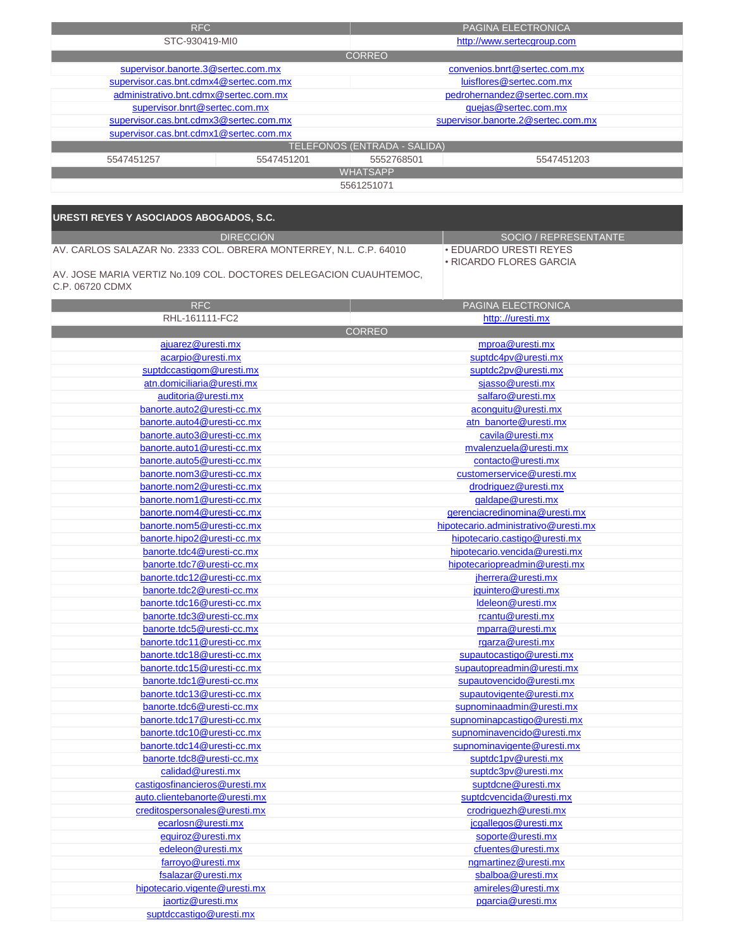| RFC                                    |                 | PAGINA ELECTRONICA                  |                              |  |
|----------------------------------------|-----------------|-------------------------------------|------------------------------|--|
| STC-930419-MI0                         |                 |                                     | http://www.sertecgroup.com   |  |
|                                        |                 | <b>CORREO</b>                       |                              |  |
| supervisor.banorte.3@sertec.com.mx     |                 |                                     | convenios.bnrt@sertec.com.mx |  |
| supervisor.cas.bnt.cdmx4@sertec.com.mx |                 |                                     | luisflores@sertec.com.mx     |  |
| administrativo.bnt.cdmx@sertec.com.mx  |                 | pedrohernandez@sertec.com.mx        |                              |  |
| supervisor.bnrt@sertec.com.mx          |                 | quejas@sertec.com.mx                |                              |  |
| supervisor.cas.bnt.cdmx3@sertec.com.mx |                 | supervisor.banorte.2@sertec.com.mx  |                              |  |
| supervisor.cas.bnt.cdmx1@sertec.com.mx |                 |                                     |                              |  |
|                                        |                 | <b>TELEFONOS (ENTRADA - SALIDA)</b> |                              |  |
| 5547451257                             | 5547451201      | 5552768501<br>5547451203            |                              |  |
|                                        | <b>WHATSAPP</b> |                                     |                              |  |
|                                        |                 | 5561251071                          |                              |  |
|                                        |                 |                                     |                              |  |

| URESTI REYES Y ASOCIADOS ABOGADOS, S.C.                                              |               |                                                          |
|--------------------------------------------------------------------------------------|---------------|----------------------------------------------------------|
| <b>DIRECCIÓN</b>                                                                     |               | SOCIO / REPRESENTANTE                                    |
| AV. CARLOS SALAZAR No. 2333 COL. OBRERA MONTERREY, N.L. C.P. 64010                   |               | <b>. EDUARDO URESTI REYES</b><br>• RICARDO FLORES GARCIA |
| AV. JOSE MARIA VERTIZ No.109 COL. DOCTORES DELEGACION CUAUHTEMOC,<br>C.P. 06720 CDMX |               |                                                          |
| <b>RFC</b>                                                                           |               | PAGINA ELECTRONICA                                       |
| RHL-161111-FC2                                                                       |               | http://uresti.mx                                         |
|                                                                                      | <b>CORREO</b> |                                                          |
| ajuarez@uresti.mx                                                                    |               | mproa@uresti.mx                                          |
| acarpio@uresti.mx                                                                    |               | suptdc4pv@uresti.mx                                      |
| suptdccastigom@uresti.mx                                                             |               | suptdc2pv@uresti.mx                                      |
| atn.domiciliaria@uresti.mx                                                           |               | sjasso@uresti.mx                                         |
| auditoria@uresti.mx                                                                  |               | salfaro@uresti.mx                                        |
| banorte.auto2@uresti-cc.mx                                                           |               | aconguitu@uresti.mx                                      |
| banorte.auto4@uresti-cc.mx                                                           |               | atn_banorte@uresti.mx                                    |
| banorte.auto3@uresti-cc.mx                                                           |               | cavila@uresti.mx                                         |
| banorte.auto1@uresti-cc.mx                                                           |               | mvalenzuela@uresti.mx                                    |
| banorte.auto5@uresti-cc.mx                                                           |               | contacto@uresti.mx                                       |
| banorte.nom3@uresti-cc.mx                                                            |               | customerservice@uresti.mx                                |
| banorte.nom2@uresti-cc.mx                                                            |               | drodriguez@uresti.mx                                     |
| banorte.nom1@uresti-cc.mx                                                            |               | galdape@uresti.mx                                        |
| banorte.nom4@uresti-cc.mx                                                            |               | gerenciacredinomina@uresti.mx                            |
| banorte.nom5@uresti-cc.mx                                                            |               | hipotecario.administrativo@uresti.mx                     |
| banorte.hipo2@uresti-cc.mx                                                           |               | hipotecario.castigo@uresti.mx                            |
| banorte.tdc4@uresti-cc.mx                                                            |               | hipotecario.vencida@uresti.mx                            |
| banorte.tdc7@uresti-cc.mx                                                            |               | hipotecariopreadmin@uresti.mx                            |
| banorte.tdc12@uresti-cc.mx                                                           |               | jherrera@uresti.mx                                       |
| banorte.tdc2@uresti-cc.mx                                                            |               | jquintero@uresti.mx                                      |
| banorte.tdc16@uresti-cc.mx                                                           |               | Ideleon@uresti.mx                                        |
| banorte.tdc3@uresti-cc.mx                                                            |               | rcantu@uresti.mx                                         |
| banorte.tdc5@uresti-cc.mx                                                            |               | mparra@uresti.mx                                         |
| banorte.tdc11@uresti-cc.mx                                                           |               | rgarza@uresti.mx                                         |
| banorte.tdc18@uresti-cc.mx                                                           |               | supautocastigo@uresti.mx                                 |
| banorte.tdc15@uresti-cc.mx                                                           |               | supautopreadmin@uresti.mx                                |
| banorte.tdc1@uresti-cc.mx                                                            |               | supautovencido@uresti.mx                                 |
| banorte.tdc13@uresti-cc.mx                                                           |               | supautovigente@uresti.mx                                 |
| banorte.tdc6@uresti-cc.mx                                                            |               | supnominaadmin@uresti.mx                                 |
| banorte.tdc17@uresti-cc.mx                                                           |               | supnominapcastigo@uresti.mx                              |
| banorte.tdc10@uresti-cc.mx                                                           |               | supnominavencido@uresti.mx                               |
| banorte.tdc14@uresti-cc.mx                                                           |               | supnominavigente@uresti.mx                               |
| banorte.tdc8@uresti-cc.mx                                                            |               | suptdc1pv@uresti.mx                                      |
| calidad@uresti.mx                                                                    |               | suptdc3pv@uresti.mx                                      |
| castigosfinancieros@uresti.mx                                                        |               | suptdcne@uresti.mx                                       |
| auto.clientebanorte@uresti.mx                                                        |               | suptdcvencida@uresti.mx                                  |
| creditospersonales@uresti.mx                                                         |               | crodriguezh@uresti.mx                                    |
| ecarlosn@uresti.mx                                                                   |               | jcgallegos@uresti.mx                                     |
| equiroz@uresti.mx                                                                    |               | soporte@uresti.mx                                        |
| edeleon@uresti.mx                                                                    |               | cfuentes@uresti.mx                                       |
| farroyo@uresti.mx                                                                    |               | ngmartinez@uresti.mx                                     |
| fsalazar@uresti.mx                                                                   |               | sbalboa@uresti.mx                                        |

amireles@uresti.mx

pgarcia@uresti.mx

fsalazar@uresti.mx jaortiz@uresti.mx hipotecario.vigente@uresti.mx

suptdccastigo@uresti.mx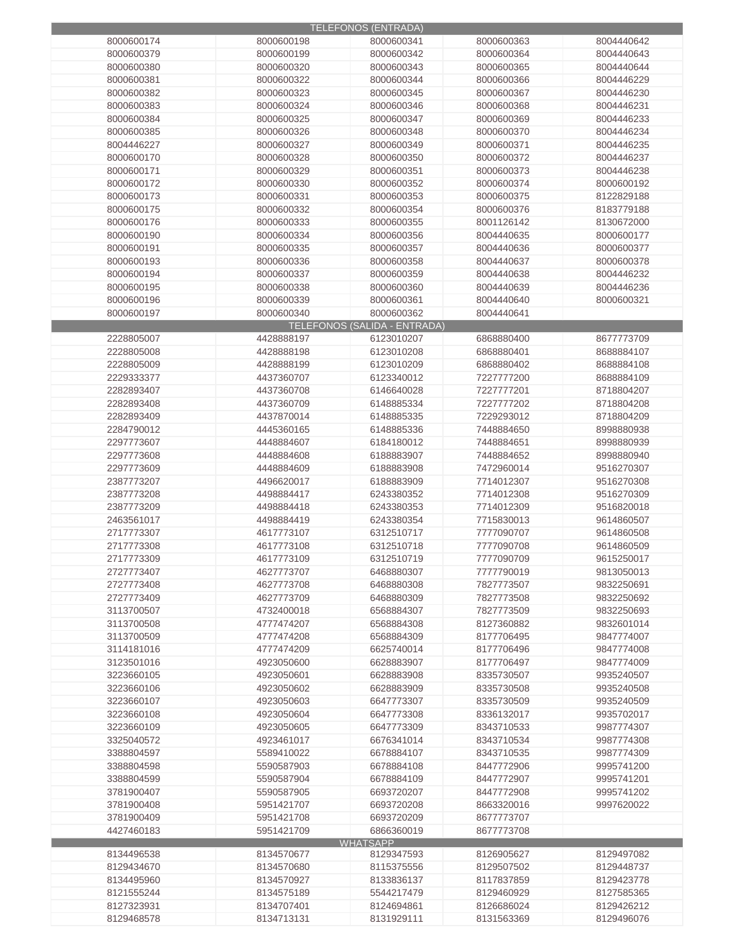|            |            | <b>TELEFONOS (ENTRADA)</b>   |            |            |
|------------|------------|------------------------------|------------|------------|
| 8000600174 | 8000600198 | 8000600341                   | 8000600363 | 8004440642 |
|            |            |                              |            |            |
| 8000600379 | 8000600199 | 8000600342                   | 8000600364 | 8004440643 |
| 8000600380 | 8000600320 | 8000600343                   | 8000600365 | 8004440644 |
| 8000600381 | 8000600322 | 8000600344                   | 8000600366 | 8004446229 |
| 8000600382 | 8000600323 | 8000600345                   | 8000600367 | 8004446230 |
| 8000600383 | 8000600324 | 8000600346                   | 8000600368 | 8004446231 |
|            |            |                              |            |            |
| 8000600384 | 8000600325 | 8000600347                   | 8000600369 | 8004446233 |
| 8000600385 | 8000600326 | 8000600348                   | 8000600370 | 8004446234 |
| 8004446227 | 8000600327 | 8000600349                   | 8000600371 | 8004446235 |
| 8000600170 | 8000600328 | 8000600350                   | 8000600372 | 8004446237 |
|            |            |                              |            |            |
| 8000600171 | 8000600329 | 8000600351                   | 8000600373 | 8004446238 |
| 8000600172 | 8000600330 | 8000600352                   | 8000600374 | 8000600192 |
| 8000600173 | 8000600331 | 8000600353                   | 8000600375 | 8122829188 |
| 8000600175 | 8000600332 | 8000600354                   | 8000600376 | 8183779188 |
| 8000600176 |            |                              | 8001126142 |            |
|            | 8000600333 | 8000600355                   |            | 8130672000 |
| 8000600190 | 8000600334 | 8000600356                   | 8004440635 | 8000600177 |
| 8000600191 | 8000600335 | 8000600357                   | 8004440636 | 8000600377 |
| 8000600193 | 8000600336 | 8000600358                   | 8004440637 | 8000600378 |
| 8000600194 | 8000600337 | 8000600359                   | 8004440638 | 8004446232 |
|            |            |                              |            |            |
| 8000600195 | 8000600338 | 8000600360                   | 8004440639 | 8004446236 |
| 8000600196 | 8000600339 | 8000600361                   | 8004440640 | 8000600321 |
| 8000600197 | 8000600340 | 8000600362                   | 8004440641 |            |
|            |            | TELEFONOS (SALIDA - ENTRADA) |            |            |
|            |            |                              |            |            |
| 2228805007 | 4428888197 | 6123010207                   | 6868880400 | 8677773709 |
| 2228805008 | 4428888198 | 6123010208                   | 6868880401 | 8688884107 |
| 2228805009 | 4428888199 | 6123010209                   | 6868880402 | 8688884108 |
| 2229333377 | 4437360707 | 6123340012                   | 7227777200 | 8688884109 |
|            |            |                              |            |            |
| 2282893407 | 4437360708 | 6146640028                   | 7227777201 | 8718804207 |
| 2282893408 | 4437360709 | 6148885334                   | 7227777202 | 8718804208 |
| 2282893409 | 4437870014 | 6148885335                   | 7229293012 | 8718804209 |
| 2284790012 | 4445360165 | 6148885336                   | 7448884650 | 8998880938 |
| 2297773607 | 4448884607 | 6184180012                   | 7448884651 | 8998880939 |
|            |            |                              |            |            |
| 2297773608 | 4448884608 | 6188883907                   | 7448884652 | 8998880940 |
| 2297773609 | 4448884609 | 6188883908                   | 7472960014 | 9516270307 |
| 2387773207 | 4496620017 | 6188883909                   | 7714012307 | 9516270308 |
| 2387773208 | 4498884417 | 6243380352                   | 7714012308 | 9516270309 |
|            |            |                              |            |            |
| 2387773209 | 4498884418 | 6243380353                   | 7714012309 | 9516820018 |
| 2463561017 | 4498884419 | 6243380354                   | 7715830013 | 9614860507 |
| 2717773307 | 4617773107 | 6312510717                   | 7777090707 | 9614860508 |
| 2717773308 | 4617773108 | 6312510718                   | 7777090708 | 9614860509 |
| 2717773309 | 4617773109 | 6312510719                   | 7777090709 | 9615250017 |
|            |            |                              |            |            |
| 2727773407 | 4627773707 | 6468880307                   | 7777790019 | 9813050013 |
| 2727773408 | 4627773708 | 6468880308                   | 7827773507 | 9832250691 |
| 2727773409 | 4627773709 | 6468880309                   | 7827773508 | 9832250692 |
| 3113700507 | 4732400018 | 6568884307                   | 7827773509 | 9832250693 |
|            |            |                              |            |            |
| 3113700508 | 4777474207 | 6568884308                   | 8127360882 | 9832601014 |
| 3113700509 | 4777474208 | 6568884309                   | 8177706495 | 9847774007 |
| 3114181016 | 4777474209 | 6625740014                   | 8177706496 | 9847774008 |
| 3123501016 | 4923050600 | 6628883907                   | 8177706497 | 9847774009 |
| 3223660105 | 4923050601 | 6628883908                   | 8335730507 | 9935240507 |
|            |            |                              |            |            |
| 3223660106 | 4923050602 | 6628883909                   | 8335730508 | 9935240508 |
| 3223660107 | 4923050603 | 6647773307                   | 8335730509 | 9935240509 |
| 3223660108 | 4923050604 | 6647773308                   | 8336132017 | 9935702017 |
| 3223660109 | 4923050605 | 6647773309                   | 8343710533 | 9987774307 |
|            |            |                              |            |            |
| 3325040572 | 4923461017 | 6676341014                   | 8343710534 | 9987774308 |
| 3388804597 | 5589410022 | 6678884107                   | 8343710535 | 9987774309 |
| 3388804598 | 5590587903 | 6678884108                   | 8447772906 | 9995741200 |
| 3388804599 | 5590587904 | 6678884109                   | 8447772907 | 9995741201 |
| 3781900407 | 5590587905 | 6693720207                   | 8447772908 | 9995741202 |
|            |            |                              |            |            |
| 3781900408 | 5951421707 | 6693720208                   | 8663320016 | 9997620022 |
| 3781900409 | 5951421708 | 6693720209                   | 8677773707 |            |
| 4427460183 | 5951421709 | 6866360019                   | 8677773708 |            |
|            |            | <b>WHATSAPP</b>              |            |            |
| 8134496538 | 8134570677 | 8129347593                   | 8126905627 | 8129497082 |
|            |            |                              |            |            |
| 8129434670 | 8134570680 | 8115375556                   | 8129507502 | 8129448737 |
| 8134495960 | 8134570927 | 8133836137                   | 8117837859 | 8129423778 |
| 8121555244 | 8134575189 | 5544217479                   | 8129460929 | 8127585365 |
| 8127323931 | 8134707401 | 8124694861                   | 8126686024 | 8129426212 |
| 8129468578 |            |                              |            |            |
|            | 8134713131 | 8131929111                   | 8131563369 | 8129496076 |